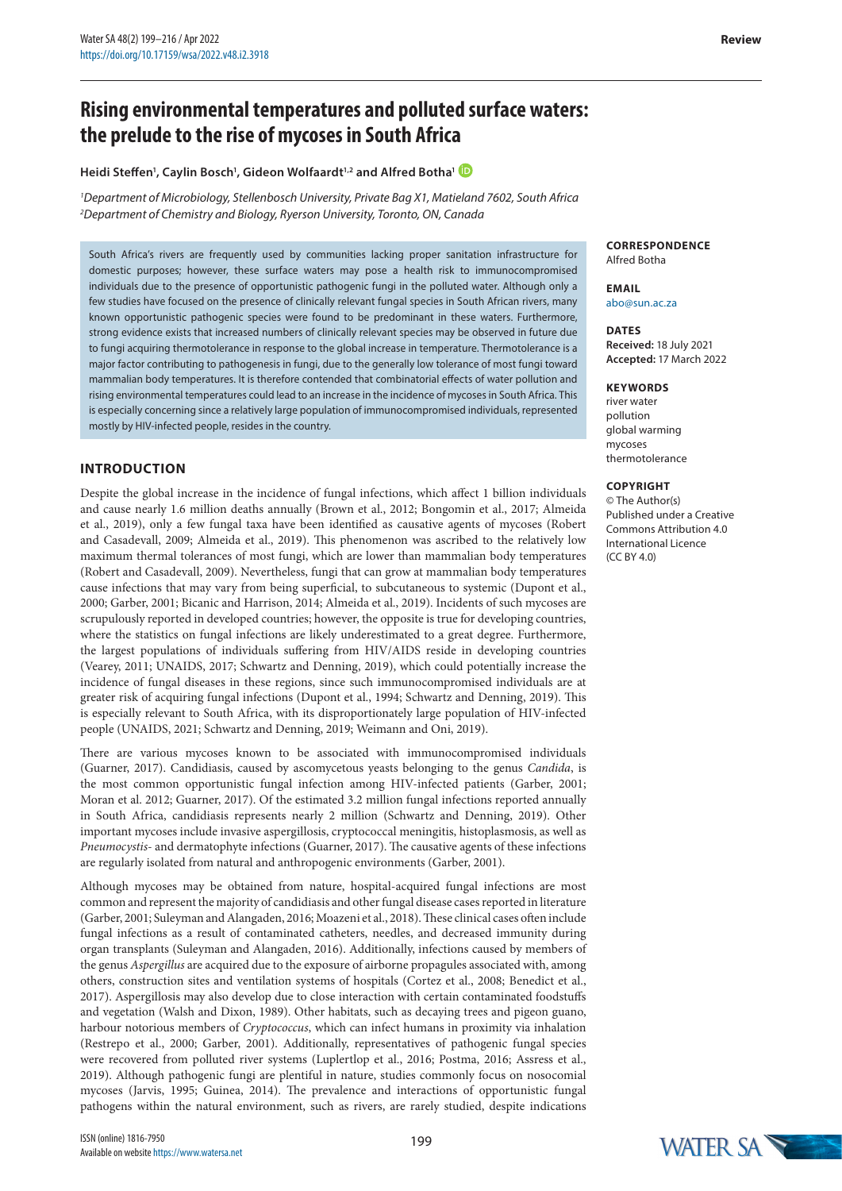### **Heidi Steffen1 , Caylin Bosch1 , Gideon Wolfaardt1,2 and Alfred Botha[1](https://orcid.org/0000-0003-0988-647X)**

*1 Department of Microbiology, Stellenbosch University, Private Bag X1, Matieland 7602, South Africa 2 Department of Chemistry and Biology, Ryerson University, Toronto, ON, Canada*

South Africa's rivers are frequently used by communities lacking proper sanitation infrastructure for domestic purposes; however, these surface waters may pose a health risk to immunocompromised individuals due to the presence of opportunistic pathogenic fungi in the polluted water. Although only a few studies have focused on the presence of clinically relevant fungal species in South African rivers, many known opportunistic pathogenic species were found to be predominant in these waters. Furthermore, strong evidence exists that increased numbers of clinically relevant species may be observed in future due to fungi acquiring thermotolerance in response to the global increase in temperature. Thermotolerance is a major factor contributing to pathogenesis in fungi, due to the generally low tolerance of most fungi toward mammalian body temperatures. It is therefore contended that combinatorial effects of water pollution and rising environmental temperatures could lead to an increase in the incidence of mycoses in South Africa. This is especially concerning since a relatively large population of immunocompromised individuals, represented mostly by HIV-infected people, resides in the country.

## **INTRODUCTION**

Despite the global increase in the incidence of fungal infections, which affect 1 billion individuals and cause nearly 1.6 million deaths annually (Brown et al., 2012; Bongomin et al., 2017; Almeida et al., 2019), only a few fungal taxa have been identified as causative agents of mycoses (Robert and Casadevall, 2009; Almeida et al., 2019). This phenomenon was ascribed to the relatively low maximum thermal tolerances of most fungi, which are lower than mammalian body temperatures (Robert and Casadevall, 2009). Nevertheless, fungi that can grow at mammalian body temperatures cause infections that may vary from being superficial, to subcutaneous to systemic (Dupont et al., 2000; Garber, 2001; Bicanic and Harrison, 2014; Almeida et al., 2019). Incidents of such mycoses are scrupulously reported in developed countries; however, the opposite is true for developing countries, where the statistics on fungal infections are likely underestimated to a great degree. Furthermore, the largest populations of individuals suffering from HIV/AIDS reside in developing countries (Vearey, 2011; UNAIDS, 2017; Schwartz and Denning, 2019), which could potentially increase the incidence of fungal diseases in these regions, since such immunocompromised individuals are at greater risk of acquiring fungal infections (Dupont et al., 1994; Schwartz and Denning, 2019). This is especially relevant to South Africa, with its disproportionately large population of HIV-infected people (UNAIDS, 2021; Schwartz and Denning, 2019; Weimann and Oni, 2019).

There are various mycoses known to be associated with immunocompromised individuals (Guarner, 2017). Candidiasis, caused by ascomycetous yeasts belonging to the genus *Candida*, is the most common opportunistic fungal infection among HIV-infected patients (Garber, 2001; Moran et al. 2012; Guarner, 2017). Of the estimated 3.2 million fungal infections reported annually in South Africa, candidiasis represents nearly 2 million (Schwartz and Denning, 2019). Other important mycoses include invasive aspergillosis, cryptococcal meningitis, histoplasmosis, as well as *Pneumocystis*- and dermatophyte infections (Guarner, 2017). The causative agents of these infections are regularly isolated from natural and anthropogenic environments (Garber, 2001).

Although mycoses may be obtained from nature, hospital-acquired fungal infections are most common and represent the majority of candidiasis and other fungal disease cases reported in literature (Garber, 2001; Suleyman and Alangaden, 2016; Moazeni et al., 2018). These clinical cases often include fungal infections as a result of contaminated catheters, needles, and decreased immunity during organ transplants (Suleyman and Alangaden, 2016). Additionally, infections caused by members of the genus *Aspergillus* are acquired due to the exposure of airborne propagules associated with, among others, construction sites and ventilation systems of hospitals (Cortez et al., 2008; Benedict et al., 2017). Aspergillosis may also develop due to close interaction with certain contaminated foodstuffs and vegetation (Walsh and Dixon, 1989). Other habitats, such as decaying trees and pigeon guano, harbour notorious members of *Cryptococcus*, which can infect humans in proximity via inhalation (Restrepo et al., 2000; Garber, 2001). Additionally, representatives of pathogenic fungal species were recovered from polluted river systems (Luplertlop et al., 2016; Postma, 2016; Assress et al., 2019). Although pathogenic fungi are plentiful in nature, studies commonly focus on nosocomial mycoses (Jarvis, 1995; Guinea, 2014). The prevalence and interactions of opportunistic fungal pathogens within the natural environment, such as rivers, are rarely studied, despite indications

**CORRESPONDENCE** Alfred Botha

**EMAIL** abo@sun.ac.za

**DATES Received:** 18 July 2021 **Accepted:** 17 March 2022

#### **KEYWORDS**

river water pollution global warming mycoses thermotolerance

#### **COPYRIGHT**

© The Author(s) Published under a [Creative](https://creativecommons.org/licenses/by/4.0/)  [Commons Attribution 4.0](https://creativecommons.org/licenses/by/4.0/) [International Licence](https://creativecommons.org/licenses/by/4.0/)  $(CCRY 40)$ 

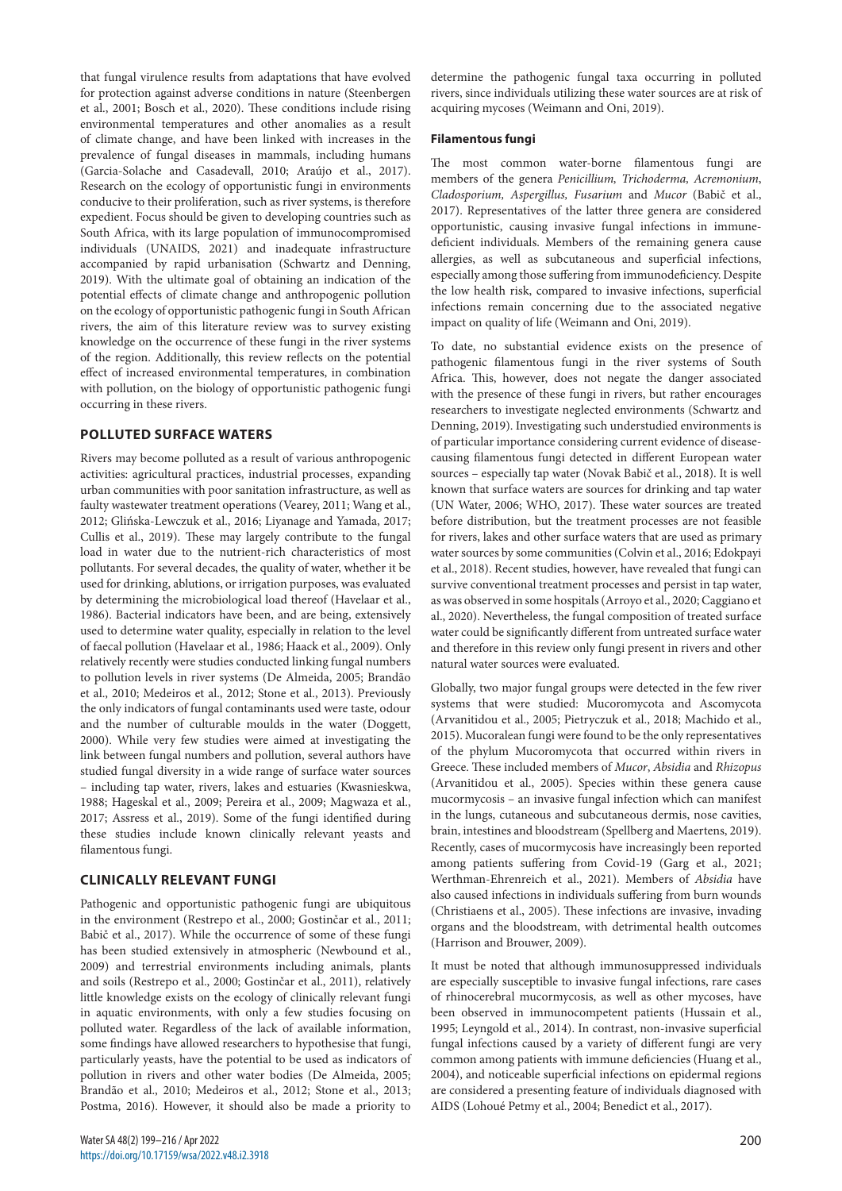that fungal virulence results from adaptations that have evolved for protection against adverse conditions in nature (Steenbergen et al., 2001; Bosch et al., 2020). These conditions include rising environmental temperatures and other anomalies as a result of climate change, and have been linked with increases in the prevalence of fungal diseases in mammals, including humans (Garcia-Solache and Casadevall, 2010; Araújo et al., 2017). Research on the ecology of opportunistic fungi in environments conducive to their proliferation, such as river systems, is therefore expedient. Focus should be given to developing countries such as South Africa, with its large population of immunocompromised individuals (UNAIDS, 2021) and inadequate infrastructure accompanied by rapid urbanisation (Schwartz and Denning, 2019). With the ultimate goal of obtaining an indication of the potential effects of climate change and anthropogenic pollution on the ecology of opportunistic pathogenic fungi in South African rivers, the aim of this literature review was to survey existing knowledge on the occurrence of these fungi in the river systems of the region. Additionally, this review reflects on the potential effect of increased environmental temperatures, in combination with pollution, on the biology of opportunistic pathogenic fungi occurring in these rivers.

# **POLLUTED SURFACE WATERS**

Rivers may become polluted as a result of various anthropogenic activities: agricultural practices, industrial processes, expanding urban communities with poor sanitation infrastructure, as well as faulty wastewater treatment operations (Vearey, 2011; Wang et al., 2012; Glińska-Lewczuk et al., 2016; Liyanage and Yamada, 2017; Cullis et al., 2019). These may largely contribute to the fungal load in water due to the nutrient-rich characteristics of most pollutants. For several decades, the quality of water, whether it be used for drinking, ablutions, or irrigation purposes, was evaluated by determining the microbiological load thereof (Havelaar et al., 1986). Bacterial indicators have been, and are being, extensively used to determine water quality, especially in relation to the level of faecal pollution (Havelaar et al., 1986; Haack et al., 2009). Only relatively recently were studies conducted linking fungal numbers to pollution levels in river systems (De Almeida, 2005; Brandão et al., 2010; Medeiros et al., 2012; Stone et al., 2013). Previously the only indicators of fungal contaminants used were taste, odour and the number of culturable moulds in the water (Doggett, 2000). While very few studies were aimed at investigating the link between fungal numbers and pollution, several authors have studied fungal diversity in a wide range of surface water sources – including tap water, rivers, lakes and estuaries (Kwasnieskwa, 1988; Hageskal et al., 2009; Pereira et al., 2009; Magwaza et al., 2017; Assress et al., 2019). Some of the fungi identified during these studies include known clinically relevant yeasts and filamentous fungi.

### **CLINICALLY RELEVANT FUNGI**

Pathogenic and opportunistic pathogenic fungi are ubiquitous in the environment (Restrepo et al., 2000; Gostinčar et al., 2011; Babič et al., 2017). While the occurrence of some of these fungi has been studied extensively in atmospheric (Newbound et al., 2009) and terrestrial environments including animals, plants and soils (Restrepo et al., 2000; Gostinčar et al., 2011), relatively little knowledge exists on the ecology of clinically relevant fungi in aquatic environments, with only a few studies focusing on polluted water. Regardless of the lack of available information, some findings have allowed researchers to hypothesise that fungi, particularly yeasts, have the potential to be used as indicators of pollution in rivers and other water bodies (De Almeida, 2005; Brandão et al., 2010; Medeiros et al., 2012; Stone et al., 2013; Postma, 2016). However, it should also be made a priority to

determine the pathogenic fungal taxa occurring in polluted rivers, since individuals utilizing these water sources are at risk of acquiring mycoses (Weimann and Oni, 2019).

#### **Filamentous fungi**

The most common water-borne filamentous fungi are members of the genera *Penicillium, Trichoderma, Acremonium*, *Cladosporium, Aspergillus, Fusarium* and *Mucor* (Babič et al., 2017). Representatives of the latter three genera are considered opportunistic, causing invasive fungal infections in immunedeficient individuals. Members of the remaining genera cause allergies, as well as subcutaneous and superficial infections, especially among those suffering from immunodeficiency. Despite the low health risk, compared to invasive infections, superficial infections remain concerning due to the associated negative impact on quality of life (Weimann and Oni, 2019).

To date, no substantial evidence exists on the presence of pathogenic filamentous fungi in the river systems of South Africa. This, however, does not negate the danger associated with the presence of these fungi in rivers, but rather encourages researchers to investigate neglected environments (Schwartz and Denning, 2019). Investigating such understudied environments is of particular importance considering current evidence of diseasecausing filamentous fungi detected in different European water sources – especially tap water (Novak Babič et al., 2018). It is well known that surface waters are sources for drinking and tap water (UN Water, 2006; WHO, 2017). These water sources are treated before distribution, but the treatment processes are not feasible for rivers, lakes and other surface waters that are used as primary water sources by some communities (Colvin et al., 2016; Edokpayi et al., 2018). Recent studies, however, have revealed that fungi can survive conventional treatment processes and persist in tap water, as was observed in some hospitals (Arroyo et al., 2020; Caggiano et al., 2020). Nevertheless, the fungal composition of treated surface water could be significantly different from untreated surface water and therefore in this review only fungi present in rivers and other natural water sources were evaluated.

Globally, two major fungal groups were detected in the few river systems that were studied: Mucoromycota and Ascomycota (Arvanitidou et al., 2005; Pietryczuk et al., 2018; Machido et al., 2015). Mucoralean fungi were found to be the only representatives of the phylum Mucoromycota that occurred within rivers in Greece. These included members of *Mucor*, *Absidia* and *Rhizopus* (Arvanitidou et al., 2005). Species within these genera cause mucormycosis – an invasive fungal infection which can manifest in the lungs, cutaneous and subcutaneous dermis, nose cavities, brain, intestines and bloodstream (Spellberg and Maertens, 2019). Recently, cases of mucormycosis have increasingly been reported among patients suffering from Covid-19 (Garg et al., 2021; Werthman-Ehrenreich et al., 2021). Members of *Absidia* have also caused infections in individuals suffering from burn wounds (Christiaens et al., 2005). These infections are invasive, invading organs and the bloodstream, with detrimental health outcomes (Harrison and Brouwer, 2009).

It must be noted that although immunosuppressed individuals are especially susceptible to invasive fungal infections, rare cases of rhinocerebral mucormycosis, as well as other mycoses, have been observed in immunocompetent patients (Hussain et al., 1995; Leyngold et al., 2014). In contrast, non-invasive superficial fungal infections caused by a variety of different fungi are very common among patients with immune deficiencies (Huang et al., 2004), and noticeable superficial infections on epidermal regions are considered a presenting feature of individuals diagnosed with AIDS (Lohoué Petmy et al., 2004; Benedict et al., 2017).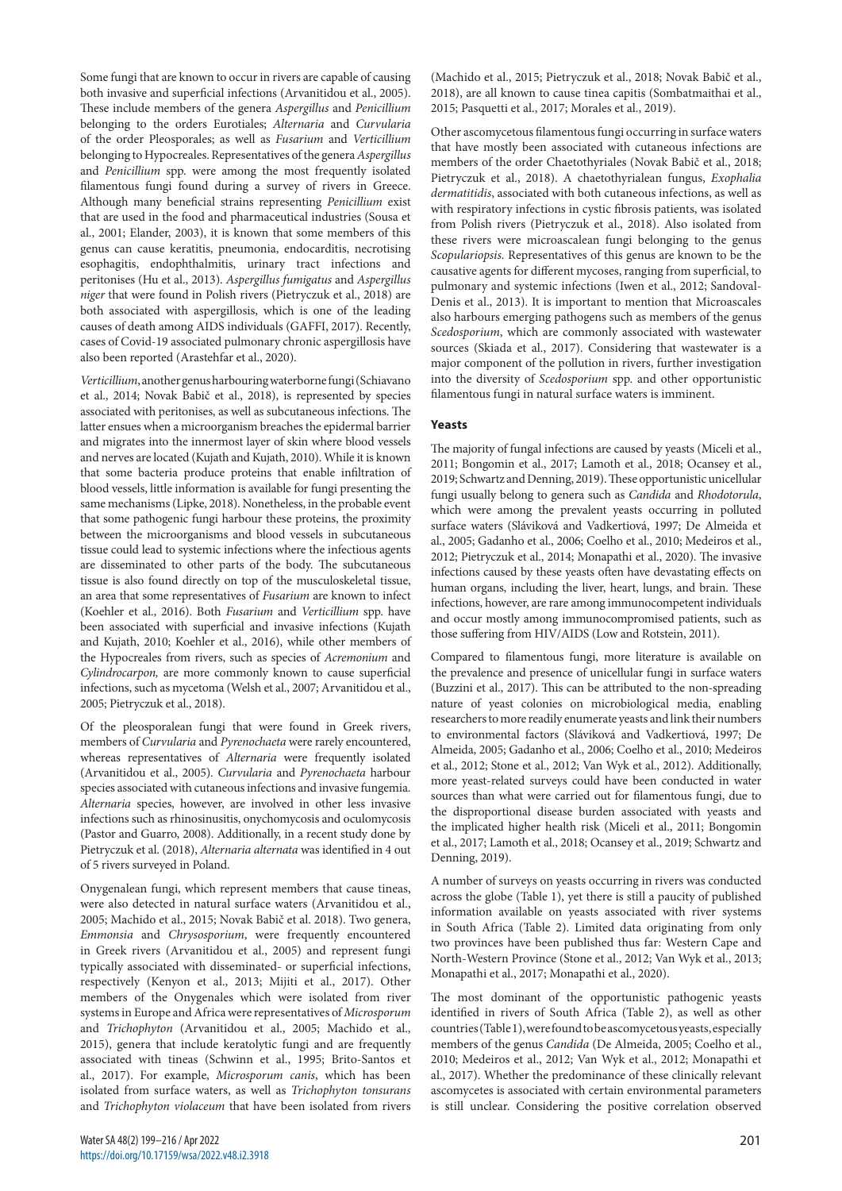Some fungi that are known to occur in rivers are capable of causing both invasive and superficial infections (Arvanitidou et al., 2005). These include members of the genera *Aspergillus* and *Penicillium* belonging to the orders Eurotiales; *Alternaria* and *Curvularia* of the order Pleosporales; as well as *Fusarium* and *Verticillium*  belonging to Hypocreales. Representatives of the genera *Aspergillus*  and *Penicillium* spp. were among the most frequently isolated filamentous fungi found during a survey of rivers in Greece. Although many beneficial strains representing *Penicillium* exist that are used in the food and pharmaceutical industries (Sousa et al., 2001; Elander, 2003), it is known that some members of this genus can cause keratitis, pneumonia, endocarditis, necrotising esophagitis, endophthalmitis, urinary tract infections and peritonises (Hu et al., 2013). *Aspergillus fumigatus* and *Aspergillus niger* that were found in Polish rivers (Pietryczuk et al., 2018) are both associated with aspergillosis, which is one of the leading causes of death among AIDS individuals (GAFFI, 2017). Recently, cases of Covid-19 associated pulmonary chronic aspergillosis have also been reported (Arastehfar et al., 2020).

*Verticillium*, another genus harbouring waterborne fungi (Schiavano et al., 2014; Novak Babič et al., 2018), is represented by species associated with peritonises, as well as subcutaneous infections. The latter ensues when a microorganism breaches the epidermal barrier and migrates into the innermost layer of skin where blood vessels and nerves are located (Kujath and Kujath, 2010). While it is known that some bacteria produce proteins that enable infiltration of blood vessels, little information is available for fungi presenting the same mechanisms (Lipke, 2018). Nonetheless, in the probable event that some pathogenic fungi harbour these proteins, the proximity between the microorganisms and blood vessels in subcutaneous tissue could lead to systemic infections where the infectious agents are disseminated to other parts of the body. The subcutaneous tissue is also found directly on top of the musculoskeletal tissue, an area that some representatives of *Fusarium* are known to infect (Koehler et al., 2016). Both *Fusarium* and *Verticillium* spp. have been associated with superficial and invasive infections (Kujath and Kujath, 2010; Koehler et al., 2016), while other members of the Hypocreales from rivers, such as species of *Acremonium* and *Cylindrocarpon,* are more commonly known to cause superficial infections, such as mycetoma (Welsh et al., 2007; Arvanitidou et al., 2005; Pietryczuk et al., 2018).

Of the pleosporalean fungi that were found in Greek rivers, members of *Curvularia* and *Pyrenochaeta* were rarely encountered, whereas representatives of *Alternaria* were frequently isolated (Arvanitidou et al., 2005). *Curvularia* and *Pyrenochaeta* harbour species associated with cutaneous infections and invasive fungemia. *Alternaria* species, however, are involved in other less invasive infections such as rhinosinusitis, onychomycosis and oculomycosis (Pastor and Guarro, 2008). Additionally, in a recent study done by Pietryczuk et al. (2018), *Alternaria alternata* was identified in 4 out of 5 rivers surveyed in Poland.

Onygenalean fungi, which represent members that cause tineas, were also detected in natural surface waters (Arvanitidou et al., 2005; Machido et al., 2015; Novak Babič et al. 2018). Two genera, *Emmonsia* and *Chrysosporium*, were frequently encountered in Greek rivers (Arvanitidou et al., 2005) and represent fungi typically associated with disseminated- or superficial infections, respectively (Kenyon et al., 2013; Mijiti et al., 2017). Other members of the Onygenales which were isolated from river systems in Europe and Africa were representatives of *Microsporum*  and *Trichophyton* (Arvanitidou et al., 2005; Machido et al., 2015), genera that include keratolytic fungi and are frequently associated with tineas (Schwinn et al., 1995; Brito-Santos et al., 2017). For example, *Microsporum canis*, which has been isolated from surface waters, as well as *Trichophyton tonsurans* and *Trichophyton violaceum* that have been isolated from rivers

(Machido et al., 2015; Pietryczuk et al., 2018; Novak Babič et al., 2018), are all known to cause tinea capitis (Sombatmaithai et al., 2015; Pasquetti et al., 2017; Morales et al., 2019).

Other ascomycetous filamentous fungi occurring in surface waters that have mostly been associated with cutaneous infections are members of the order Chaetothyriales (Novak Babič et al., 2018; Pietryczuk et al., 2018). A chaetothyrialean fungus, *Exophalia dermatitidis*, associated with both cutaneous infections, as well as with respiratory infections in cystic fibrosis patients, was isolated from Polish rivers (Pietryczuk et al., 2018). Also isolated from these rivers were microascalean fungi belonging to the genus *Scopulariopsis.* Representatives of this genus are known to be the causative agents for different mycoses, ranging from superficial, to pulmonary and systemic infections (Iwen et al., 2012; Sandoval-Denis et al., 2013). It is important to mention that Microascales also harbours emerging pathogens such as members of the genus *Scedosporium*, which are commonly associated with wastewater sources (Skiada et al., 2017). Considering that wastewater is a major component of the pollution in rivers, further investigation into the diversity of *Scedosporium* spp. and other opportunistic filamentous fungi in natural surface waters is imminent.

## **Yeasts**

The majority of fungal infections are caused by yeasts (Miceli et al., 2011; Bongomin et al., 2017; Lamoth et al., 2018; Ocansey et al., 2019; Schwartz and Denning, 2019). These opportunistic unicellular fungi usually belong to genera such as *Candida* and *Rhodotorula*, which were among the prevalent yeasts occurring in polluted surface waters (Sláviková and Vadkertiová, 1997; De Almeida et al., 2005; Gadanho et al., 2006; Coelho et al., 2010; Medeiros et al., 2012; Pietryczuk et al., 2014; Monapathi et al., 2020). The invasive infections caused by these yeasts often have devastating effects on human organs, including the liver, heart, lungs, and brain. These infections, however, are rare among immunocompetent individuals and occur mostly among immunocompromised patients, such as those suffering from HIV/AIDS (Low and Rotstein, 2011).

Compared to filamentous fungi, more literature is available on the prevalence and presence of unicellular fungi in surface waters (Buzzini et al., 2017). This can be attributed to the non-spreading nature of yeast colonies on microbiological media, enabling researchers to more readily enumerate yeasts and link their numbers to environmental factors (Sláviková and Vadkertiová, 1997; De Almeida, 2005; Gadanho et al., 2006; Coelho et al., 2010; Medeiros et al., 2012; Stone et al., 2012; Van Wyk et al., 2012). Additionally, more yeast-related surveys could have been conducted in water sources than what were carried out for filamentous fungi, due to the disproportional disease burden associated with yeasts and the implicated higher health risk (Miceli et al., 2011; Bongomin et al., 2017; Lamoth et al., 2018; Ocansey et al., 2019; Schwartz and Denning, 2019).

A number of surveys on yeasts occurring in rivers was conducted across the globe (Table 1), yet there is still a paucity of published information available on yeasts associated with river systems in South Africa (Table 2). Limited data originating from only two provinces have been published thus far: Western Cape and North-Western Province (Stone et al., 2012; Van Wyk et al., 2013; Monapathi et al., 2017; Monapathi et al., 2020).

The most dominant of the opportunistic pathogenic yeasts identified in rivers of South Africa (Table 2), as well as other countries (Table 1), were found to be ascomycetous yeasts, especially members of the genus *Candida* (De Almeida, 2005; Coelho et al., 2010; Medeiros et al., 2012; Van Wyk et al., 2012; Monapathi et al., 2017). Whether the predominance of these clinically relevant ascomycetes is associated with certain environmental parameters is still unclear. Considering the positive correlation observed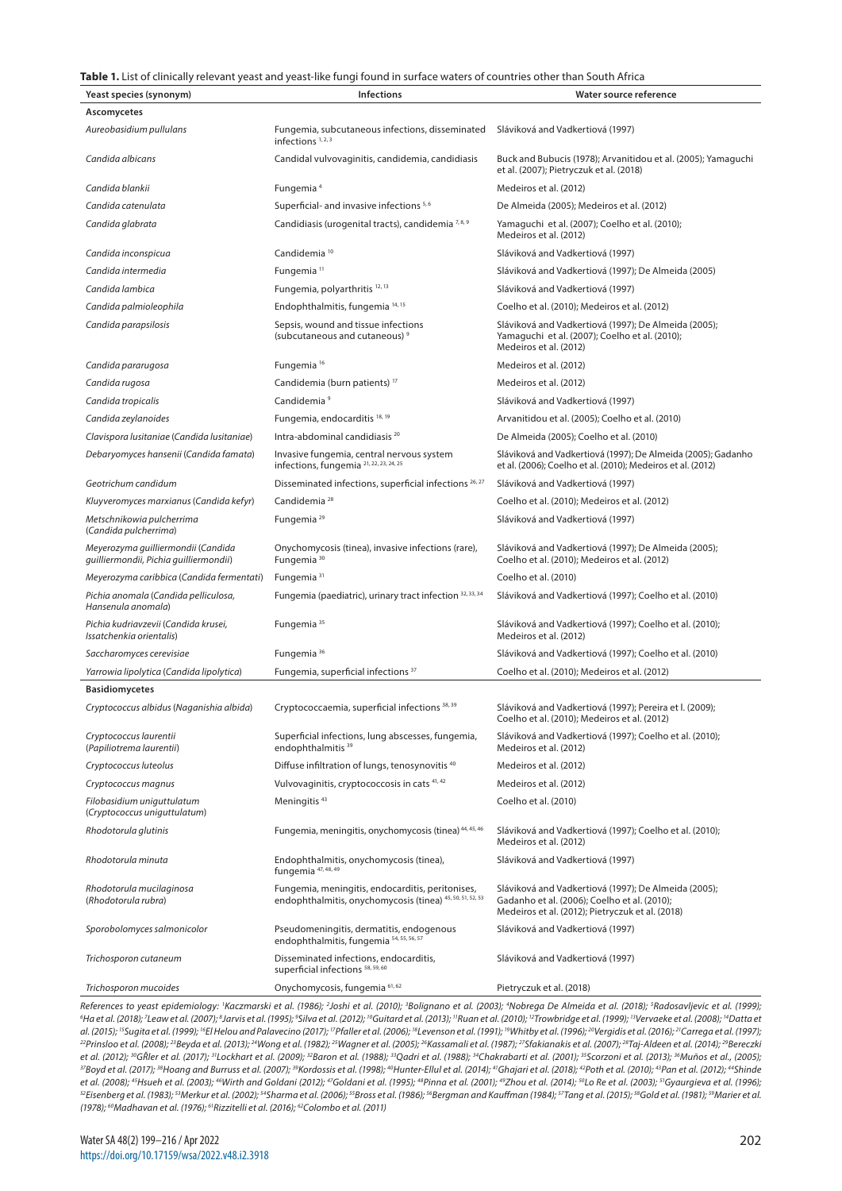#### **Table 1.** List of clinically relevant yeast and yeast-like fungi found in surface waters of countries other than South Africa

| Ascomycetes<br>Aureobasidium pullulans<br>Fungemia, subcutaneous infections, disseminated<br>Sláviková and Vadkertiová (1997)<br>infections $1, 2, 3$<br>Candida albicans<br>Candidal vulvovaginitis, candidemia, candidiasis<br>Buck and Bubucis (1978); Arvanitidou et al. (2005); Yamaguchi<br>et al. (2007); Pietryczuk et al. (2018)<br>Candida blankii<br>Fungemia <sup>4</sup><br>Medeiros et al. (2012)<br>Candida catenulata<br>Superficial- and invasive infections 5,6<br>De Almeida (2005); Medeiros et al. (2012)<br>Candidiasis (urogenital tracts), candidemia <sup>7,8,9</sup><br>Candida glabrata<br>Yamaguchi et al. (2007); Coelho et al. (2010);<br>Medeiros et al. (2012)<br>Candida inconspicua<br>Candidemia <sup>10</sup><br>Sláviková and Vadkertiová (1997)<br>Fungemia <sup>11</sup><br>Candida intermedia<br>Sláviková and Vadkertiová (1997); De Almeida (2005)<br>Candida lambica<br>Fungemia, polyarthritis <sup>12, 13</sup><br>Sláviková and Vadkertiová (1997)<br>Endophthalmitis, fungemia 14, 15<br>Candida palmioleophila<br>Coelho et al. (2010); Medeiros et al. (2012)<br>Candida parapsilosis<br>Sepsis, wound and tissue infections<br>Sláviková and Vadkertiová (1997); De Almeida (2005);<br>(subcutaneous and cutaneous) <sup>9</sup><br>Yamaguchi et al. (2007); Coelho et al. (2010);<br>Medeiros et al. (2012)<br>Fungemia <sup>16</sup><br>Medeiros et al. (2012)<br>Candida pararugosa<br>Candidemia (burn patients) <sup>17</sup><br>Candida rugosa<br>Medeiros et al. (2012)<br>Candidemia <sup>9</sup><br>Sláviková and Vadkertiová (1997)<br>Candida tropicalis<br>Candida zeylanoides<br>Fungemia, endocarditis <sup>18, 19</sup><br>Arvanitidou et al. (2005); Coelho et al. (2010)<br>Intra-abdominal candidiasis <sup>20</sup><br>Clavispora lusitaniae (Candida lusitaniae)<br>De Almeida (2005); Coelho et al. (2010)<br>Invasive fungemia, central nervous system<br>Debaryomyces hansenii (Candida famata)<br>Sláviková and Vadkertiová (1997); De Almeida (2005); Gadanho<br>infections, fungemia 21, 22, 23, 24, 25<br>et al. (2006); Coelho et al. (2010); Medeiros et al. (2012)<br>Geotrichum candidum<br>Disseminated infections, superficial infections 26, 27<br>Sláviková and Vadkertiová (1997)<br>Kluyveromyces marxianus (Candida kefyr)<br>Candidemia <sup>28</sup><br>Coelho et al. (2010); Medeiros et al. (2012)<br>Fungemia <sup>29</sup><br>Metschnikowia pulcherrima<br>Sláviková and Vadkertiová (1997)<br>(Candida pulcherrima)<br>Meyerozyma guilliermondii (Candida<br>Onychomycosis (tinea), invasive infections (rare),<br>Sláviková and Vadkertiová (1997); De Almeida (2005);<br>quilliermondii, Pichia guilliermondii)<br>Fungemia <sup>30</sup><br>Coelho et al. (2010); Medeiros et al. (2012)<br>Fungemia <sup>31</sup><br>Meyerozyma caribbica (Candida fermentati)<br>Coelho et al. (2010)<br>Fungemia (paediatric), urinary tract infection 32, 33, 34<br>Pichia anomala (Candida pelliculosa,<br>Sláviková and Vadkertiová (1997); Coelho et al. (2010)<br>Hansenula anomala)<br>Pichia kudriavzevii (Candida krusei,<br>Fungemia <sup>35</sup><br>Sláviková and Vadkertiová (1997); Coelho et al. (2010);<br>Issatchenkia orientalis)<br>Medeiros et al. (2012)<br>Fungemia <sup>36</sup><br>Saccharomyces cerevisiae<br>Sláviková and Vadkertiová (1997); Coelho et al. (2010)<br>Yarrowia lipolytica (Candida lipolytica)<br>Fungemia, superficial infections <sup>37</sup><br>Coelho et al. (2010); Medeiros et al. (2012)<br><b>Basidiomycetes</b><br>Cryptococcus albidus (Naganishia albida)<br>Cryptococcaemia, superficial infections 38, 39<br>Sláviková and Vadkertiová (1997); Pereira et l. (2009);<br>Coelho et al. (2010); Medeiros et al. (2012)<br>Cryptococcus laurentii<br>Superficial infections, lung abscesses, fungemia,<br>Sláviková and Vadkertiová (1997); Coelho et al. (2010);<br>(Papiliotrema laurentii)<br>endophthalmitis <sup>39</sup><br>Medeiros et al. (2012)<br>Diffuse infiltration of lungs, tenosynovitis <sup>40</sup><br>Cryptococcus luteolus<br>Medeiros et al. (2012)<br>Vulvovaginitis, cryptococcosis in cats 41,42<br>Medeiros et al. (2012)<br>Cryptococcus magnus<br>Meningitis <sup>43</sup><br>Filobasidium uniguttulatum<br>Coelho et al. (2010)<br>(Cryptococcus uniguttulatum)<br>Fungemia, meningitis, onychomycosis (tinea) <sup>44, 45, 46</sup><br>Rhodotorula glutinis<br>Sláviková and Vadkertiová (1997); Coelho et al. (2010);<br>Medeiros et al. (2012)<br>Endophthalmitis, onychomycosis (tinea),<br>Rhodotorula minuta<br>Sláviková and Vadkertiová (1997)<br>fungemia <sup>47, 48, 49</sup><br>Rhodotorula mucilaginosa<br>Fungemia, meningitis, endocarditis, peritonises,<br>Sláviková and Vadkertiová (1997); De Almeida (2005);<br>endophthalmitis, onychomycosis (tinea) 45, 50, 51, 52, 53<br>(Rhodotorula rubra)<br>Gadanho et al. (2006); Coelho et al. (2010);<br>Medeiros et al. (2012); Pietryczuk et al. (2018)<br>Sporobolomyces salmonicolor<br>Pseudomeningitis, dermatitis, endogenous<br>Sláviková and Vadkertiová (1997)<br>endophthalmitis, fungemia 54, 55, 56, 57<br>Disseminated infections, endocarditis,<br>Sláviková and Vadkertiová (1997)<br>Trichosporon cutaneum<br>superficial infections 58, 59, 60<br>Onychomycosis, fungemia 61, 62<br>Trichosporon mucoides<br>Pietryczuk et al. (2018) | Yeast species (synonym) | <b>Infections</b> | Water source reference |
|-----------------------------------------------------------------------------------------------------------------------------------------------------------------------------------------------------------------------------------------------------------------------------------------------------------------------------------------------------------------------------------------------------------------------------------------------------------------------------------------------------------------------------------------------------------------------------------------------------------------------------------------------------------------------------------------------------------------------------------------------------------------------------------------------------------------------------------------------------------------------------------------------------------------------------------------------------------------------------------------------------------------------------------------------------------------------------------------------------------------------------------------------------------------------------------------------------------------------------------------------------------------------------------------------------------------------------------------------------------------------------------------------------------------------------------------------------------------------------------------------------------------------------------------------------------------------------------------------------------------------------------------------------------------------------------------------------------------------------------------------------------------------------------------------------------------------------------------------------------------------------------------------------------------------------------------------------------------------------------------------------------------------------------------------------------------------------------------------------------------------------------------------------------------------------------------------------------------------------------------------------------------------------------------------------------------------------------------------------------------------------------------------------------------------------------------------------------------------------------------------------------------------------------------------------------------------------------------------------------------------------------------------------------------------------------------------------------------------------------------------------------------------------------------------------------------------------------------------------------------------------------------------------------------------------------------------------------------------------------------------------------------------------------------------------------------------------------------------------------------------------------------------------------------------------------------------------------------------------------------------------------------------------------------------------------------------------------------------------------------------------------------------------------------------------------------------------------------------------------------------------------------------------------------------------------------------------------------------------------------------------------------------------------------------------------------------------------------------------------------------------------------------------------------------------------------------------------------------------------------------------------------------------------------------------------------------------------------------------------------------------------------------------------------------------------------------------------------------------------------------------------------------------------------------------------------------------------------------------------------------------------------------------------------------------------------------------------------------------------------------------------------------------------------------------------------------------------------------------------------------------------------------------------------------------------------------------------------------------------------------------------------------------------------------------------------------------------------------------------------------------------------------------------------------------------------------------------------------------------------------------------------------------------------------------------------------------------------------------------------------------------------------------------------------------------------------------------------------------------------------------------------------------------------------------------------------------------------------------------------------------------------------------------------------------------------------------------------------------------------------------------------------|-------------------------|-------------------|------------------------|
|                                                                                                                                                                                                                                                                                                                                                                                                                                                                                                                                                                                                                                                                                                                                                                                                                                                                                                                                                                                                                                                                                                                                                                                                                                                                                                                                                                                                                                                                                                                                                                                                                                                                                                                                                                                                                                                                                                                                                                                                                                                                                                                                                                                                                                                                                                                                                                                                                                                                                                                                                                                                                                                                                                                                                                                                                                                                                                                                                                                                                                                                                                                                                                                                                                                                                                                                                                                                                                                                                                                                                                                                                                                                                                                                                                                                                                                                                                                                                                                                                                                                                                                                                                                                                                                                                                                                                                                                                                                                                                                                                                                                                                                                                                                                                                                                                                                                                                                                                                                                                                                                                                                                                                                                                                                                                                                                                                                               |                         |                   |                        |
|                                                                                                                                                                                                                                                                                                                                                                                                                                                                                                                                                                                                                                                                                                                                                                                                                                                                                                                                                                                                                                                                                                                                                                                                                                                                                                                                                                                                                                                                                                                                                                                                                                                                                                                                                                                                                                                                                                                                                                                                                                                                                                                                                                                                                                                                                                                                                                                                                                                                                                                                                                                                                                                                                                                                                                                                                                                                                                                                                                                                                                                                                                                                                                                                                                                                                                                                                                                                                                                                                                                                                                                                                                                                                                                                                                                                                                                                                                                                                                                                                                                                                                                                                                                                                                                                                                                                                                                                                                                                                                                                                                                                                                                                                                                                                                                                                                                                                                                                                                                                                                                                                                                                                                                                                                                                                                                                                                                               |                         |                   |                        |
|                                                                                                                                                                                                                                                                                                                                                                                                                                                                                                                                                                                                                                                                                                                                                                                                                                                                                                                                                                                                                                                                                                                                                                                                                                                                                                                                                                                                                                                                                                                                                                                                                                                                                                                                                                                                                                                                                                                                                                                                                                                                                                                                                                                                                                                                                                                                                                                                                                                                                                                                                                                                                                                                                                                                                                                                                                                                                                                                                                                                                                                                                                                                                                                                                                                                                                                                                                                                                                                                                                                                                                                                                                                                                                                                                                                                                                                                                                                                                                                                                                                                                                                                                                                                                                                                                                                                                                                                                                                                                                                                                                                                                                                                                                                                                                                                                                                                                                                                                                                                                                                                                                                                                                                                                                                                                                                                                                                               |                         |                   |                        |
|                                                                                                                                                                                                                                                                                                                                                                                                                                                                                                                                                                                                                                                                                                                                                                                                                                                                                                                                                                                                                                                                                                                                                                                                                                                                                                                                                                                                                                                                                                                                                                                                                                                                                                                                                                                                                                                                                                                                                                                                                                                                                                                                                                                                                                                                                                                                                                                                                                                                                                                                                                                                                                                                                                                                                                                                                                                                                                                                                                                                                                                                                                                                                                                                                                                                                                                                                                                                                                                                                                                                                                                                                                                                                                                                                                                                                                                                                                                                                                                                                                                                                                                                                                                                                                                                                                                                                                                                                                                                                                                                                                                                                                                                                                                                                                                                                                                                                                                                                                                                                                                                                                                                                                                                                                                                                                                                                                                               |                         |                   |                        |
|                                                                                                                                                                                                                                                                                                                                                                                                                                                                                                                                                                                                                                                                                                                                                                                                                                                                                                                                                                                                                                                                                                                                                                                                                                                                                                                                                                                                                                                                                                                                                                                                                                                                                                                                                                                                                                                                                                                                                                                                                                                                                                                                                                                                                                                                                                                                                                                                                                                                                                                                                                                                                                                                                                                                                                                                                                                                                                                                                                                                                                                                                                                                                                                                                                                                                                                                                                                                                                                                                                                                                                                                                                                                                                                                                                                                                                                                                                                                                                                                                                                                                                                                                                                                                                                                                                                                                                                                                                                                                                                                                                                                                                                                                                                                                                                                                                                                                                                                                                                                                                                                                                                                                                                                                                                                                                                                                                                               |                         |                   |                        |
|                                                                                                                                                                                                                                                                                                                                                                                                                                                                                                                                                                                                                                                                                                                                                                                                                                                                                                                                                                                                                                                                                                                                                                                                                                                                                                                                                                                                                                                                                                                                                                                                                                                                                                                                                                                                                                                                                                                                                                                                                                                                                                                                                                                                                                                                                                                                                                                                                                                                                                                                                                                                                                                                                                                                                                                                                                                                                                                                                                                                                                                                                                                                                                                                                                                                                                                                                                                                                                                                                                                                                                                                                                                                                                                                                                                                                                                                                                                                                                                                                                                                                                                                                                                                                                                                                                                                                                                                                                                                                                                                                                                                                                                                                                                                                                                                                                                                                                                                                                                                                                                                                                                                                                                                                                                                                                                                                                                               |                         |                   |                        |
|                                                                                                                                                                                                                                                                                                                                                                                                                                                                                                                                                                                                                                                                                                                                                                                                                                                                                                                                                                                                                                                                                                                                                                                                                                                                                                                                                                                                                                                                                                                                                                                                                                                                                                                                                                                                                                                                                                                                                                                                                                                                                                                                                                                                                                                                                                                                                                                                                                                                                                                                                                                                                                                                                                                                                                                                                                                                                                                                                                                                                                                                                                                                                                                                                                                                                                                                                                                                                                                                                                                                                                                                                                                                                                                                                                                                                                                                                                                                                                                                                                                                                                                                                                                                                                                                                                                                                                                                                                                                                                                                                                                                                                                                                                                                                                                                                                                                                                                                                                                                                                                                                                                                                                                                                                                                                                                                                                                               |                         |                   |                        |
|                                                                                                                                                                                                                                                                                                                                                                                                                                                                                                                                                                                                                                                                                                                                                                                                                                                                                                                                                                                                                                                                                                                                                                                                                                                                                                                                                                                                                                                                                                                                                                                                                                                                                                                                                                                                                                                                                                                                                                                                                                                                                                                                                                                                                                                                                                                                                                                                                                                                                                                                                                                                                                                                                                                                                                                                                                                                                                                                                                                                                                                                                                                                                                                                                                                                                                                                                                                                                                                                                                                                                                                                                                                                                                                                                                                                                                                                                                                                                                                                                                                                                                                                                                                                                                                                                                                                                                                                                                                                                                                                                                                                                                                                                                                                                                                                                                                                                                                                                                                                                                                                                                                                                                                                                                                                                                                                                                                               |                         |                   |                        |
|                                                                                                                                                                                                                                                                                                                                                                                                                                                                                                                                                                                                                                                                                                                                                                                                                                                                                                                                                                                                                                                                                                                                                                                                                                                                                                                                                                                                                                                                                                                                                                                                                                                                                                                                                                                                                                                                                                                                                                                                                                                                                                                                                                                                                                                                                                                                                                                                                                                                                                                                                                                                                                                                                                                                                                                                                                                                                                                                                                                                                                                                                                                                                                                                                                                                                                                                                                                                                                                                                                                                                                                                                                                                                                                                                                                                                                                                                                                                                                                                                                                                                                                                                                                                                                                                                                                                                                                                                                                                                                                                                                                                                                                                                                                                                                                                                                                                                                                                                                                                                                                                                                                                                                                                                                                                                                                                                                                               |                         |                   |                        |
|                                                                                                                                                                                                                                                                                                                                                                                                                                                                                                                                                                                                                                                                                                                                                                                                                                                                                                                                                                                                                                                                                                                                                                                                                                                                                                                                                                                                                                                                                                                                                                                                                                                                                                                                                                                                                                                                                                                                                                                                                                                                                                                                                                                                                                                                                                                                                                                                                                                                                                                                                                                                                                                                                                                                                                                                                                                                                                                                                                                                                                                                                                                                                                                                                                                                                                                                                                                                                                                                                                                                                                                                                                                                                                                                                                                                                                                                                                                                                                                                                                                                                                                                                                                                                                                                                                                                                                                                                                                                                                                                                                                                                                                                                                                                                                                                                                                                                                                                                                                                                                                                                                                                                                                                                                                                                                                                                                                               |                         |                   |                        |
|                                                                                                                                                                                                                                                                                                                                                                                                                                                                                                                                                                                                                                                                                                                                                                                                                                                                                                                                                                                                                                                                                                                                                                                                                                                                                                                                                                                                                                                                                                                                                                                                                                                                                                                                                                                                                                                                                                                                                                                                                                                                                                                                                                                                                                                                                                                                                                                                                                                                                                                                                                                                                                                                                                                                                                                                                                                                                                                                                                                                                                                                                                                                                                                                                                                                                                                                                                                                                                                                                                                                                                                                                                                                                                                                                                                                                                                                                                                                                                                                                                                                                                                                                                                                                                                                                                                                                                                                                                                                                                                                                                                                                                                                                                                                                                                                                                                                                                                                                                                                                                                                                                                                                                                                                                                                                                                                                                                               |                         |                   |                        |
|                                                                                                                                                                                                                                                                                                                                                                                                                                                                                                                                                                                                                                                                                                                                                                                                                                                                                                                                                                                                                                                                                                                                                                                                                                                                                                                                                                                                                                                                                                                                                                                                                                                                                                                                                                                                                                                                                                                                                                                                                                                                                                                                                                                                                                                                                                                                                                                                                                                                                                                                                                                                                                                                                                                                                                                                                                                                                                                                                                                                                                                                                                                                                                                                                                                                                                                                                                                                                                                                                                                                                                                                                                                                                                                                                                                                                                                                                                                                                                                                                                                                                                                                                                                                                                                                                                                                                                                                                                                                                                                                                                                                                                                                                                                                                                                                                                                                                                                                                                                                                                                                                                                                                                                                                                                                                                                                                                                               |                         |                   |                        |
|                                                                                                                                                                                                                                                                                                                                                                                                                                                                                                                                                                                                                                                                                                                                                                                                                                                                                                                                                                                                                                                                                                                                                                                                                                                                                                                                                                                                                                                                                                                                                                                                                                                                                                                                                                                                                                                                                                                                                                                                                                                                                                                                                                                                                                                                                                                                                                                                                                                                                                                                                                                                                                                                                                                                                                                                                                                                                                                                                                                                                                                                                                                                                                                                                                                                                                                                                                                                                                                                                                                                                                                                                                                                                                                                                                                                                                                                                                                                                                                                                                                                                                                                                                                                                                                                                                                                                                                                                                                                                                                                                                                                                                                                                                                                                                                                                                                                                                                                                                                                                                                                                                                                                                                                                                                                                                                                                                                               |                         |                   |                        |
|                                                                                                                                                                                                                                                                                                                                                                                                                                                                                                                                                                                                                                                                                                                                                                                                                                                                                                                                                                                                                                                                                                                                                                                                                                                                                                                                                                                                                                                                                                                                                                                                                                                                                                                                                                                                                                                                                                                                                                                                                                                                                                                                                                                                                                                                                                                                                                                                                                                                                                                                                                                                                                                                                                                                                                                                                                                                                                                                                                                                                                                                                                                                                                                                                                                                                                                                                                                                                                                                                                                                                                                                                                                                                                                                                                                                                                                                                                                                                                                                                                                                                                                                                                                                                                                                                                                                                                                                                                                                                                                                                                                                                                                                                                                                                                                                                                                                                                                                                                                                                                                                                                                                                                                                                                                                                                                                                                                               |                         |                   |                        |
|                                                                                                                                                                                                                                                                                                                                                                                                                                                                                                                                                                                                                                                                                                                                                                                                                                                                                                                                                                                                                                                                                                                                                                                                                                                                                                                                                                                                                                                                                                                                                                                                                                                                                                                                                                                                                                                                                                                                                                                                                                                                                                                                                                                                                                                                                                                                                                                                                                                                                                                                                                                                                                                                                                                                                                                                                                                                                                                                                                                                                                                                                                                                                                                                                                                                                                                                                                                                                                                                                                                                                                                                                                                                                                                                                                                                                                                                                                                                                                                                                                                                                                                                                                                                                                                                                                                                                                                                                                                                                                                                                                                                                                                                                                                                                                                                                                                                                                                                                                                                                                                                                                                                                                                                                                                                                                                                                                                               |                         |                   |                        |
|                                                                                                                                                                                                                                                                                                                                                                                                                                                                                                                                                                                                                                                                                                                                                                                                                                                                                                                                                                                                                                                                                                                                                                                                                                                                                                                                                                                                                                                                                                                                                                                                                                                                                                                                                                                                                                                                                                                                                                                                                                                                                                                                                                                                                                                                                                                                                                                                                                                                                                                                                                                                                                                                                                                                                                                                                                                                                                                                                                                                                                                                                                                                                                                                                                                                                                                                                                                                                                                                                                                                                                                                                                                                                                                                                                                                                                                                                                                                                                                                                                                                                                                                                                                                                                                                                                                                                                                                                                                                                                                                                                                                                                                                                                                                                                                                                                                                                                                                                                                                                                                                                                                                                                                                                                                                                                                                                                                               |                         |                   |                        |
|                                                                                                                                                                                                                                                                                                                                                                                                                                                                                                                                                                                                                                                                                                                                                                                                                                                                                                                                                                                                                                                                                                                                                                                                                                                                                                                                                                                                                                                                                                                                                                                                                                                                                                                                                                                                                                                                                                                                                                                                                                                                                                                                                                                                                                                                                                                                                                                                                                                                                                                                                                                                                                                                                                                                                                                                                                                                                                                                                                                                                                                                                                                                                                                                                                                                                                                                                                                                                                                                                                                                                                                                                                                                                                                                                                                                                                                                                                                                                                                                                                                                                                                                                                                                                                                                                                                                                                                                                                                                                                                                                                                                                                                                                                                                                                                                                                                                                                                                                                                                                                                                                                                                                                                                                                                                                                                                                                                               |                         |                   |                        |
|                                                                                                                                                                                                                                                                                                                                                                                                                                                                                                                                                                                                                                                                                                                                                                                                                                                                                                                                                                                                                                                                                                                                                                                                                                                                                                                                                                                                                                                                                                                                                                                                                                                                                                                                                                                                                                                                                                                                                                                                                                                                                                                                                                                                                                                                                                                                                                                                                                                                                                                                                                                                                                                                                                                                                                                                                                                                                                                                                                                                                                                                                                                                                                                                                                                                                                                                                                                                                                                                                                                                                                                                                                                                                                                                                                                                                                                                                                                                                                                                                                                                                                                                                                                                                                                                                                                                                                                                                                                                                                                                                                                                                                                                                                                                                                                                                                                                                                                                                                                                                                                                                                                                                                                                                                                                                                                                                                                               |                         |                   |                        |
|                                                                                                                                                                                                                                                                                                                                                                                                                                                                                                                                                                                                                                                                                                                                                                                                                                                                                                                                                                                                                                                                                                                                                                                                                                                                                                                                                                                                                                                                                                                                                                                                                                                                                                                                                                                                                                                                                                                                                                                                                                                                                                                                                                                                                                                                                                                                                                                                                                                                                                                                                                                                                                                                                                                                                                                                                                                                                                                                                                                                                                                                                                                                                                                                                                                                                                                                                                                                                                                                                                                                                                                                                                                                                                                                                                                                                                                                                                                                                                                                                                                                                                                                                                                                                                                                                                                                                                                                                                                                                                                                                                                                                                                                                                                                                                                                                                                                                                                                                                                                                                                                                                                                                                                                                                                                                                                                                                                               |                         |                   |                        |
|                                                                                                                                                                                                                                                                                                                                                                                                                                                                                                                                                                                                                                                                                                                                                                                                                                                                                                                                                                                                                                                                                                                                                                                                                                                                                                                                                                                                                                                                                                                                                                                                                                                                                                                                                                                                                                                                                                                                                                                                                                                                                                                                                                                                                                                                                                                                                                                                                                                                                                                                                                                                                                                                                                                                                                                                                                                                                                                                                                                                                                                                                                                                                                                                                                                                                                                                                                                                                                                                                                                                                                                                                                                                                                                                                                                                                                                                                                                                                                                                                                                                                                                                                                                                                                                                                                                                                                                                                                                                                                                                                                                                                                                                                                                                                                                                                                                                                                                                                                                                                                                                                                                                                                                                                                                                                                                                                                                               |                         |                   |                        |
|                                                                                                                                                                                                                                                                                                                                                                                                                                                                                                                                                                                                                                                                                                                                                                                                                                                                                                                                                                                                                                                                                                                                                                                                                                                                                                                                                                                                                                                                                                                                                                                                                                                                                                                                                                                                                                                                                                                                                                                                                                                                                                                                                                                                                                                                                                                                                                                                                                                                                                                                                                                                                                                                                                                                                                                                                                                                                                                                                                                                                                                                                                                                                                                                                                                                                                                                                                                                                                                                                                                                                                                                                                                                                                                                                                                                                                                                                                                                                                                                                                                                                                                                                                                                                                                                                                                                                                                                                                                                                                                                                                                                                                                                                                                                                                                                                                                                                                                                                                                                                                                                                                                                                                                                                                                                                                                                                                                               |                         |                   |                        |
|                                                                                                                                                                                                                                                                                                                                                                                                                                                                                                                                                                                                                                                                                                                                                                                                                                                                                                                                                                                                                                                                                                                                                                                                                                                                                                                                                                                                                                                                                                                                                                                                                                                                                                                                                                                                                                                                                                                                                                                                                                                                                                                                                                                                                                                                                                                                                                                                                                                                                                                                                                                                                                                                                                                                                                                                                                                                                                                                                                                                                                                                                                                                                                                                                                                                                                                                                                                                                                                                                                                                                                                                                                                                                                                                                                                                                                                                                                                                                                                                                                                                                                                                                                                                                                                                                                                                                                                                                                                                                                                                                                                                                                                                                                                                                                                                                                                                                                                                                                                                                                                                                                                                                                                                                                                                                                                                                                                               |                         |                   |                        |
|                                                                                                                                                                                                                                                                                                                                                                                                                                                                                                                                                                                                                                                                                                                                                                                                                                                                                                                                                                                                                                                                                                                                                                                                                                                                                                                                                                                                                                                                                                                                                                                                                                                                                                                                                                                                                                                                                                                                                                                                                                                                                                                                                                                                                                                                                                                                                                                                                                                                                                                                                                                                                                                                                                                                                                                                                                                                                                                                                                                                                                                                                                                                                                                                                                                                                                                                                                                                                                                                                                                                                                                                                                                                                                                                                                                                                                                                                                                                                                                                                                                                                                                                                                                                                                                                                                                                                                                                                                                                                                                                                                                                                                                                                                                                                                                                                                                                                                                                                                                                                                                                                                                                                                                                                                                                                                                                                                                               |                         |                   |                        |
|                                                                                                                                                                                                                                                                                                                                                                                                                                                                                                                                                                                                                                                                                                                                                                                                                                                                                                                                                                                                                                                                                                                                                                                                                                                                                                                                                                                                                                                                                                                                                                                                                                                                                                                                                                                                                                                                                                                                                                                                                                                                                                                                                                                                                                                                                                                                                                                                                                                                                                                                                                                                                                                                                                                                                                                                                                                                                                                                                                                                                                                                                                                                                                                                                                                                                                                                                                                                                                                                                                                                                                                                                                                                                                                                                                                                                                                                                                                                                                                                                                                                                                                                                                                                                                                                                                                                                                                                                                                                                                                                                                                                                                                                                                                                                                                                                                                                                                                                                                                                                                                                                                                                                                                                                                                                                                                                                                                               |                         |                   |                        |
|                                                                                                                                                                                                                                                                                                                                                                                                                                                                                                                                                                                                                                                                                                                                                                                                                                                                                                                                                                                                                                                                                                                                                                                                                                                                                                                                                                                                                                                                                                                                                                                                                                                                                                                                                                                                                                                                                                                                                                                                                                                                                                                                                                                                                                                                                                                                                                                                                                                                                                                                                                                                                                                                                                                                                                                                                                                                                                                                                                                                                                                                                                                                                                                                                                                                                                                                                                                                                                                                                                                                                                                                                                                                                                                                                                                                                                                                                                                                                                                                                                                                                                                                                                                                                                                                                                                                                                                                                                                                                                                                                                                                                                                                                                                                                                                                                                                                                                                                                                                                                                                                                                                                                                                                                                                                                                                                                                                               |                         |                   |                        |
|                                                                                                                                                                                                                                                                                                                                                                                                                                                                                                                                                                                                                                                                                                                                                                                                                                                                                                                                                                                                                                                                                                                                                                                                                                                                                                                                                                                                                                                                                                                                                                                                                                                                                                                                                                                                                                                                                                                                                                                                                                                                                                                                                                                                                                                                                                                                                                                                                                                                                                                                                                                                                                                                                                                                                                                                                                                                                                                                                                                                                                                                                                                                                                                                                                                                                                                                                                                                                                                                                                                                                                                                                                                                                                                                                                                                                                                                                                                                                                                                                                                                                                                                                                                                                                                                                                                                                                                                                                                                                                                                                                                                                                                                                                                                                                                                                                                                                                                                                                                                                                                                                                                                                                                                                                                                                                                                                                                               |                         |                   |                        |
|                                                                                                                                                                                                                                                                                                                                                                                                                                                                                                                                                                                                                                                                                                                                                                                                                                                                                                                                                                                                                                                                                                                                                                                                                                                                                                                                                                                                                                                                                                                                                                                                                                                                                                                                                                                                                                                                                                                                                                                                                                                                                                                                                                                                                                                                                                                                                                                                                                                                                                                                                                                                                                                                                                                                                                                                                                                                                                                                                                                                                                                                                                                                                                                                                                                                                                                                                                                                                                                                                                                                                                                                                                                                                                                                                                                                                                                                                                                                                                                                                                                                                                                                                                                                                                                                                                                                                                                                                                                                                                                                                                                                                                                                                                                                                                                                                                                                                                                                                                                                                                                                                                                                                                                                                                                                                                                                                                                               |                         |                   |                        |
|                                                                                                                                                                                                                                                                                                                                                                                                                                                                                                                                                                                                                                                                                                                                                                                                                                                                                                                                                                                                                                                                                                                                                                                                                                                                                                                                                                                                                                                                                                                                                                                                                                                                                                                                                                                                                                                                                                                                                                                                                                                                                                                                                                                                                                                                                                                                                                                                                                                                                                                                                                                                                                                                                                                                                                                                                                                                                                                                                                                                                                                                                                                                                                                                                                                                                                                                                                                                                                                                                                                                                                                                                                                                                                                                                                                                                                                                                                                                                                                                                                                                                                                                                                                                                                                                                                                                                                                                                                                                                                                                                                                                                                                                                                                                                                                                                                                                                                                                                                                                                                                                                                                                                                                                                                                                                                                                                                                               |                         |                   |                        |
|                                                                                                                                                                                                                                                                                                                                                                                                                                                                                                                                                                                                                                                                                                                                                                                                                                                                                                                                                                                                                                                                                                                                                                                                                                                                                                                                                                                                                                                                                                                                                                                                                                                                                                                                                                                                                                                                                                                                                                                                                                                                                                                                                                                                                                                                                                                                                                                                                                                                                                                                                                                                                                                                                                                                                                                                                                                                                                                                                                                                                                                                                                                                                                                                                                                                                                                                                                                                                                                                                                                                                                                                                                                                                                                                                                                                                                                                                                                                                                                                                                                                                                                                                                                                                                                                                                                                                                                                                                                                                                                                                                                                                                                                                                                                                                                                                                                                                                                                                                                                                                                                                                                                                                                                                                                                                                                                                                                               |                         |                   |                        |
|                                                                                                                                                                                                                                                                                                                                                                                                                                                                                                                                                                                                                                                                                                                                                                                                                                                                                                                                                                                                                                                                                                                                                                                                                                                                                                                                                                                                                                                                                                                                                                                                                                                                                                                                                                                                                                                                                                                                                                                                                                                                                                                                                                                                                                                                                                                                                                                                                                                                                                                                                                                                                                                                                                                                                                                                                                                                                                                                                                                                                                                                                                                                                                                                                                                                                                                                                                                                                                                                                                                                                                                                                                                                                                                                                                                                                                                                                                                                                                                                                                                                                                                                                                                                                                                                                                                                                                                                                                                                                                                                                                                                                                                                                                                                                                                                                                                                                                                                                                                                                                                                                                                                                                                                                                                                                                                                                                                               |                         |                   |                        |
|                                                                                                                                                                                                                                                                                                                                                                                                                                                                                                                                                                                                                                                                                                                                                                                                                                                                                                                                                                                                                                                                                                                                                                                                                                                                                                                                                                                                                                                                                                                                                                                                                                                                                                                                                                                                                                                                                                                                                                                                                                                                                                                                                                                                                                                                                                                                                                                                                                                                                                                                                                                                                                                                                                                                                                                                                                                                                                                                                                                                                                                                                                                                                                                                                                                                                                                                                                                                                                                                                                                                                                                                                                                                                                                                                                                                                                                                                                                                                                                                                                                                                                                                                                                                                                                                                                                                                                                                                                                                                                                                                                                                                                                                                                                                                                                                                                                                                                                                                                                                                                                                                                                                                                                                                                                                                                                                                                                               |                         |                   |                        |
|                                                                                                                                                                                                                                                                                                                                                                                                                                                                                                                                                                                                                                                                                                                                                                                                                                                                                                                                                                                                                                                                                                                                                                                                                                                                                                                                                                                                                                                                                                                                                                                                                                                                                                                                                                                                                                                                                                                                                                                                                                                                                                                                                                                                                                                                                                                                                                                                                                                                                                                                                                                                                                                                                                                                                                                                                                                                                                                                                                                                                                                                                                                                                                                                                                                                                                                                                                                                                                                                                                                                                                                                                                                                                                                                                                                                                                                                                                                                                                                                                                                                                                                                                                                                                                                                                                                                                                                                                                                                                                                                                                                                                                                                                                                                                                                                                                                                                                                                                                                                                                                                                                                                                                                                                                                                                                                                                                                               |                         |                   |                        |
|                                                                                                                                                                                                                                                                                                                                                                                                                                                                                                                                                                                                                                                                                                                                                                                                                                                                                                                                                                                                                                                                                                                                                                                                                                                                                                                                                                                                                                                                                                                                                                                                                                                                                                                                                                                                                                                                                                                                                                                                                                                                                                                                                                                                                                                                                                                                                                                                                                                                                                                                                                                                                                                                                                                                                                                                                                                                                                                                                                                                                                                                                                                                                                                                                                                                                                                                                                                                                                                                                                                                                                                                                                                                                                                                                                                                                                                                                                                                                                                                                                                                                                                                                                                                                                                                                                                                                                                                                                                                                                                                                                                                                                                                                                                                                                                                                                                                                                                                                                                                                                                                                                                                                                                                                                                                                                                                                                                               |                         |                   |                        |
|                                                                                                                                                                                                                                                                                                                                                                                                                                                                                                                                                                                                                                                                                                                                                                                                                                                                                                                                                                                                                                                                                                                                                                                                                                                                                                                                                                                                                                                                                                                                                                                                                                                                                                                                                                                                                                                                                                                                                                                                                                                                                                                                                                                                                                                                                                                                                                                                                                                                                                                                                                                                                                                                                                                                                                                                                                                                                                                                                                                                                                                                                                                                                                                                                                                                                                                                                                                                                                                                                                                                                                                                                                                                                                                                                                                                                                                                                                                                                                                                                                                                                                                                                                                                                                                                                                                                                                                                                                                                                                                                                                                                                                                                                                                                                                                                                                                                                                                                                                                                                                                                                                                                                                                                                                                                                                                                                                                               |                         |                   |                        |
|                                                                                                                                                                                                                                                                                                                                                                                                                                                                                                                                                                                                                                                                                                                                                                                                                                                                                                                                                                                                                                                                                                                                                                                                                                                                                                                                                                                                                                                                                                                                                                                                                                                                                                                                                                                                                                                                                                                                                                                                                                                                                                                                                                                                                                                                                                                                                                                                                                                                                                                                                                                                                                                                                                                                                                                                                                                                                                                                                                                                                                                                                                                                                                                                                                                                                                                                                                                                                                                                                                                                                                                                                                                                                                                                                                                                                                                                                                                                                                                                                                                                                                                                                                                                                                                                                                                                                                                                                                                                                                                                                                                                                                                                                                                                                                                                                                                                                                                                                                                                                                                                                                                                                                                                                                                                                                                                                                                               |                         |                   |                        |
|                                                                                                                                                                                                                                                                                                                                                                                                                                                                                                                                                                                                                                                                                                                                                                                                                                                                                                                                                                                                                                                                                                                                                                                                                                                                                                                                                                                                                                                                                                                                                                                                                                                                                                                                                                                                                                                                                                                                                                                                                                                                                                                                                                                                                                                                                                                                                                                                                                                                                                                                                                                                                                                                                                                                                                                                                                                                                                                                                                                                                                                                                                                                                                                                                                                                                                                                                                                                                                                                                                                                                                                                                                                                                                                                                                                                                                                                                                                                                                                                                                                                                                                                                                                                                                                                                                                                                                                                                                                                                                                                                                                                                                                                                                                                                                                                                                                                                                                                                                                                                                                                                                                                                                                                                                                                                                                                                                                               |                         |                   |                        |
|                                                                                                                                                                                                                                                                                                                                                                                                                                                                                                                                                                                                                                                                                                                                                                                                                                                                                                                                                                                                                                                                                                                                                                                                                                                                                                                                                                                                                                                                                                                                                                                                                                                                                                                                                                                                                                                                                                                                                                                                                                                                                                                                                                                                                                                                                                                                                                                                                                                                                                                                                                                                                                                                                                                                                                                                                                                                                                                                                                                                                                                                                                                                                                                                                                                                                                                                                                                                                                                                                                                                                                                                                                                                                                                                                                                                                                                                                                                                                                                                                                                                                                                                                                                                                                                                                                                                                                                                                                                                                                                                                                                                                                                                                                                                                                                                                                                                                                                                                                                                                                                                                                                                                                                                                                                                                                                                                                                               |                         |                   |                        |
|                                                                                                                                                                                                                                                                                                                                                                                                                                                                                                                                                                                                                                                                                                                                                                                                                                                                                                                                                                                                                                                                                                                                                                                                                                                                                                                                                                                                                                                                                                                                                                                                                                                                                                                                                                                                                                                                                                                                                                                                                                                                                                                                                                                                                                                                                                                                                                                                                                                                                                                                                                                                                                                                                                                                                                                                                                                                                                                                                                                                                                                                                                                                                                                                                                                                                                                                                                                                                                                                                                                                                                                                                                                                                                                                                                                                                                                                                                                                                                                                                                                                                                                                                                                                                                                                                                                                                                                                                                                                                                                                                                                                                                                                                                                                                                                                                                                                                                                                                                                                                                                                                                                                                                                                                                                                                                                                                                                               |                         |                   |                        |

References to yeast epidemiology: 'Kaczmarski et al. (1986); <sup>2</sup>Joshi et al. (2010); <sup>3</sup>Bolignano et al. (2003); <sup>4</sup>Nobrega De Almeida et al. (2018); <sup>s</sup>Radosavljevic et al. (1999);<br><sup>6</sup>Haetal (2018);<sup>7</sup>Legwetal (2007);<sup>8</sup> Ha et al. (2018); <sup>7</sup>Leaw et al. (2007); <sup>8</sup>Jarvis et al. (1995); <sup>9</sup>Silva et al. (2012); <sup>10</sup>Guitard et al. (2013); <sup>11</sup>Ruan et al. (2010); <sup>12</sup>Trowbridge et al. (1999); <sup>13</sup>Vervaeke et al. (2008); <sup>14</sup>Datta et al. (2015); <sup>15</sup>Sugita et al. (1999); <sup>16</sup>El Helou and Palavecino (2017); <sup>17</sup>Pfaller et al. (2006); <sup>18</sup>Levenson et al. (1991); <sup>19</sup>Whitby et al. (1996);<sup>20</sup>Vergidis et al. (2006);<sup>21</sup>Carrega et al. (1997);<br><sup>22</sup>Prinsloo e <sup>37</sup>Boyd et al. (2017); <sup>38</sup>Hoang and Burruss et al. (2007); <sup>39</sup>Kordossis et al. (1998); <sup>40</sup>Hunter-Ellul et al. (2014); <sup>41</sup>Ghajari et al. (2018); <sup>42</sup>Poth et al. (2010); <sup>42</sup>Pan et al. (2010); <sup>42</sup>Pan et al. (2012); <sup>42</sup> et al. (2008); <sup>45</sup>Hsueh et al. (2003); <sup>46</sup>Wirth and Goldani (2012); <sup>47</sup>Goldani et al. (1995); <sup>48</sup>Pinna et al. (2001); <sup>49</sup>Zhou et al. (2014); <sup>50</sup>Lo Re et al. (2003); <sup>51</sup>Gyaurgieva et al. (1996);<br><sup>52</sup>Eisenberg et al. *(1978); 60Madhavan et al. (1976); 61Rizzitelli et al. (2016); 62Colombo et al. (2011)*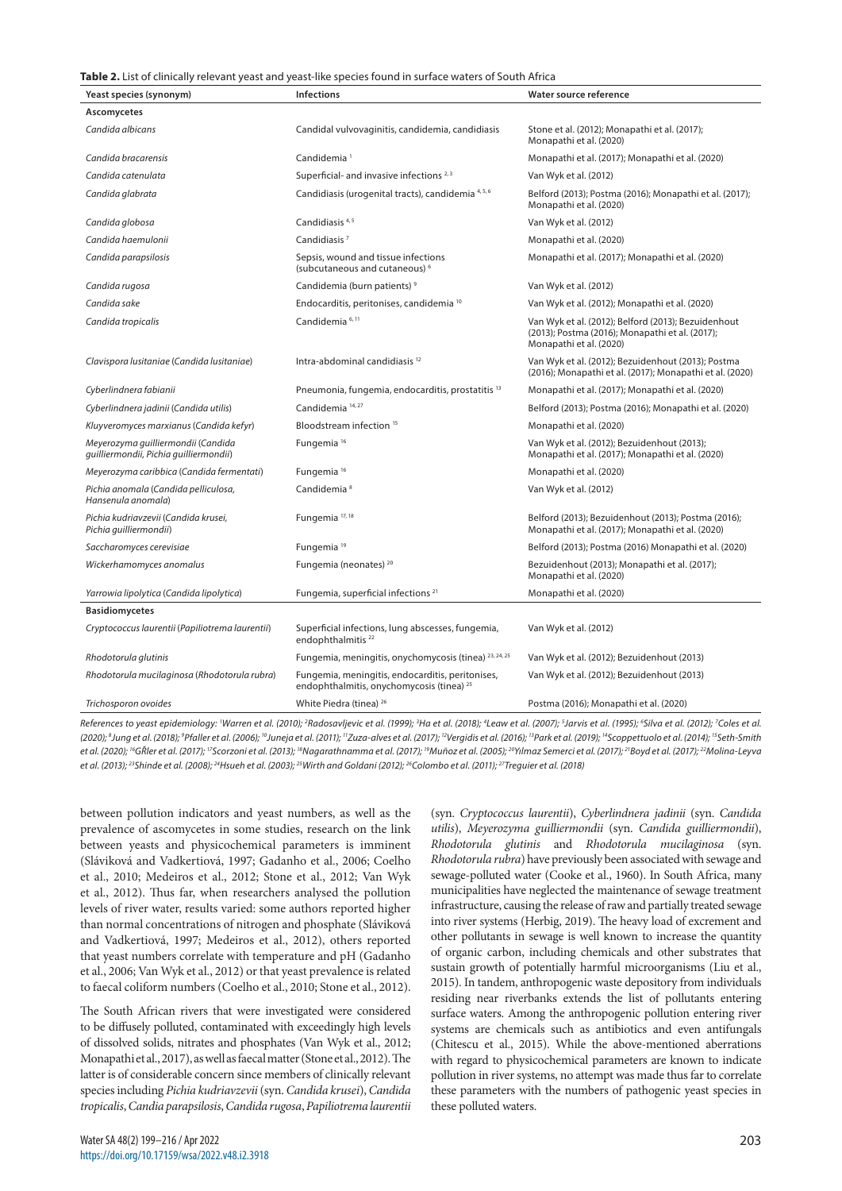#### **Table 2.** List of clinically relevant yeast and yeast-like species found in surface waters of South Africa

| Yeast species (synonym)                                                      | <b>Infections</b>                                                                                        | Water source reference                                                                                                            |
|------------------------------------------------------------------------------|----------------------------------------------------------------------------------------------------------|-----------------------------------------------------------------------------------------------------------------------------------|
| Ascomycetes                                                                  |                                                                                                          |                                                                                                                                   |
| Candida albicans                                                             | Candidal vulvovaginitis, candidemia, candidiasis                                                         | Stone et al. (2012); Monapathi et al. (2017);<br>Monapathi et al. (2020)                                                          |
| Candida bracarensis                                                          | Candidemia <sup>1</sup>                                                                                  | Monapathi et al. (2017); Monapathi et al. (2020)                                                                                  |
| Candida catenulata                                                           | Superficial- and invasive infections <sup>2,3</sup>                                                      | Van Wyk et al. (2012)                                                                                                             |
| Candida glabrata                                                             | Candidiasis (urogenital tracts), candidemia 4,5,6                                                        | Belford (2013); Postma (2016); Monapathi et al. (2017);<br>Monapathi et al. (2020)                                                |
| Candida globosa                                                              | Candidiasis <sup>4,5</sup>                                                                               | Van Wyk et al. (2012)                                                                                                             |
| Candida haemulonii                                                           | Candidiasis <sup>7</sup>                                                                                 | Monapathi et al. (2020)                                                                                                           |
| Candida parapsilosis                                                         | Sepsis, wound and tissue infections<br>(subcutaneous and cutaneous) <sup>6</sup>                         | Monapathi et al. (2017); Monapathi et al. (2020)                                                                                  |
| Candida rugosa                                                               | Candidemia (burn patients) <sup>9</sup>                                                                  | Van Wyk et al. (2012)                                                                                                             |
| Candida sake                                                                 | Endocarditis, peritonises, candidemia <sup>10</sup>                                                      | Van Wyk et al. (2012); Monapathi et al. (2020)                                                                                    |
| Candida tropicalis                                                           | Candidemia <sup>6, 11</sup>                                                                              | Van Wyk et al. (2012); Belford (2013); Bezuidenhout<br>(2013); Postma (2016); Monapathi et al. (2017);<br>Monapathi et al. (2020) |
| Clavispora lusitaniae (Candida lusitaniae)                                   | Intra-abdominal candidiasis <sup>12</sup>                                                                | Van Wyk et al. (2012); Bezuidenhout (2013); Postma<br>(2016); Monapathi et al. (2017); Monapathi et al. (2020)                    |
| Cyberlindnera fabianii                                                       | Pneumonia, fungemia, endocarditis, prostatitis <sup>13</sup>                                             | Monapathi et al. (2017); Monapathi et al. (2020)                                                                                  |
| Cyberlindnera jadinii (Candida utilis)                                       | Candidemia <sup>14,27</sup>                                                                              | Belford (2013); Postma (2016); Monapathi et al. (2020)                                                                            |
| Kluyveromyces marxianus (Candida kefyr)                                      | Bloodstream infection <sup>15</sup>                                                                      | Monapathi et al. (2020)                                                                                                           |
| Meyerozyma quilliermondii (Candida<br>quilliermondii, Pichia quilliermondii) | Fungemia <sup>16</sup>                                                                                   | Van Wyk et al. (2012); Bezuidenhout (2013);<br>Monapathi et al. (2017); Monapathi et al. (2020)                                   |
| Meyerozyma caribbica (Candida fermentati)                                    | Fungemia <sup>16</sup>                                                                                   | Monapathi et al. (2020)                                                                                                           |
| Pichia anomala (Candida pelliculosa,<br>Hansenula anomala)                   | Candidemia <sup>8</sup>                                                                                  | Van Wyk et al. (2012)                                                                                                             |
| Pichia kudriavzevii (Candida krusei,<br>Pichia quilliermondii)               | Fungemia <sup>17,18</sup>                                                                                | Belford (2013); Bezuidenhout (2013); Postma (2016);<br>Monapathi et al. (2017); Monapathi et al. (2020)                           |
| Saccharomyces cerevisiae                                                     | Fungemia <sup>19</sup>                                                                                   | Belford (2013); Postma (2016) Monapathi et al. (2020)                                                                             |
| Wickerhamomyces anomalus                                                     | Fungemia (neonates) <sup>20</sup>                                                                        | Bezuidenhout (2013); Monapathi et al. (2017);<br>Monapathi et al. (2020)                                                          |
| Yarrowia lipolytica (Candida lipolytica)                                     | Fungemia, superficial infections <sup>21</sup>                                                           | Monapathi et al. (2020)                                                                                                           |
| <b>Basidiomycetes</b>                                                        |                                                                                                          |                                                                                                                                   |
| Cryptococcus laurentii (Papiliotrema laurentii)                              | Superficial infections, lung abscesses, fungemia,<br>endophthalmitis <sup>22</sup>                       | Van Wyk et al. (2012)                                                                                                             |
| Rhodotorula glutinis                                                         | Fungemia, meningitis, onychomycosis (tinea) 23, 24, 25                                                   | Van Wyk et al. (2012); Bezuidenhout (2013)                                                                                        |
| Rhodotorula mucilaginosa (Rhodotorula rubra)                                 | Fungemia, meningitis, endocarditis, peritonises,<br>endophthalmitis, onychomycosis (tinea) <sup>25</sup> | Van Wyk et al. (2012); Bezuidenhout (2013)                                                                                        |
| Trichosporon ovoides                                                         | White Piedra (tinea) <sup>26</sup>                                                                       | Postma (2016); Monapathi et al. (2020)                                                                                            |
|                                                                              |                                                                                                          |                                                                                                                                   |

References to yeast epidemiology: 'Warren et al. (2010); <sup>2</sup>Radosavljevic et al. (1999); <sup>3</sup>Ha et al. (2018); <sup>4</sup>Leaw et al. (2007); <sup>5</sup>Jarvis et al. (1995); <sup>6</sup>Silva et al. (2012); <sup>7</sup>Coles et al. (2020); <sup>8</sup>Jung et al. (2018); <sup>9</sup>Pfaller et al. (2006); <sup>10</sup>Juneja et al. (2011); <sup>11</sup>Zuza-alves et al. (2017); <sup>12</sup>Vergidis et al. (2016); <sup>1</sup>Park et al. (2019); <sup>14</sup>Scoppettuolo et al. (2014); <sup>15</sup>Seth-Smith *et al. (2020); 16GŘler et al. (2017); 17Scorzoni et al. (2013); 18Nagarathnamma et al. (2017); 19Muñoz et al. (2005); 20Yılmaz Semerci et al. (2017); 21Boyd et al. (2017); 22Molina-Leyva et al. (2013); 23Shinde et al. (2008); 24Hsueh et al. (2003); 25Wirth and Goldani (2012); 26Colombo et al. (2011); 27Treguier et al. (2018)*

between pollution indicators and yeast numbers, as well as the prevalence of ascomycetes in some studies, research on the link between yeasts and physicochemical parameters is imminent (Sláviková and Vadkertiová, 1997; Gadanho et al., 2006; Coelho et al., 2010; Medeiros et al., 2012; Stone et al., 2012; Van Wyk et al., 2012). Thus far, when researchers analysed the pollution levels of river water, results varied: some authors reported higher than normal concentrations of nitrogen and phosphate (Sláviková and Vadkertiová, 1997; Medeiros et al., 2012), others reported that yeast numbers correlate with temperature and pH (Gadanho et al., 2006; Van Wyk et al., 2012) or that yeast prevalence is related to faecal coliform numbers (Coelho et al., 2010; Stone et al., 2012).

The South African rivers that were investigated were considered to be diffusely polluted, contaminated with exceedingly high levels of dissolved solids, nitrates and phosphates (Van Wyk et al., 2012; Monapathi et al., 2017), as well as faecal matter (Stone et al., 2012). The latter is of considerable concern since members of clinically relevant species including *Pichia kudriavzevii* (syn. *Candida krusei*), *Candida tropicalis*, *Candia parapsilosis*, *Candida rugosa*, *Papiliotrema laurentii*  (syn. *Cryptococcus laurentii*), *Cyberlindnera jadinii* (syn. *Candida utilis*), *Meyerozyma guilliermondii* (syn. *Candida guilliermondii*), *Rhodotorula glutinis* and *Rhodotorula mucilaginosa* (syn. *Rhodotorula rubra*) have previously been associated with sewage and sewage-polluted water (Cooke et al., 1960). In South Africa, many municipalities have neglected the maintenance of sewage treatment infrastructure, causing the release of raw and partially treated sewage into river systems (Herbig, 2019). The heavy load of excrement and other pollutants in sewage is well known to increase the quantity of organic carbon, including chemicals and other substrates that sustain growth of potentially harmful microorganisms (Liu et al., 2015). In tandem, anthropogenic waste depository from individuals residing near riverbanks extends the list of pollutants entering surface waters. Among the anthropogenic pollution entering river systems are chemicals such as antibiotics and even antifungals (Chitescu et al., 2015). While the above-mentioned aberrations with regard to physicochemical parameters are known to indicate pollution in river systems, no attempt was made thus far to correlate these parameters with the numbers of pathogenic yeast species in these polluted waters.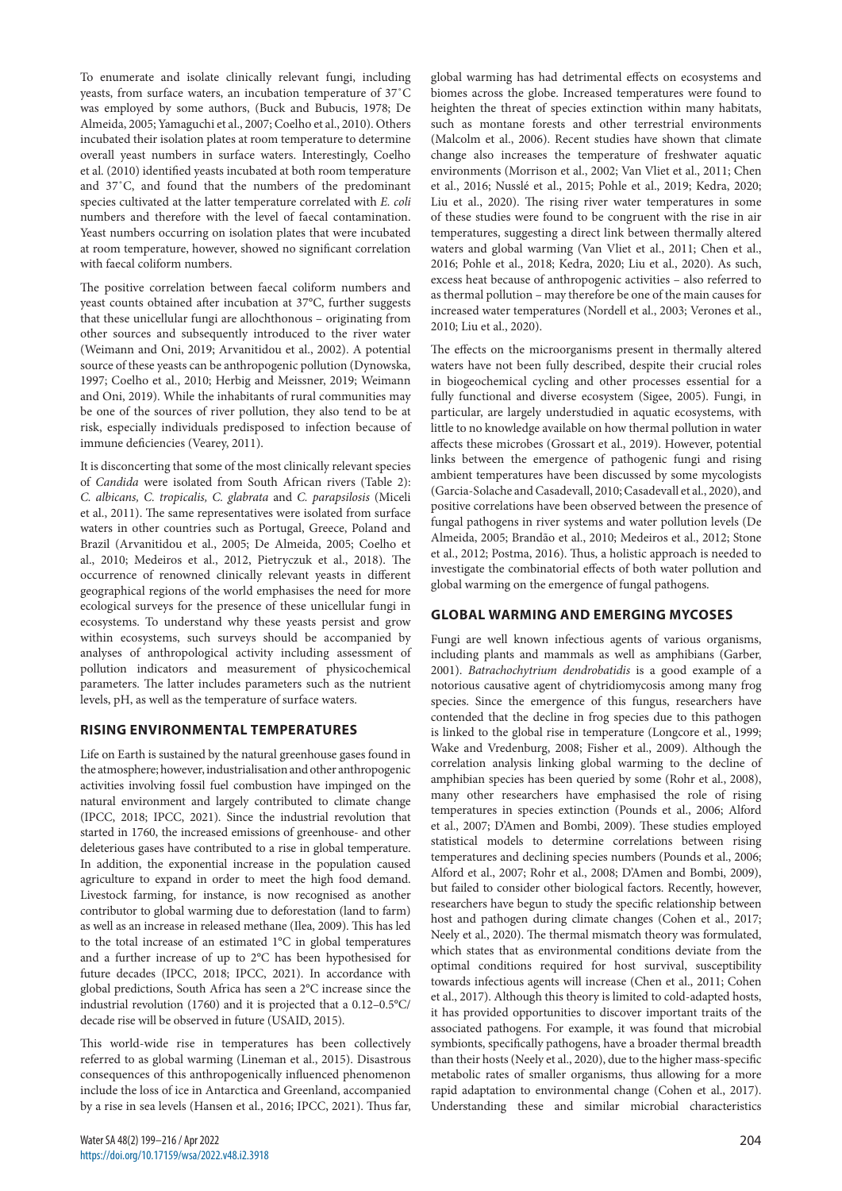To enumerate and isolate clinically relevant fungi, including yeasts, from surface waters, an incubation temperature of 37˚C was employed by some authors, (Buck and Bubucis, 1978; De Almeida, 2005; Yamaguchi et al., 2007; Coelho et al., 2010). Others incubated their isolation plates at room temperature to determine overall yeast numbers in surface waters. Interestingly, Coelho et al. (2010) identified yeasts incubated at both room temperature and 37˚C, and found that the numbers of the predominant species cultivated at the latter temperature correlated with *E. coli*  numbers and therefore with the level of faecal contamination. Yeast numbers occurring on isolation plates that were incubated at room temperature, however, showed no significant correlation with faecal coliform numbers.

The positive correlation between faecal coliform numbers and yeast counts obtained after incubation at 37°C, further suggests that these unicellular fungi are allochthonous – originating from other sources and subsequently introduced to the river water (Weimann and Oni, 2019; Arvanitidou et al., 2002). A potential source of these yeasts can be anthropogenic pollution (Dynowska, 1997; Coelho et al., 2010; Herbig and Meissner, 2019; Weimann and Oni, 2019). While the inhabitants of rural communities may be one of the sources of river pollution, they also tend to be at risk, especially individuals predisposed to infection because of immune deficiencies (Vearey, 2011).

It is disconcerting that some of the most clinically relevant species of *Candida* were isolated from South African rivers (Table 2): *C. albicans, C. tropicalis, C. glabrata* and *C. parapsilosis* (Miceli et al., 2011). The same representatives were isolated from surface waters in other countries such as Portugal, Greece, Poland and Brazil (Arvanitidou et al., 2005; De Almeida, 2005; Coelho et al., 2010; Medeiros et al., 2012, Pietryczuk et al., 2018). The occurrence of renowned clinically relevant yeasts in different geographical regions of the world emphasises the need for more ecological surveys for the presence of these unicellular fungi in ecosystems. To understand why these yeasts persist and grow within ecosystems, such surveys should be accompanied by analyses of anthropological activity including assessment of pollution indicators and measurement of physicochemical parameters. The latter includes parameters such as the nutrient levels, pH, as well as the temperature of surface waters.

# **RISING ENVIRONMENTAL TEMPERATURES**

Life on Earth is sustained by the natural greenhouse gases found in the atmosphere; however, industrialisation and other anthropogenic activities involving fossil fuel combustion have impinged on the natural environment and largely contributed to climate change (IPCC, 2018; IPCC, 2021). Since the industrial revolution that started in 1760, the increased emissions of greenhouse- and other deleterious gases have contributed to a rise in global temperature. In addition, the exponential increase in the population caused agriculture to expand in order to meet the high food demand. Livestock farming, for instance, is now recognised as another contributor to global warming due to deforestation (land to farm) as well as an increase in released methane (Ilea, 2009). This has led to the total increase of an estimated 1°C in global temperatures and a further increase of up to 2°C has been hypothesised for future decades (IPCC, 2018; IPCC, 2021). In accordance with global predictions, South Africa has seen a 2°C increase since the industrial revolution (1760) and it is projected that a 0.12–0.5°C/ decade rise will be observed in future (USAID, 2015).

This world-wide rise in temperatures has been collectively referred to as global warming (Lineman et al., 2015). Disastrous consequences of this anthropogenically influenced phenomenon include the loss of ice in Antarctica and Greenland, accompanied by a rise in sea levels (Hansen et al., 2016; IPCC, 2021). Thus far,

global warming has had detrimental effects on ecosystems and biomes across the globe. Increased temperatures were found to heighten the threat of species extinction within many habitats, such as montane forests and other terrestrial environments (Malcolm et al., 2006). Recent studies have shown that climate change also increases the temperature of freshwater aquatic environments (Morrison et al., 2002; Van Vliet et al., 2011; Chen et al., 2016; Nusslé et al., 2015; Pohle et al., 2019; Kedra, 2020; Liu et al., 2020). The rising river water temperatures in some of these studies were found to be congruent with the rise in air temperatures, suggesting a direct link between thermally altered waters and global warming (Van Vliet et al., 2011; Chen et al., 2016; Pohle et al., 2018; Kedra, 2020; Liu et al., 2020). As such, excess heat because of anthropogenic activities – also referred to as thermal pollution – may therefore be one of the main causes for increased water temperatures (Nordell et al., 2003; Verones et al., 2010; Liu et al., 2020).

The effects on the microorganisms present in thermally altered waters have not been fully described, despite their crucial roles in biogeochemical cycling and other processes essential for a fully functional and diverse ecosystem (Sigee, 2005). Fungi, in particular, are largely understudied in aquatic ecosystems, with little to no knowledge available on how thermal pollution in water affects these microbes (Grossart et al., 2019). However, potential links between the emergence of pathogenic fungi and rising ambient temperatures have been discussed by some mycologists (Garcia-Solache and Casadevall, 2010; Casadevall et al., 2020), and positive correlations have been observed between the presence of fungal pathogens in river systems and water pollution levels (De Almeida, 2005; Brandão et al., 2010; Medeiros et al., 2012; Stone et al., 2012; Postma, 2016). Thus, a holistic approach is needed to investigate the combinatorial effects of both water pollution and global warming on the emergence of fungal pathogens.

# **GLOBAL WARMING AND EMERGING MYCOSES**

Fungi are well known infectious agents of various organisms, including plants and mammals as well as amphibians (Garber, 2001). *Batrachochytrium dendrobatidis* is a good example of a notorious causative agent of chytridiomycosis among many frog species. Since the emergence of this fungus, researchers have contended that the decline in frog species due to this pathogen is linked to the global rise in temperature (Longcore et al., 1999; Wake and Vredenburg, 2008; Fisher et al., 2009). Although the correlation analysis linking global warming to the decline of amphibian species has been queried by some (Rohr et al., 2008), many other researchers have emphasised the role of rising temperatures in species extinction (Pounds et al., 2006; Alford et al., 2007; D'Amen and Bombi, 2009). These studies employed statistical models to determine correlations between rising temperatures and declining species numbers (Pounds et al., 2006; Alford et al., 2007; Rohr et al., 2008; D'Amen and Bombi, 2009), but failed to consider other biological factors. Recently, however, researchers have begun to study the specific relationship between host and pathogen during climate changes (Cohen et al., 2017; Neely et al., 2020). The thermal mismatch theory was formulated, which states that as environmental conditions deviate from the optimal conditions required for host survival, susceptibility towards infectious agents will increase (Chen et al., 2011; Cohen et al., 2017). Although this theory is limited to cold-adapted hosts, it has provided opportunities to discover important traits of the associated pathogens. For example, it was found that microbial symbionts, specifically pathogens, have a broader thermal breadth than their hosts (Neely et al., 2020), due to the higher mass-specific metabolic rates of smaller organisms, thus allowing for a more rapid adaptation to environmental change (Cohen et al., 2017). Understanding these and similar microbial characteristics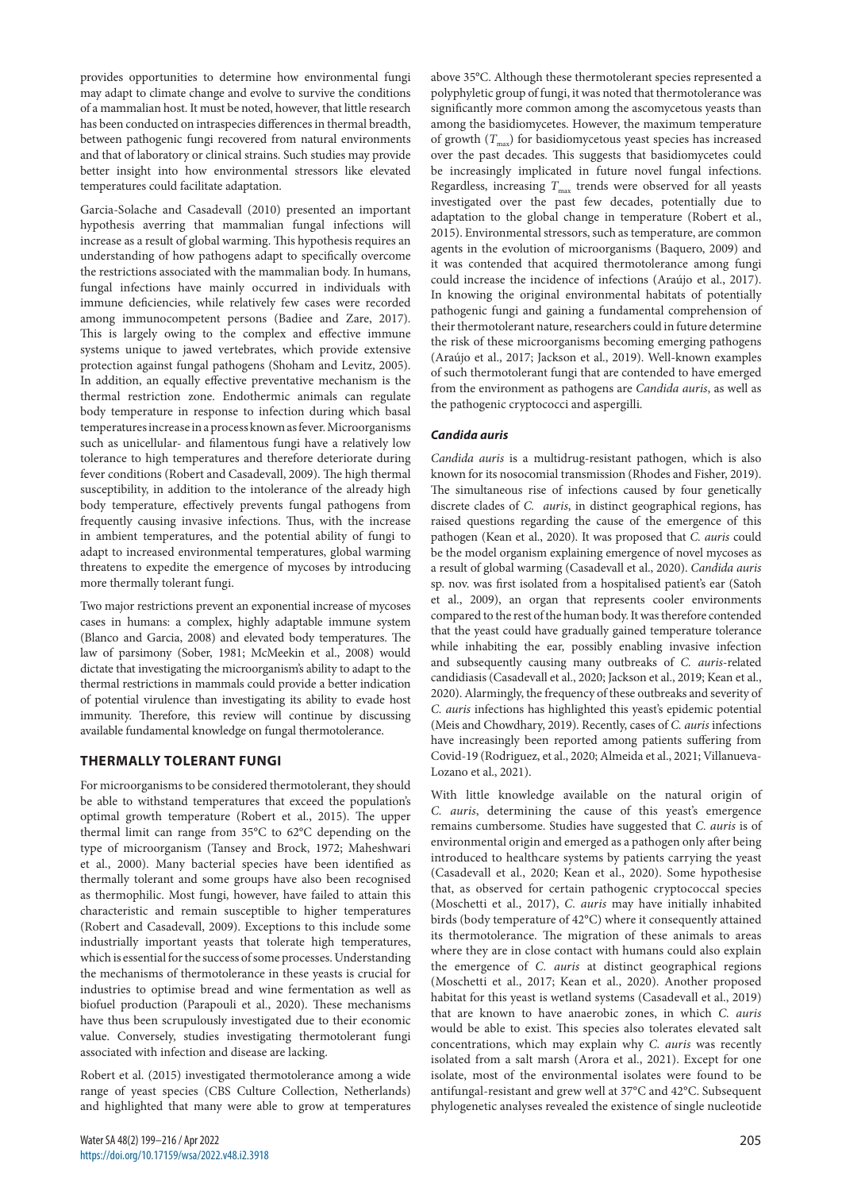provides opportunities to determine how environmental fungi may adapt to climate change and evolve to survive the conditions of a mammalian host. It must be noted, however, that little research has been conducted on intraspecies differences in thermal breadth, between pathogenic fungi recovered from natural environments and that of laboratory or clinical strains. Such studies may provide better insight into how environmental stressors like elevated temperatures could facilitate adaptation.

Garcia-Solache and Casadevall (2010) presented an important hypothesis averring that mammalian fungal infections will increase as a result of global warming. This hypothesis requires an understanding of how pathogens adapt to specifically overcome the restrictions associated with the mammalian body. In humans, fungal infections have mainly occurred in individuals with immune deficiencies, while relatively few cases were recorded among immunocompetent persons (Badiee and Zare, 2017). This is largely owing to the complex and effective immune systems unique to jawed vertebrates, which provide extensive protection against fungal pathogens (Shoham and Levitz, 2005). In addition, an equally effective preventative mechanism is the thermal restriction zone. Endothermic animals can regulate body temperature in response to infection during which basal temperatures increase in a process known as fever. Microorganisms such as unicellular- and filamentous fungi have a relatively low tolerance to high temperatures and therefore deteriorate during fever conditions (Robert and Casadevall, 2009). The high thermal susceptibility, in addition to the intolerance of the already high body temperature, effectively prevents fungal pathogens from frequently causing invasive infections. Thus, with the increase in ambient temperatures, and the potential ability of fungi to adapt to increased environmental temperatures, global warming threatens to expedite the emergence of mycoses by introducing more thermally tolerant fungi.

Two major restrictions prevent an exponential increase of mycoses cases in humans: a complex, highly adaptable immune system (Blanco and Garcia, 2008) and elevated body temperatures. The law of parsimony (Sober, 1981; McMeekin et al., 2008) would dictate that investigating the microorganism's ability to adapt to the thermal restrictions in mammals could provide a better indication of potential virulence than investigating its ability to evade host immunity. Therefore, this review will continue by discussing available fundamental knowledge on fungal thermotolerance.

# **THERMALLY TOLERANT FUNGI**

For microorganisms to be considered thermotolerant, they should be able to withstand temperatures that exceed the population's optimal growth temperature (Robert et al., 2015). The upper thermal limit can range from 35°C to 62°C depending on the type of microorganism (Tansey and Brock, 1972; Maheshwari et al., 2000). Many bacterial species have been identified as thermally tolerant and some groups have also been recognised as thermophilic. Most fungi, however, have failed to attain this characteristic and remain susceptible to higher temperatures (Robert and Casadevall, 2009). Exceptions to this include some industrially important yeasts that tolerate high temperatures, which is essential for the success of some processes. Understanding the mechanisms of thermotolerance in these yeasts is crucial for industries to optimise bread and wine fermentation as well as biofuel production (Parapouli et al., 2020). These mechanisms have thus been scrupulously investigated due to their economic value. Conversely, studies investigating thermotolerant fungi associated with infection and disease are lacking.

Robert et al. (2015) investigated thermotolerance among a wide range of yeast species (CBS Culture Collection, Netherlands) and highlighted that many were able to grow at temperatures

above 35°C. Although these thermotolerant species represented a polyphyletic group of fungi, it was noted that thermotolerance was significantly more common among the ascomycetous yeasts than among the basidiomycetes. However, the maximum temperature of growth  $(T_{\text{max}})$  for basidiomycetous yeast species has increased over the past decades. This suggests that basidiomycetes could be increasingly implicated in future novel fungal infections. Regardless, increasing  $T_{\text{max}}$  trends were observed for all yeasts investigated over the past few decades, potentially due to adaptation to the global change in temperature (Robert et al., 2015). Environmental stressors, such as temperature, are common agents in the evolution of microorganisms (Baquero, 2009) and it was contended that acquired thermotolerance among fungi could increase the incidence of infections (Araújo et al., 2017). In knowing the original environmental habitats of potentially pathogenic fungi and gaining a fundamental comprehension of their thermotolerant nature, researchers could in future determine the risk of these microorganisms becoming emerging pathogens (Araújo et al., 2017; Jackson et al., 2019). Well-known examples of such thermotolerant fungi that are contended to have emerged from the environment as pathogens are *Candida auris*, as well as the pathogenic cryptococci and aspergilli.

# *Candida auris*

*Candida auris* is a multidrug-resistant pathogen, which is also known for its nosocomial transmission (Rhodes and Fisher, 2019). The simultaneous rise of infections caused by four genetically discrete clades of *C. auris*, in distinct geographical regions, has raised questions regarding the cause of the emergence of this pathogen (Kean et al., 2020). It was proposed that *C. auris* could be the model organism explaining emergence of novel mycoses as a result of global warming (Casadevall et al., 2020). *Candida auris*  sp. nov. was first isolated from a hospitalised patient's ear (Satoh et al., 2009), an organ that represents cooler environments compared to the rest of the human body. It was therefore contended that the yeast could have gradually gained temperature tolerance while inhabiting the ear, possibly enabling invasive infection and subsequently causing many outbreaks of *C. auris*-related candidiasis (Casadevall et al., 2020; Jackson et al., 2019; Kean et al., 2020). Alarmingly, the frequency of these outbreaks and severity of *C. auris* infections has highlighted this yeast's epidemic potential (Meis and Chowdhary, 2019). Recently, cases of *C. auris* infections have increasingly been reported among patients suffering from Covid-19 (Rodriguez, et al., 2020; Almeida et al., 2021; Villanueva-Lozano et al., 2021).

With little knowledge available on the natural origin of *C. auris*, determining the cause of this yeast's emergence remains cumbersome. Studies have suggested that *C. auris* is of environmental origin and emerged as a pathogen only after being introduced to healthcare systems by patients carrying the yeast (Casadevall et al., 2020; Kean et al., 2020). Some hypothesise that, as observed for certain pathogenic cryptococcal species (Moschetti et al., 2017), *C. auris* may have initially inhabited birds (body temperature of 42°C) where it consequently attained its thermotolerance. The migration of these animals to areas where they are in close contact with humans could also explain the emergence of *C. auris* at distinct geographical regions (Moschetti et al., 2017; Kean et al., 2020). Another proposed habitat for this yeast is wetland systems (Casadevall et al., 2019) that are known to have anaerobic zones, in which *C. auris* would be able to exist. This species also tolerates elevated salt concentrations, which may explain why *C. auris* was recently isolated from a salt marsh (Arora et al., 2021). Except for one isolate, most of the environmental isolates were found to be antifungal-resistant and grew well at 37°C and 42°C. Subsequent phylogenetic analyses revealed the existence of single nucleotide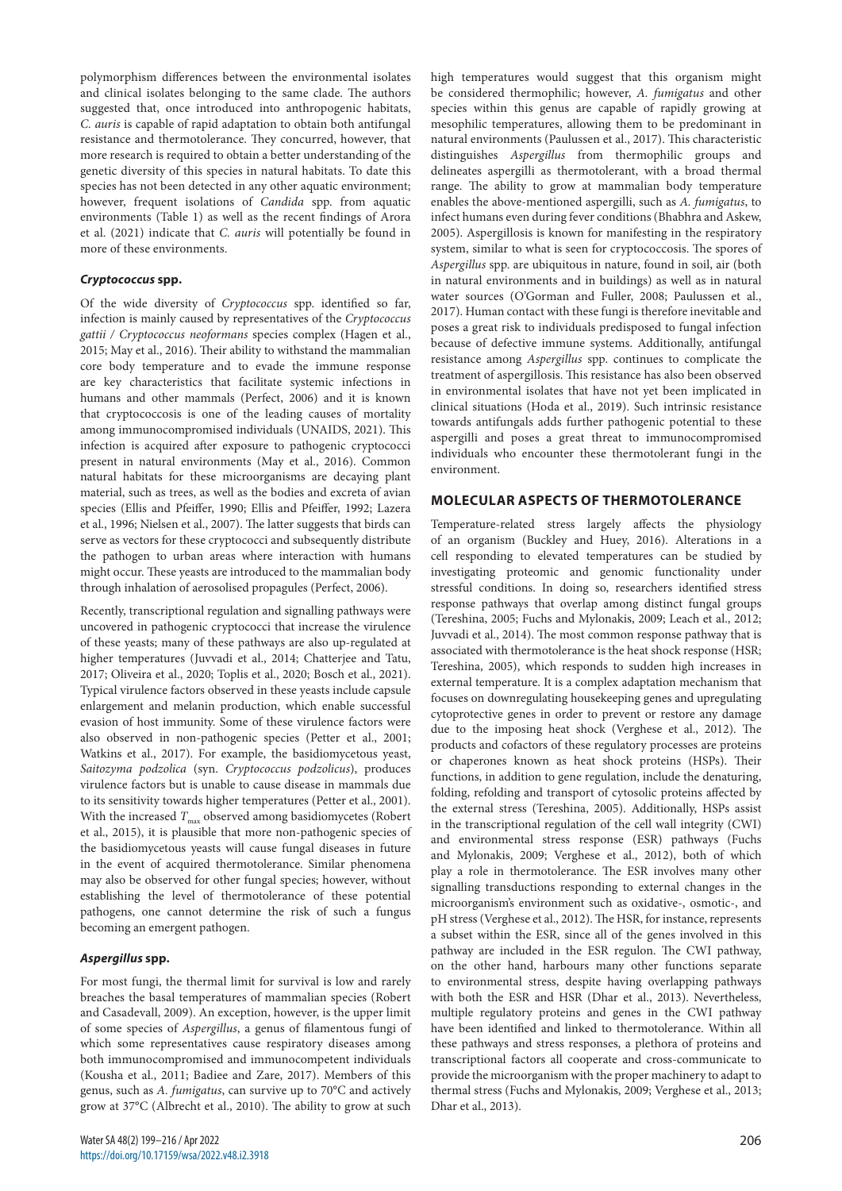polymorphism differences between the environmental isolates and clinical isolates belonging to the same clade. The authors suggested that, once introduced into anthropogenic habitats, *C. auris* is capable of rapid adaptation to obtain both antifungal resistance and thermotolerance. They concurred, however, that more research is required to obtain a better understanding of the genetic diversity of this species in natural habitats. To date this species has not been detected in any other aquatic environment; however, frequent isolations of *Candida* spp. from aquatic environments (Table 1) as well as the recent findings of Arora et al. (2021) indicate that *C. auris* will potentially be found in more of these environments.

## *Cryptococcus* **spp.**

Of the wide diversity of *Cryptococcus* spp. identified so far, infection is mainly caused by representatives of the *Cryptococcus gattii / Cryptococcus neoformans* species complex (Hagen et al., 2015; May et al., 2016). Their ability to withstand the mammalian core body temperature and to evade the immune response are key characteristics that facilitate systemic infections in humans and other mammals (Perfect, 2006) and it is known that cryptococcosis is one of the leading causes of mortality among immunocompromised individuals (UNAIDS, 2021). This infection is acquired after exposure to pathogenic cryptococci present in natural environments (May et al., 2016). Common natural habitats for these microorganisms are decaying plant material, such as trees, as well as the bodies and excreta of avian species (Ellis and Pfeiffer, 1990; Ellis and Pfeiffer, 1992; Lazera et al., 1996; Nielsen et al., 2007). The latter suggests that birds can serve as vectors for these cryptococci and subsequently distribute the pathogen to urban areas where interaction with humans might occur. These yeasts are introduced to the mammalian body through inhalation of aerosolised propagules (Perfect, 2006).

Recently, transcriptional regulation and signalling pathways were uncovered in pathogenic cryptococci that increase the virulence of these yeasts; many of these pathways are also up-regulated at higher temperatures (Juvvadi et al., 2014; Chatterjee and Tatu, 2017; Oliveira et al., 2020; Toplis et al., 2020; Bosch et al., 2021). Typical virulence factors observed in these yeasts include capsule enlargement and melanin production, which enable successful evasion of host immunity. Some of these virulence factors were also observed in non-pathogenic species (Petter et al., 2001; Watkins et al., 2017). For example, the basidiomycetous yeast, *Saitozyma podzolica* (syn. *Cryptococcus podzolicus*), produces virulence factors but is unable to cause disease in mammals due to its sensitivity towards higher temperatures (Petter et al., 2001). With the increased  $T_{\text{max}}$  observed among basidiomycetes (Robert et al., 2015), it is plausible that more non-pathogenic species of the basidiomycetous yeasts will cause fungal diseases in future in the event of acquired thermotolerance. Similar phenomena may also be observed for other fungal species; however, without establishing the level of thermotolerance of these potential pathogens, one cannot determine the risk of such a fungus becoming an emergent pathogen.

# *Aspergillus* **spp.**

For most fungi, the thermal limit for survival is low and rarely breaches the basal temperatures of mammalian species (Robert and Casadevall, 2009). An exception, however, is the upper limit of some species of *Aspergillus*, a genus of filamentous fungi of which some representatives cause respiratory diseases among both immunocompromised and immunocompetent individuals (Kousha et al., 2011; Badiee and Zare, 2017). Members of this genus, such as *A. fumigatus*, can survive up to 70°C and actively grow at 37°C (Albrecht et al., 2010). The ability to grow at such high temperatures would suggest that this organism might be considered thermophilic; however, *A. fumigatus* and other species within this genus are capable of rapidly growing at mesophilic temperatures, allowing them to be predominant in natural environments (Paulussen et al., 2017). This characteristic distinguishes *Aspergillus* from thermophilic groups and delineates aspergilli as thermotolerant, with a broad thermal range. The ability to grow at mammalian body temperature enables the above-mentioned aspergilli, such as *A. fumigatus*, to infect humans even during fever conditions (Bhabhra and Askew, 2005). Aspergillosis is known for manifesting in the respiratory system, similar to what is seen for cryptococcosis. The spores of *Aspergillus* spp. are ubiquitous in nature, found in soil, air (both in natural environments and in buildings) as well as in natural water sources (O'Gorman and Fuller, 2008; Paulussen et al., 2017). Human contact with these fungi is therefore inevitable and poses a great risk to individuals predisposed to fungal infection because of defective immune systems. Additionally, antifungal resistance among *Aspergillus* spp. continues to complicate the treatment of aspergillosis. This resistance has also been observed in environmental isolates that have not yet been implicated in clinical situations (Hoda et al., 2019). Such intrinsic resistance towards antifungals adds further pathogenic potential to these aspergilli and poses a great threat to immunocompromised individuals who encounter these thermotolerant fungi in the environment.

# **MOLECULAR ASPECTS OF THERMOTOLERANCE**

Temperature-related stress largely affects the physiology of an organism (Buckley and Huey, 2016). Alterations in a cell responding to elevated temperatures can be studied by investigating proteomic and genomic functionality under stressful conditions. In doing so, researchers identified stress response pathways that overlap among distinct fungal groups (Tereshina, 2005; Fuchs and Mylonakis, 2009; Leach et al., 2012; Juvvadi et al., 2014). The most common response pathway that is associated with thermotolerance is the heat shock response (HSR; Tereshina, 2005), which responds to sudden high increases in external temperature. It is a complex adaptation mechanism that focuses on downregulating housekeeping genes and upregulating cytoprotective genes in order to prevent or restore any damage due to the imposing heat shock (Verghese et al., 2012). The products and cofactors of these regulatory processes are proteins or chaperones known as heat shock proteins (HSPs). Their functions, in addition to gene regulation, include the denaturing, folding, refolding and transport of cytosolic proteins affected by the external stress (Tereshina, 2005). Additionally, HSPs assist in the transcriptional regulation of the cell wall integrity (CWI) and environmental stress response (ESR) pathways (Fuchs and Mylonakis, 2009; Verghese et al., 2012), both of which play a role in thermotolerance. The ESR involves many other signalling transductions responding to external changes in the microorganism's environment such as oxidative-, osmotic-, and pH stress (Verghese et al., 2012). The HSR, for instance, represents a subset within the ESR, since all of the genes involved in this pathway are included in the ESR regulon. The CWI pathway, on the other hand, harbours many other functions separate to environmental stress, despite having overlapping pathways with both the ESR and HSR (Dhar et al., 2013). Nevertheless, multiple regulatory proteins and genes in the CWI pathway have been identified and linked to thermotolerance. Within all these pathways and stress responses, a plethora of proteins and transcriptional factors all cooperate and cross-communicate to provide the microorganism with the proper machinery to adapt to thermal stress (Fuchs and Mylonakis, 2009; Verghese et al., 2013; Dhar et al., 2013).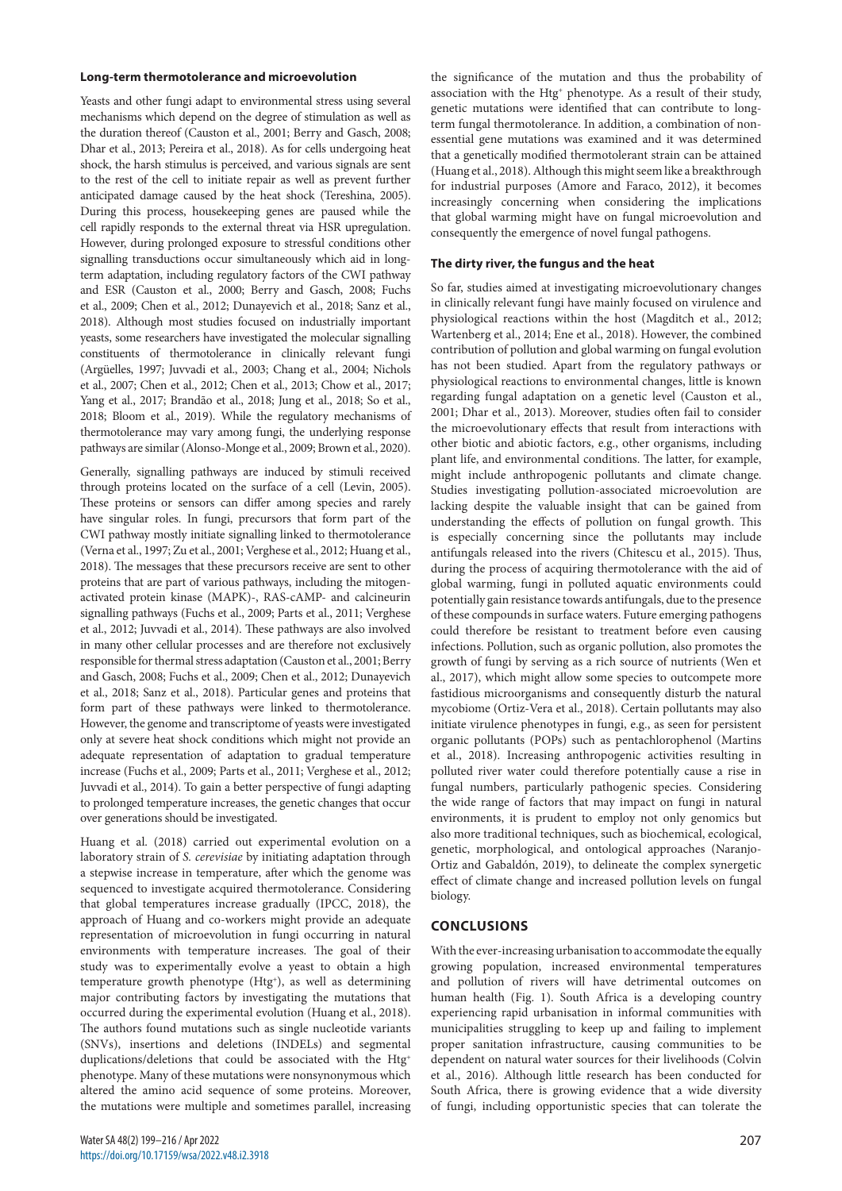#### **Long-term thermotolerance and microevolution**

Yeasts and other fungi adapt to environmental stress using several mechanisms which depend on the degree of stimulation as well as the duration thereof (Causton et al., 2001; Berry and Gasch, 2008; Dhar et al., 2013; Pereira et al., 2018). As for cells undergoing heat shock, the harsh stimulus is perceived, and various signals are sent to the rest of the cell to initiate repair as well as prevent further anticipated damage caused by the heat shock (Tereshina, 2005). During this process, housekeeping genes are paused while the cell rapidly responds to the external threat via HSR upregulation. However, during prolonged exposure to stressful conditions other signalling transductions occur simultaneously which aid in longterm adaptation, including regulatory factors of the CWI pathway and ESR (Causton et al., 2000; Berry and Gasch, 2008; Fuchs et al., 2009; Chen et al., 2012; Dunayevich et al., 2018; Sanz et al., 2018). Although most studies focused on industrially important yeasts, some researchers have investigated the molecular signalling constituents of thermotolerance in clinically relevant fungi (Argüelles, 1997; Juvvadi et al., 2003; Chang et al., 2004; Nichols et al., 2007; Chen et al., 2012; Chen et al., 2013; Chow et al., 2017; Yang et al., 2017; Brandão et al., 2018; Jung et al., 2018; So et al., 2018; Bloom et al., 2019). While the regulatory mechanisms of thermotolerance may vary among fungi, the underlying response pathways are similar (Alonso-Monge et al., 2009; Brown et al., 2020).

Generally, signalling pathways are induced by stimuli received through proteins located on the surface of a cell (Levin, 2005). These proteins or sensors can differ among species and rarely have singular roles. In fungi, precursors that form part of the CWI pathway mostly initiate signalling linked to thermotolerance (Verna et al., 1997; Zu et al., 2001; Verghese et al., 2012; Huang et al., 2018). The messages that these precursors receive are sent to other proteins that are part of various pathways, including the mitogenactivated protein kinase (MAPK)-, RAS-cAMP- and calcineurin signalling pathways (Fuchs et al., 2009; Parts et al., 2011; Verghese et al., 2012; Juvvadi et al., 2014). These pathways are also involved in many other cellular processes and are therefore not exclusively responsible for thermal stress adaptation (Causton et al., 2001; Berry and Gasch, 2008; Fuchs et al., 2009; Chen et al., 2012; Dunayevich et al., 2018; Sanz et al., 2018). Particular genes and proteins that form part of these pathways were linked to thermotolerance. However, the genome and transcriptome of yeasts were investigated only at severe heat shock conditions which might not provide an adequate representation of adaptation to gradual temperature increase (Fuchs et al., 2009; Parts et al., 2011; Verghese et al., 2012; Juvvadi et al., 2014). To gain a better perspective of fungi adapting to prolonged temperature increases, the genetic changes that occur over generations should be investigated.

Huang et al. (2018) carried out experimental evolution on a laboratory strain of *S. cerevisiae* by initiating adaptation through a stepwise increase in temperature, after which the genome was sequenced to investigate acquired thermotolerance. Considering that global temperatures increase gradually (IPCC, 2018), the approach of Huang and co-workers might provide an adequate representation of microevolution in fungi occurring in natural environments with temperature increases. The goal of their study was to experimentally evolve a yeast to obtain a high temperature growth phenotype (Htg<sup>+</sup>), as well as determining major contributing factors by investigating the mutations that occurred during the experimental evolution (Huang et al., 2018). The authors found mutations such as single nucleotide variants (SNVs), insertions and deletions (INDELs) and segmental duplications/deletions that could be associated with the Htg<sup>+</sup> phenotype. Many of these mutations were nonsynonymous which altered the amino acid sequence of some proteins. Moreover, the mutations were multiple and sometimes parallel, increasing the significance of the mutation and thus the probability of association with the Htg<sup>+</sup> phenotype. As a result of their study, genetic mutations were identified that can contribute to longterm fungal thermotolerance. In addition, a combination of nonessential gene mutations was examined and it was determined that a genetically modified thermotolerant strain can be attained (Huang et al., 2018). Although this might seem like a breakthrough for industrial purposes (Amore and Faraco, 2012), it becomes increasingly concerning when considering the implications that global warming might have on fungal microevolution and consequently the emergence of novel fungal pathogens.

### **The dirty river, the fungus and the heat**

So far, studies aimed at investigating microevolutionary changes in clinically relevant fungi have mainly focused on virulence and physiological reactions within the host (Magditch et al., 2012; Wartenberg et al., 2014; Ene et al., 2018). However, the combined contribution of pollution and global warming on fungal evolution has not been studied. Apart from the regulatory pathways or physiological reactions to environmental changes, little is known regarding fungal adaptation on a genetic level (Causton et al., 2001; Dhar et al., 2013). Moreover, studies often fail to consider the microevolutionary effects that result from interactions with other biotic and abiotic factors, e.g., other organisms, including plant life, and environmental conditions. The latter, for example, might include anthropogenic pollutants and climate change. Studies investigating pollution-associated microevolution are lacking despite the valuable insight that can be gained from understanding the effects of pollution on fungal growth. This is especially concerning since the pollutants may include antifungals released into the rivers (Chitescu et al., 2015). Thus, during the process of acquiring thermotolerance with the aid of global warming, fungi in polluted aquatic environments could potentially gain resistance towards antifungals, due to the presence of these compounds in surface waters. Future emerging pathogens could therefore be resistant to treatment before even causing infections. Pollution, such as organic pollution, also promotes the growth of fungi by serving as a rich source of nutrients (Wen et al., 2017), which might allow some species to outcompete more fastidious microorganisms and consequently disturb the natural mycobiome (Ortiz-Vera et al., 2018). Certain pollutants may also initiate virulence phenotypes in fungi, e.g., as seen for persistent organic pollutants (POPs) such as pentachlorophenol (Martins et al., 2018). Increasing anthropogenic activities resulting in polluted river water could therefore potentially cause a rise in fungal numbers, particularly pathogenic species. Considering the wide range of factors that may impact on fungi in natural environments, it is prudent to employ not only genomics but also more traditional techniques, such as biochemical, ecological, genetic, morphological, and ontological approaches (Naranjo-Ortiz and Gabaldón, 2019), to delineate the complex synergetic effect of climate change and increased pollution levels on fungal biology.

# **CONCLUSIONS**

With the ever-increasing urbanisation to accommodate the equally growing population, increased environmental temperatures and pollution of rivers will have detrimental outcomes on human health (Fig. 1). South Africa is a developing country experiencing rapid urbanisation in informal communities with municipalities struggling to keep up and failing to implement proper sanitation infrastructure, causing communities to be dependent on natural water sources for their livelihoods (Colvin et al., 2016). Although little research has been conducted for South Africa, there is growing evidence that a wide diversity of fungi, including opportunistic species that can tolerate the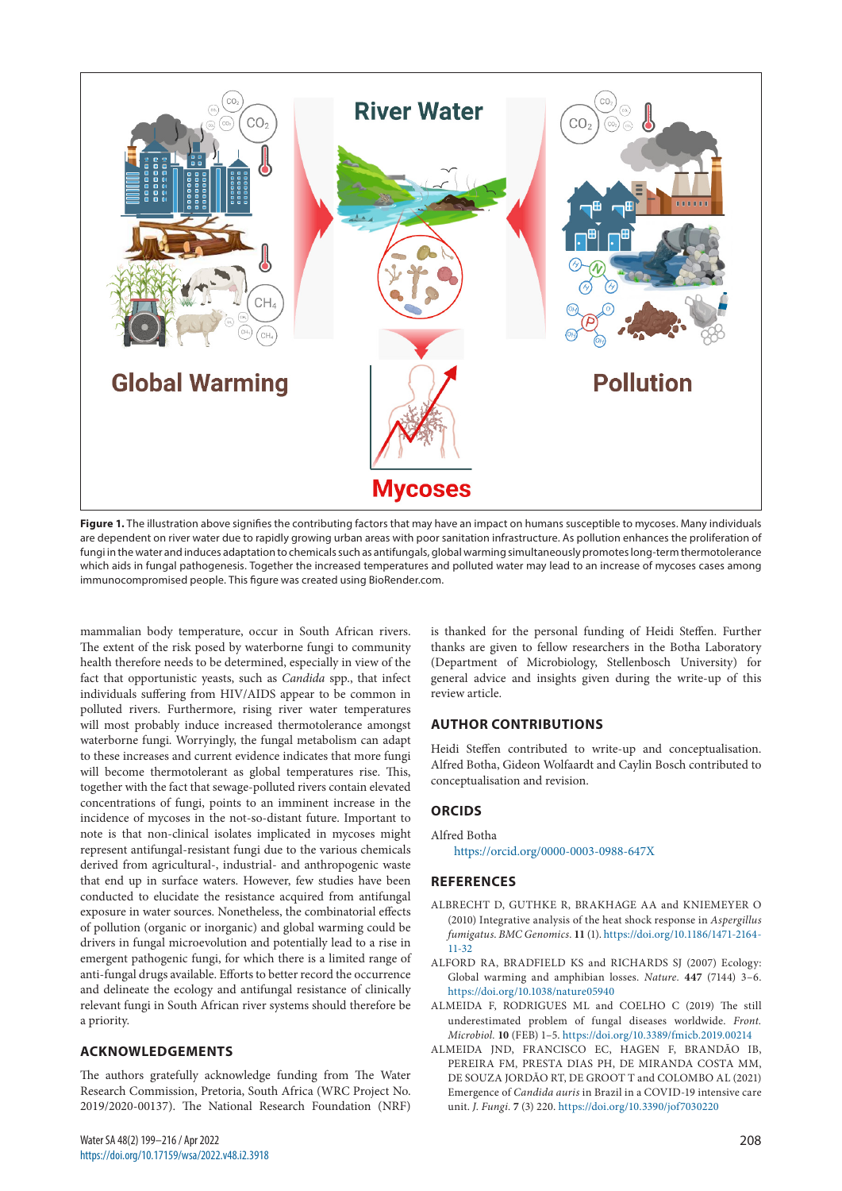

Figure 1. The illustration above signifies the contributing factors that may have an impact on humans susceptible to mycoses. Many individuals are dependent on river water due to rapidly growing urban areas with poor sanitation infrastructure. As pollution enhances the proliferation of fungi in the water and induces adaptation to chemicals such as antifungals, global warming simultaneously promotes long-term thermotolerance which aids in fungal pathogenesis. Together the increased temperatures and polluted water may lead to an increase of mycoses cases among immunocompromised people. This figure was created using BioRender.com.

mammalian body temperature, occur in South African rivers. The extent of the risk posed by waterborne fungi to community health therefore needs to be determined, especially in view of the fact that opportunistic yeasts, such as *Candida* spp., that infect individuals suffering from HIV/AIDS appear to be common in polluted rivers. Furthermore, rising river water temperatures will most probably induce increased thermotolerance amongst waterborne fungi. Worryingly, the fungal metabolism can adapt to these increases and current evidence indicates that more fungi will become thermotolerant as global temperatures rise. This, together with the fact that sewage-polluted rivers contain elevated concentrations of fungi, points to an imminent increase in the incidence of mycoses in the not-so-distant future. Important to note is that non-clinical isolates implicated in mycoses might represent antifungal-resistant fungi due to the various chemicals derived from agricultural-, industrial- and anthropogenic waste that end up in surface waters. However, few studies have been conducted to elucidate the resistance acquired from antifungal exposure in water sources. Nonetheless, the combinatorial effects of pollution (organic or inorganic) and global warming could be drivers in fungal microevolution and potentially lead to a rise in emergent pathogenic fungi, for which there is a limited range of anti-fungal drugs available. Efforts to better record the occurrence and delineate the ecology and antifungal resistance of clinically relevant fungi in South African river systems should therefore be a priority.

### **ACKNOWLEDGEMENTS**

The authors gratefully acknowledge funding from The Water Research Commission, Pretoria, South Africa (WRC Project No. 2019/2020-00137). The National Research Foundation (NRF) is thanked for the personal funding of Heidi Steffen. Further thanks are given to fellow researchers in the Botha Laboratory (Department of Microbiology, Stellenbosch University) for general advice and insights given during the write-up of this review article.

## **AUTHOR CONTRIBUTIONS**

Heidi Steffen contributed to write-up and conceptualisation. Alfred Botha, Gideon Wolfaardt and Caylin Bosch contributed to conceptualisation and revision.

### **ORCIDS**

Alfred Botha

<https://orcid.org/0000-0003-0988-647X>

#### **REFERENCES**

- ALBRECHT D, GUTHKE R, BRAKHAGE AA and KNIEMEYER O (2010) Integrative analysis of the heat shock response in *Aspergillus fumigatus*. *BMC Genomics.* **11** (1). [https://doi.org/10.1186/1471-2164-](https://doi.org/10.1186/1471-2164-11-32) [11-32](https://doi.org/10.1186/1471-2164-11-32)
- ALFORD RA, BRADFIELD KS and RICHARDS SJ (2007) Ecology: Global warming and amphibian losses. *Nature.* **447** (7144) 3–6. <https://doi.org/10.1038/nature05940>
- ALMEIDA F, RODRIGUES ML and COELHO C (2019) The still underestimated problem of fungal diseases worldwide. *Front. Microbiol.* **10** (FEB) 1–5. <https://doi.org/10.3389/fmicb.2019.00214>
- ALMEIDA JND, FRANCISCO EC, HAGEN F, BRANDÃO IB, PEREIRA FM, PRESTA DIAS PH, DE MIRANDA COSTA MM, DE SOUZA JORDÃO RT, DE GROOT T and COLOMBO AL (2021) Emergence of *Candida auris* in Brazil in a COVID-19 intensive care unit. *J. Fungi.* **7** (3) 220. <https://doi.org/10.3390/jof7030220>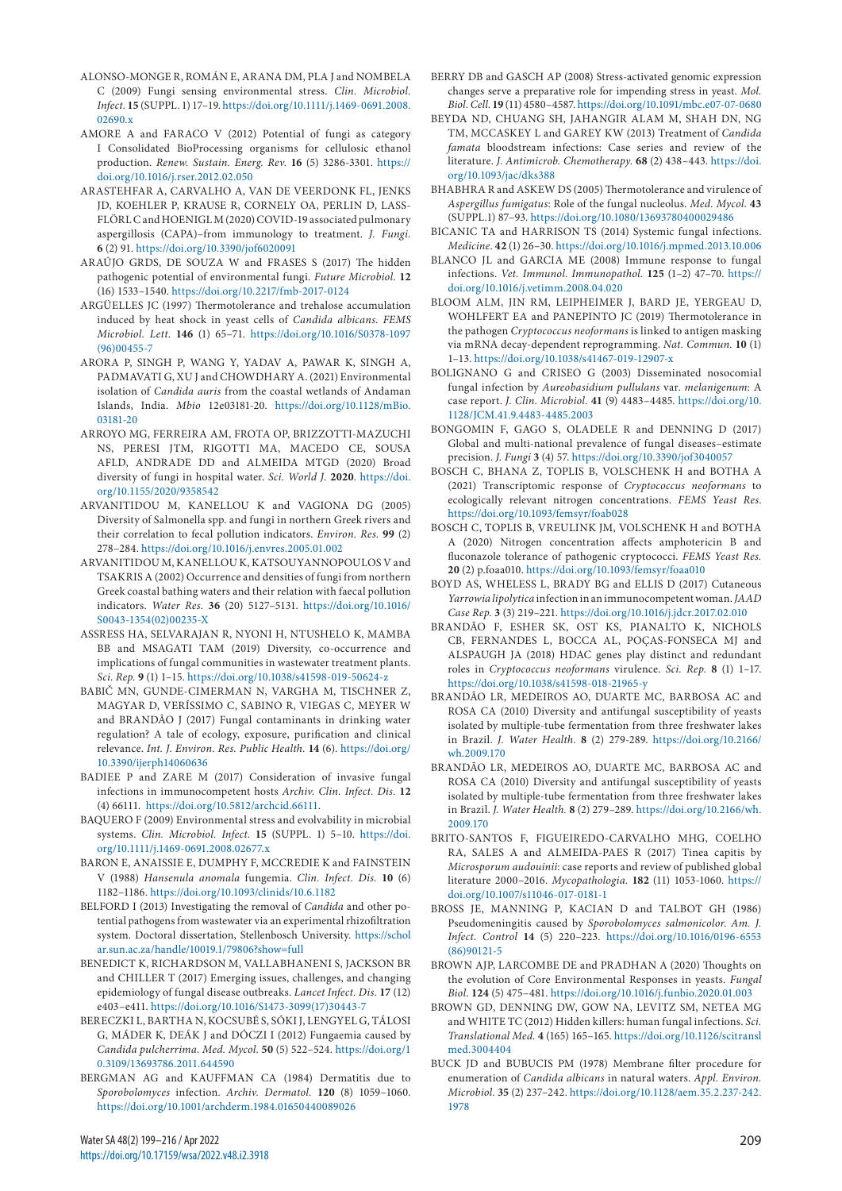- ALONSO-MONGE R, ROMÁN E, ARANA DM, PLA J and NOMBELA C (2009) Fungi sensing environmental stress. *Clin. Microbiol. Infect.* **15** (SUPPL. 1) 17–19. [https://doi.org/10.1111/j.1469-0691.2008.](https://doi.org/10.1111/j.1469-0691.2008.02690.x) [02690.x](https://doi.org/10.1111/j.1469-0691.2008.02690.x)
- AMORE A and FARACO V (2012) Potential of fungi as category I Consolidated BioProcessing organisms for cellulosic ethanol production. *Renew. Sustain. Energ. Rev.* **16** (5) 3286-3301. [https://](https://doi.org/10.1016/j.rser.2012.02.050) [doi.org/10.1016/j.rser.2012.02.050](https://doi.org/10.1016/j.rser.2012.02.050)
- ARASTEHFAR A, CARVALHO A, VAN DE VEERDONK FL, JENKS JD, KOEHLER P, KRAUSE R, CORNELY OA, PERLIN D, LASS-FLÖRL C and HOENIGL M (2020) COVID-19 associated pulmonary aspergillosis (CAPA)–from immunology to treatment. *J. Fungi.* **6** (2) 91.<https://doi.org/10.3390/jof6020091>
- ARAÚJO GRDS, DE SOUZA W and FRASES S (2017) The hidden pathogenic potential of environmental fungi. *Future Microbiol.* **12** (16) 1533–1540.<https://doi.org/10.2217/fmb-2017-0124>
- ARGÜELLES JC (1997) Thermotolerance and trehalose accumulation induced by heat shock in yeast cells of *Candida albicans*. *FEMS Microbiol. Lett.* **146** (1) 65–71. [https://doi.org/10.1016/S0378-1097](https://doi.org/10.1016/S0378-1097(96)00455-7) [\(96\)00455-7](https://doi.org/10.1016/S0378-1097(96)00455-7)
- ARORA P, SINGH P, WANG Y, YADAV A, PAWAR K, SINGH A, PADMAVATI G, XU J and CHOWDHARY A. (2021) Environmental isolation of *Candida auris* from the coastal wetlands of Andaman Islands, India. *Mbio* 12e03181-20. [https://doi.org/10.1128/mBio.](https://doi.org/10.1128/mBio.03181-20) [03181-20](https://doi.org/10.1128/mBio.03181-20)
- ARROYO MG, FERREIRA AM, FROTA OP, BRIZZOTTI-MAZUCHI NS, PERESI JTM, RIGOTTI MA, MACEDO CE, SOUSA AFLD, ANDRADE DD and ALMEIDA MTGD (2020) Broad diversity of fungi in hospital water. *Sci. World J.* **2020**. [https://doi.](https://doi.org/10.1155/2020/9358542) [org/10.1155/2020/9358542](https://doi.org/10.1155/2020/9358542)
- ARVANITIDOU M, KANELLOU K and VAGIONA DG (2005) Diversity of Salmonella spp. and fungi in northern Greek rivers and their correlation to fecal pollution indicators. *Environ. Res.* **99** (2) 278–284.<https://doi.org/10.1016/j.envres.2005.01.002>
- ARVANITIDOU M, KANELLOU K, KATSOUYANNOPOULOS V and TSAKRIS A (2002) Occurrence and densities of fungi from northern Greek coastal bathing waters and their relation with faecal pollution indicators. *Water Res.* **36** (20) 5127–5131. [https://doi.org/10.1016/](https://doi.org/10.1016/S0043-1354(02)00235-X) [S0043-1354\(02\)00235-X](https://doi.org/10.1016/S0043-1354(02)00235-X)
- ASSRESS HA, SELVARAJAN R, NYONI H, NTUSHELO K, MAMBA BB and MSAGATI TAM (2019) Diversity, co-occurrence and implications of fungal communities in wastewater treatment plants. *Sci. Rep.* **9** (1) 1–15. <https://doi.org/10.1038/s41598-019-50624-z>
- BABIČ MN, GUNDE-CIMERMAN N, VARGHA M, TISCHNER Z, MAGYAR D, VERÍSSIMO C, SABINO R, VIEGAS C, MEYER W and BRANDÃO J (2017) Fungal contaminants in drinking water regulation? A tale of ecology, exposure, purification and clinical relevance. *Int. J. Environ. Res. Public Health.* **14** (6). [https://doi.org/](https://doi.org/10.3390/ijerph14060636) [10.3390/ijerph14060636](https://doi.org/10.3390/ijerph14060636)
- BADIEE P and ZARE M (2017) Consideration of invasive fungal infections in immunocompetent hosts *Archiv. Clin. Infect. Dis.* **12** (4) 66111. [https://doi.org/10.5812/archcid.66111.](file:///C:/Users/Vekko/Desktop/WRC%20Apr%202022/Word/%20https://doi.org/10.5812/archcid.66111)
- BAQUERO F (2009) Environmental stress and evolvability in microbial systems. *Clin. Microbiol. Infect.* **15** (SUPPL. 1) 5–10. [https://doi.](https://doi.org/10.1111/j.1469-0691.2008.02677.x) [org/10.1111/j.1469-0691.2008.02677.x](https://doi.org/10.1111/j.1469-0691.2008.02677.x)
- BARON E, ANAISSIE E, DUMPHY F, MCCREDIE K and FAINSTEIN V (1988) *Hansenula anomala* fungemia. *Clin. Infect. Dis.* **10** (6) 1182–1186.<https://doi.org/10.1093/clinids/10.6.1182>
- BELFORD I (2013) Investigating the removal of *Candida* and other potential pathogens from wastewater via an experimental rhizofiltration system. Doctoral dissertation, Stellenbosch University. [https://schol](https://scholar.sun.ac.za/handle/10019.1/79806?show=full) [ar.sun.ac.za/handle/10019.1/79806?show=full](https://scholar.sun.ac.za/handle/10019.1/79806?show=full)
- BENEDICT K, RICHARDSON M, VALLABHANENI S, JACKSON BR and CHILLER T (2017) Emerging issues, challenges, and changing epidemiology of fungal disease outbreaks. *Lancet Infect. Dis.* **17** (12) e403–e411. [https://doi.org/10.1016/S1473-3099\(17\)30443-7](https://doi.org/10.1016/S1473-3099(17)30443-7)
- BERECZKI L, BARTHA N, KOCSUBÉ S, SÓKI J, LENGYEL G, TÁLOSI G, MÁDER K, DEÁK J and DÓCZI I (2012) Fungaemia caused by *Candida pulcherrima*. *Med. Mycol.* **50** (5) 522–524. [https://doi.org/1](https://doi.org/10.3109/13693786.2011.644590) [0.3109/13693786.2011.644590](https://doi.org/10.3109/13693786.2011.644590)
- BERGMAN AG and KAUFFMAN CA (1984) Dermatitis due to *Sporobolomyces* infection. *Archiv. Dermatol.* **120** (8) 1059–1060. <https://doi.org/10.1001/archderm.1984.01650440089026>
- BERRY DB and GASCH AP (2008) Stress-activated genomic expression changes serve a preparative role for impending stress in yeast. *Mol. Biol. Cell*. **19** (11) 4580–4587.<https://doi.org/10.1091/mbc.e07-07-0680>
- BEYDA ND, CHUANG SH, JAHANGIR ALAM M, SHAH DN, NG TM, MCCASKEY L and GAREY KW (2013) Treatment of *Candida famata* bloodstream infections: Case series and review of the literature. *J. Antimicrob. Chemotherapy.* **68** (2) 438–443. [https://doi.](https://doi.org/10.1093/jac/dks388) [org/10.1093/jac/dks388](https://doi.org/10.1093/jac/dks388)
- BHABHRA R and ASKEW DS (2005) Thermotolerance and virulence of *Aspergillus fumigatus*: Role of the fungal nucleolus. *Med. Mycol.* **43** (SUPPL.1) 87–93.<https://doi.org/10.1080/13693780400029486>
- BICANIC TA and HARRISON TS (2014) Systemic fungal infections. *Medicine.* **42** (1) 26–30.<https://doi.org/10.1016/j.mpmed.2013.10.006>
- BLANCO JL and GARCIA ME (2008) Immune response to fungal infections. *Vet. Immunol. Immunopathol.* **125** (1–2) 47–70. [https://](https://doi.org/10.1016/j.vetimm.2008.04.020) [doi.org/10.1016/j.vetimm.2008.04.020](https://doi.org/10.1016/j.vetimm.2008.04.020)
- BLOOM ALM, JIN RM, LEIPHEIMER J, BARD JE, YERGEAU D, WOHLFERT EA and PANEPINTO JC (2019) Thermotolerance in the pathogen *Cryptococcus neoformans* is linked to antigen masking via mRNA decay-dependent reprogramming. *Nat. Commun.* **10** (1) 1–13.<https://doi.org/10.1038/s41467-019-12907-x>
- BOLIGNANO G and CRISEO G (2003) Disseminated nosocomial fungal infection by *Aureobasidium pullulans* var. *melanigenum*: A case report. *J. Clin. Microbiol.* **41** (9) 4483–4485. [https://doi.org/10.](https://doi.org/10.1128/JCM.41.9.4483-4485.2003) [1128/JCM.41.9.4483-4485.2003](https://doi.org/10.1128/JCM.41.9.4483-4485.2003)
- BONGOMIN F, GAGO S, OLADELE R and DENNING D (2017) Global and multi-national prevalence of fungal diseases–estimate precision. *J. Fungi* **3** (4) 57. <https://doi.org/10.3390/jof3040057>
- BOSCH C, BHANA Z, TOPLIS B, VOLSCHENK H and BOTHA A (2021) Transcriptomic response of *Cryptococcus neoformans* to ecologically relevant nitrogen concentrations. *FEMS Yeast Res*. <https://doi.org/10.1093/femsyr/foab028>
- BOSCH C, TOPLIS B, VREULINK JM, VOLSCHENK H and BOTHA A (2020) Nitrogen concentration affects amphotericin B and fluconazole tolerance of pathogenic cryptococci. *FEMS Yeast Res.* **20** (2) p.foaa010.<https://doi.org/10.1093/femsyr/foaa010>
- BOYD AS, WHELESS L, BRADY BG and ELLIS D (2017) Cutaneous *Yarrowia lipolytica* infection in an immunocompetent woman. *JAAD Case Rep.* **3** (3) 219–221.<https://doi.org/10.1016/j.jdcr.2017.02.010>
- BRANDÃO F, ESHER SK, OST KS, PIANALTO K, NICHOLS CB, FERNANDES L, BOCCA AL, POÇAS-FONSECA MJ and ALSPAUGH JA (2018) HDAC genes play distinct and redundant roles in *Cryptococcus neoformans* virulence. *Sci. Rep.* **8** (1) 1–17. <https://doi.org/10.1038/s41598-018-21965-y>
- BRANDÃO LR, MEDEIROS AO, DUARTE MC, BARBOSA AC and ROSA CA (2010) Diversity and antifungal susceptibility of yeasts isolated by multiple-tube fermentation from three freshwater lakes in Brazil. *J. Water Health.* **8** (2) 279-289. [https://doi.org/10.2166/](https://doi.org/10.2166/wh.2009.170) [wh.2009.170](https://doi.org/10.2166/wh.2009.170)
- BRANDÃO LR, MEDEIROS AO, DUARTE MC, BARBOSA AC and ROSA CA (2010) Diversity and antifungal susceptibility of yeasts isolated by multiple-tube fermentation from three freshwater lakes in Brazil. *J. Water Health.* **8** (2) 279–289. [https://doi.org/10.2166/wh.](https://doi.org/10.2166/wh.2009.170) [2009.170](https://doi.org/10.2166/wh.2009.170)
- BRITO-SANTOS F, FIGUEIREDO-CARVALHO MHG, COELHO RA, SALES A and ALMEIDA-PAES R (2017) Tinea capitis by *Microsporum audouinii*: case reports and review of published global literature 2000–2016. *Mycopathologia.* **182** (11) 1053-1060. [https://](https://doi.org/10.1007/s11046-017-0181-1) [doi.org/10.1007/s11046-017-0181-1](https://doi.org/10.1007/s11046-017-0181-1)
- BROSS JE, MANNING P, KACIAN D and TALBOT GH (1986) Pseudomeningitis caused by *Sporobolomyces salmonicolor*. *Am. J. Infect. Control* **14** (5) 220–223. [https://doi.org/10.1016/0196-6553](https://doi.org/10.1016/0196-6553(86)90121-5) [\(86\)90121-5](https://doi.org/10.1016/0196-6553(86)90121-5)
- BROWN AJP, LARCOMBE DE and PRADHAN A (2020) Thoughts on the evolution of Core Environmental Responses in yeasts. *Fungal Biol.* **124** (5) 475–481.<https://doi.org/10.1016/j.funbio.2020.01.003>
- BROWN GD, DENNING DW, GOW NA, LEVITZ SM, NETEA MG and WHITE TC (2012) Hidden killers: human fungal infections. *Sci. Translational Med.* **4** (165) 165–165. [https://doi.org/10.1126/scitransl](https://doi.org/10.1126/scitranslmed.3004404) [med.3004404](https://doi.org/10.1126/scitranslmed.3004404)
- BUCK JD and BUBUCIS PM (1978) Membrane filter procedure for enumeration of *Candida albicans* in natural waters. *Appl. Environ. Microbiol.* **35** (2) 237–242. [https://doi.org/10.1128/aem.35.2.237-242.](https://doi.org/10.1128/aem.35.2.237-242.1978) [1978](https://doi.org/10.1128/aem.35.2.237-242.1978)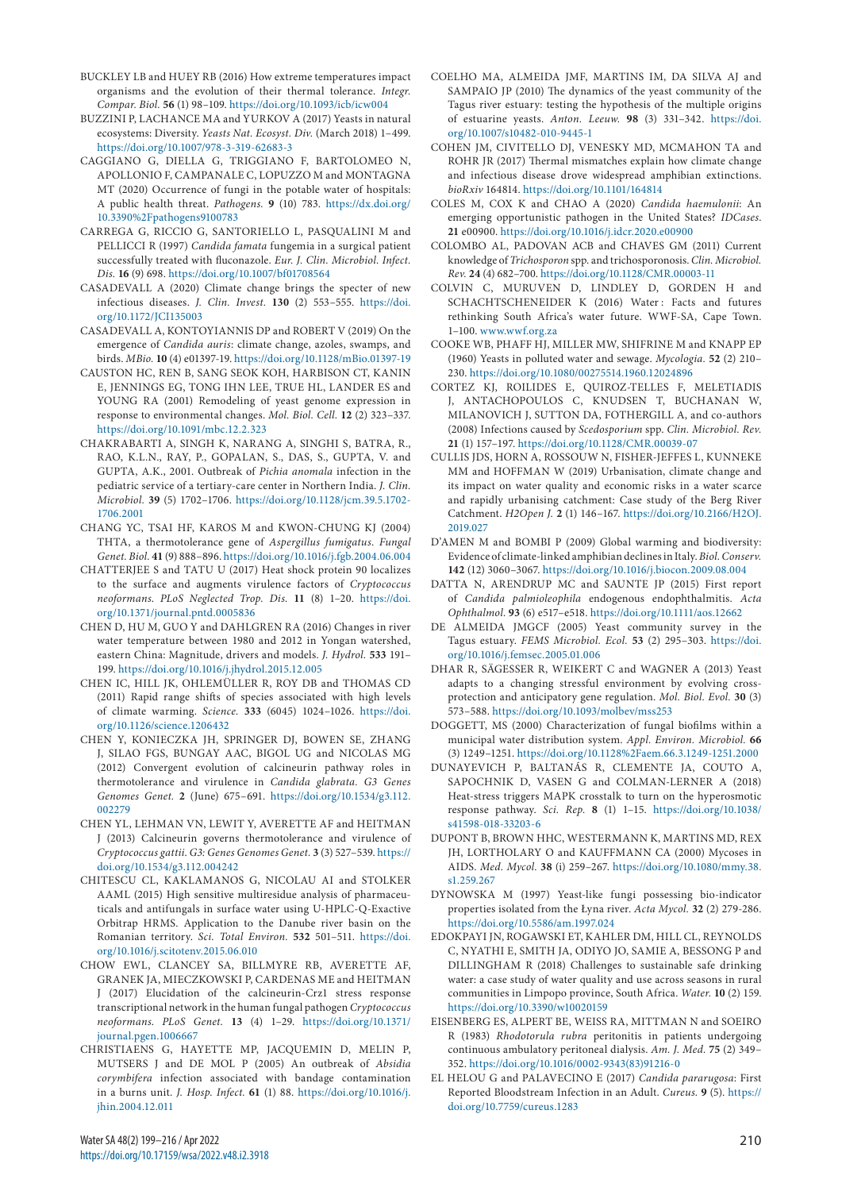- BUCKLEY LB and HUEY RB (2016) How extreme temperatures impact organisms and the evolution of their thermal tolerance. *Integr. Compar. Biol.* **56** (1) 98–109.<https://doi.org/10.1093/icb/icw004>
- BUZZINI P, LACHANCE MA and YURKOV A (2017) Yeasts in natural ecosystems: Diversity. *Yeasts Nat. Ecosyst. Div.* (March 2018) 1–499. <https://doi.org/10.1007/978-3-319-62683-3>
- CAGGIANO G, DIELLA G, TRIGGIANO F, BARTOLOMEO N, APOLLONIO F, CAMPANALE C, LOPUZZO M and MONTAGNA MT (2020) Occurrence of fungi in the potable water of hospitals: A public health threat. *Pathogens.* **9** (10) 783. [https://dx.doi.org/](https://dx.doi.org/10.3390%2Fpathogens9100783) [10.3390%2Fpathogens9100783](https://dx.doi.org/10.3390%2Fpathogens9100783)
- CARREGA G, RICCIO G, SANTORIELLO L, PASQUALINI M and PELLICCI R (1997) *Candida famata* fungemia in a surgical patient successfully treated with fluconazole. *Eur. J. Clin. Microbiol. Infect. Dis.* **16** (9) 698.<https://doi.org/10.1007/bf01708564>
- CASADEVALL A (2020) Climate change brings the specter of new infectious diseases. *J. Clin. Invest.* **130** (2) 553–555. [https://doi.](https://doi.org/10.1172/JCI135003) [org/10.1172/JCI135003](https://doi.org/10.1172/JCI135003)
- CASADEVALL A, KONTOYIANNIS DP and ROBERT V (2019) On the emergence of *Candida auris*: climate change, azoles, swamps, and birds. *MBio.* **10** (4) e01397-19. <https://doi.org/10.1128/mBio.01397-19>
- CAUSTON HC, REN B, SANG SEOK KOH, HARBISON CT, KANIN E, JENNINGS EG, TONG IHN LEE, TRUE HL, LANDER ES and YOUNG RA (2001) Remodeling of yeast genome expression in response to environmental changes. *Mol. Biol. Cell.* **12** (2) 323–337. <https://doi.org/10.1091/mbc.12.2.323>
- CHAKRABARTI A, SINGH K, NARANG A, SINGHI S, BATRA, R., RAO, K.L.N., RAY, P., GOPALAN, S., DAS, S., GUPTA, V. and GUPTA, A.K., 2001. Outbreak of *Pichia anomala* infection in the pediatric service of a tertiary-care center in Northern India. *J. Clin. Microbiol.* **39** (5) 1702–1706. [https://doi.org/10.1128/jcm.39.5.1702-](https://doi.org/10.1128/jcm.39.5.1702-1706.2001) [1706.2001](https://doi.org/10.1128/jcm.39.5.1702-1706.2001)
- CHANG YC, TSAI HF, KAROS M and KWON-CHUNG KJ (2004) THTA, a thermotolerance gene of *Aspergillus fumigatus*. *Fungal Genet. Biol.* **41** (9) 888–896.<https://doi.org/10.1016/j.fgb.2004.06.004>
- CHATTERJEE S and TATU U (2017) Heat shock protein 90 localizes to the surface and augments virulence factors of *Cryptococcus neoformans*. *PLoS Neglected Trop. Dis.* **11** (8) 1–20. [https://doi.](https://doi.org/10.1371/journal.pntd.0005836) [org/10.1371/journal.pntd.0005836](https://doi.org/10.1371/journal.pntd.0005836)
- CHEN D, HU M, GUO Y and DAHLGREN RA (2016) Changes in river water temperature between 1980 and 2012 in Yongan watershed, eastern China: Magnitude, drivers and models. *J. Hydrol.* **533** 191– 199. <https://doi.org/10.1016/j.jhydrol.2015.12.005>
- CHEN IC, HILL JK, OHLEMÜLLER R, ROY DB and THOMAS CD (2011) Rapid range shifts of species associated with high levels of climate warming. *Science.* **333** (6045) 1024–1026. [https://doi.](https://doi.org/10.1126/science.1206432) [org/10.1126/science.1206432](https://doi.org/10.1126/science.1206432)
- CHEN Y, KONIECZKA JH, SPRINGER DJ, BOWEN SE, ZHANG J, SILAO FGS, BUNGAY AAC, BIGOL UG and NICOLAS MG (2012) Convergent evolution of calcineurin pathway roles in thermotolerance and virulence in *Candida glabrata. G3 Genes Genomes Genet.* **2** (June) 675–691. [https://doi.org/10.1534/g3.112.](https://doi.org/10.1534/g3.112.002279) [002279](https://doi.org/10.1534/g3.112.002279)
- CHEN YL, LEHMAN VN, LEWIT Y, AVERETTE AF and HEITMAN J (2013) Calcineurin governs thermotolerance and virulence of *Cryptococcus gattii*. *G3: Genes Genomes Genet.* **3** (3) 527–539. [https://](https://doi.org/10.1534/g3.112.004242) [doi.org/10.1534/g3.112.004242](https://doi.org/10.1534/g3.112.004242)
- CHITESCU CL, KAKLAMANOS G, NICOLAU AI and STOLKER AAML (2015) High sensitive multiresidue analysis of pharmaceuticals and antifungals in surface water using U-HPLC-Q-Exactive Orbitrap HRMS. Application to the Danube river basin on the Romanian territory. *Sci. Total Environ.* **532** 501–511. [https://doi.](https://doi.org/10.1016/j.scitotenv.2015.06.010) [org/10.1016/j.scitotenv.2015.06.010](https://doi.org/10.1016/j.scitotenv.2015.06.010)
- CHOW EWL, CLANCEY SA, BILLMYRE RB, AVERETTE AF, GRANEK JA, MIECZKOWSKI P, CARDENAS ME and HEITMAN J (2017) Elucidation of the calcineurin-Crz1 stress response transcriptional network in the human fungal pathogen *Cryptococcus neoformans*. *PLoS Genet.* **13** (4) 1–29. [https://doi.org/10.1371/](https://doi.org/10.1371/journal.pgen.1006667) [journal.pgen.1006667](https://doi.org/10.1371/journal.pgen.1006667)
- CHRISTIAENS G, HAYETTE MP, JACQUEMIN D, MELIN P, MUTSERS J and DE MOL P (2005) An outbreak of *Absidia corymbifera* infection associated with bandage contamination in a burns unit. *J. Hosp. Infect.* **61** (1) 88. [https://doi.org/10.1016/j.](https://doi.org/10.1016/j.jhin.2004.12.011) [jhin.2004.12.011](https://doi.org/10.1016/j.jhin.2004.12.011)
- COELHO MA, ALMEIDA JMF, MARTINS IM, DA SILVA AJ and SAMPAIO JP (2010) The dynamics of the yeast community of the Tagus river estuary: testing the hypothesis of the multiple origins of estuarine yeasts. *Anton. Leeuw.* **98** (3) 331–342. [https://doi.](https://doi.org/10.1007/s10482-010-9445-1) [org/10.1007/s10482-010-9445-1](https://doi.org/10.1007/s10482-010-9445-1)
- COHEN JM, CIVITELLO DJ, VENESKY MD, MCMAHON TA and ROHR JR (2017) Thermal mismatches explain how climate change and infectious disease drove widespread amphibian extinctions. *bioRxiv* 164814. <https://doi.org/10.1101/164814>
- COLES M, COX K and CHAO A (2020) *Candida haemulonii*: An emerging opportunistic pathogen in the United States? *IDCases*. **21** e00900. <https://doi.org/10.1016/j.idcr.2020.e00900>
- COLOMBO AL, PADOVAN ACB and CHAVES GM (2011) Current knowledge of *Trichosporon* spp. and trichosporonosis. *Clin. Microbiol. Rev.* **24** (4) 682–700.<https://doi.org/10.1128/CMR.00003-11>
- COLVIN C, MURUVEN D, LINDLEY D, GORDEN H and SCHACHTSCHENEIDER K (2016) Water : Facts and futures rethinking South Africa's water future. WWF-SA, Cape Town. 1–100. [www.wwf.org.za](http://www.wwf.org.za)
- COOKE WB, PHAFF HJ, MILLER MW, SHIFRINE M and KNAPP EP (1960) Yeasts in polluted water and sewage. *Mycologia.* **52** (2) 210– 230.<https://doi.org/10.1080/00275514.1960.12024896>
- CORTEZ KJ, ROILIDES E, QUIROZ-TELLES F, MELETIADIS J, ANTACHOPOULOS C, KNUDSEN T, BUCHANAN W, MILANOVICH J, SUTTON DA, FOTHERGILL A, and co-authors (2008) Infections caused by *Scedosporium* spp. *Clin. Microbiol. Rev.* **21** (1) 157–197.<https://doi.org/10.1128/CMR.00039-07>
- CULLIS JDS, HORN A, ROSSOUW N, FISHER-JEFFES L, KUNNEKE MM and HOFFMAN W (2019) Urbanisation, climate change and its impact on water quality and economic risks in a water scarce and rapidly urbanising catchment: Case study of the Berg River Catchment. *H2Open J.* **2** (1) 146–167. [https://doi.org/10.2166/H2OJ.](https://doi.org/10.2166/H2OJ.2019.027) [2019.027](https://doi.org/10.2166/H2OJ.2019.027)
- D'AMEN M and BOMBI P (2009) Global warming and biodiversity: Evidence of climate-linked amphibian declines in Italy. *Biol. Conserv.* **142** (12) 3060–3067. <https://doi.org/10.1016/j.biocon.2009.08.004>
- DATTA N, ARENDRUP MC and SAUNTE JP (2015) First report of *Candida palmioleophila* endogenous endophthalmitis. *Acta Ophthalmol.* **93** (6) e517–e518.<https://doi.org/10.1111/aos.12662>
- DE ALMEIDA JMGCF (2005) Yeast community survey in the Tagus estuary. *FEMS Microbiol. Ecol.* **53** (2) 295–303. [https://doi.](https://doi.org/10.1016/j.femsec.2005.01.006) [org/10.1016/j.femsec.2005.01.006](https://doi.org/10.1016/j.femsec.2005.01.006)
- DHAR R, SÄGESSER R, WEIKERT C and WAGNER A (2013) Yeast adapts to a changing stressful environment by evolving crossprotection and anticipatory gene regulation. *Mol. Biol. Evol.* **30** (3) 573–588.<https://doi.org/10.1093/molbev/mss253>
- DOGGETT, MS (2000) Characterization of fungal biofilms within a municipal water distribution system. *Appl. Environ. Microbiol.* **66**  (3) 1249–1251. <https://doi.org/10.1128%2Faem.66.3.1249-1251.2000>
- DUNAYEVICH P, BALTANÁS R, CLEMENTE JA, COUTO A, SAPOCHNIK D, VASEN G and COLMAN-LERNER A (2018) Heat-stress triggers MAPK crosstalk to turn on the hyperosmotic response pathway. *Sci. Rep.* **8** (1) 1–15. [https://doi.org/10.1038/](https://doi.org/10.1038/s41598-018-33203-6) [s41598-018-33203-6](https://doi.org/10.1038/s41598-018-33203-6)
- DUPONT B, BROWN HHC, WESTERMANN K, MARTINS MD, REX JH, LORTHOLARY O and KAUFFMANN CA (2000) Mycoses in AIDS. *Med. Mycol.* **38** (i) 259–267. [https://doi.org/10.1080/mmy.38.](https://doi.org/10.1080/mmy.38.s1.259.267) [s1.259.267](https://doi.org/10.1080/mmy.38.s1.259.267)
- DYNOWSKA M (1997) Yeast-like fungi possessing bio-indicator properties isolated from the Łyna river. *Acta Mycol.* **32** (2) 279-286. <https://doi.org/10.5586/am.1997.024>
- EDOKPAYI JN, ROGAWSKI ET, KAHLER DM, HILL CL, REYNOLDS C, NYATHI E, SMITH JA, ODIYO JO, SAMIE A, BESSONG P and DILLINGHAM R (2018) Challenges to sustainable safe drinking water: a case study of water quality and use across seasons in rural communities in Limpopo province, South Africa. *Water.* **10** (2) 159. <https://doi.org/10.3390/w10020159>
- EISENBERG ES, ALPERT BE, WEISS RA, MITTMAN N and SOEIRO R (1983) *Rhodotorula rubra* peritonitis in patients undergoing continuous ambulatory peritoneal dialysis. *Am. J. Med.* **75** (2) 349– 352. [https://doi.org/10.1016/0002-9343\(83\)91216-0](https://doi.org/10.1016/0002-9343(83)91216-0)
- EL HELOU G and PALAVECINO E (2017) *Candida pararugosa*: First Reported Bloodstream Infection in an Adult. *Cureus.* **9** (5). [https://](https://doi.org/10.7759/cureus.1283) [doi.org/10.7759/cureus.1283](https://doi.org/10.7759/cureus.1283)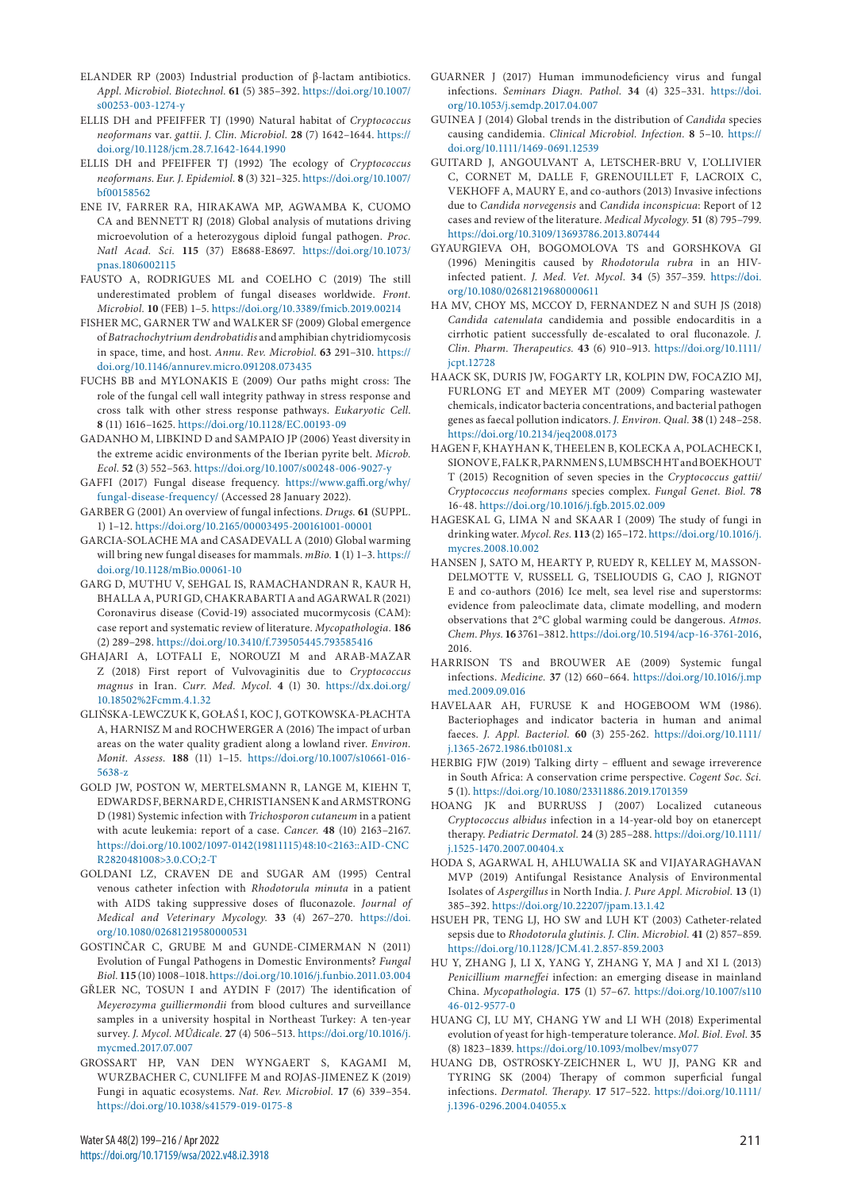- ELANDER RP (2003) Industrial production of β-lactam antibiotics. *Appl. Microbiol. Biotechnol.* **61** (5) 385–392. [https://doi.org/10.1007/](https://doi.org/10.1007/s00253-003-1274-y) [s00253-003-1274-y](https://doi.org/10.1007/s00253-003-1274-y)
- ELLIS DH and PFEIFFER TJ (1990) Natural habitat of *Cryptococcus neoformans* var. *gattii*. *J. Clin. Microbiol.* **28** (7) 1642–1644. [https://](https://doi.org/10.1128/jcm.28.7.1642-1644.1990) [doi.org/10.1128/jcm.28.7.1642-1644.1990](https://doi.org/10.1128/jcm.28.7.1642-1644.1990)
- ELLIS DH and PFEIFFER TJ (1992) The ecology of *Cryptococcus neoformans*. *Eur. J. Epidemiol.* **8** (3) 321–325. [https://doi.org/10.1007/](https://doi.org/10.1007/bf00158562) [bf00158562](https://doi.org/10.1007/bf00158562)
- ENE IV, FARRER RA, HIRAKAWA MP, AGWAMBA K, CUOMO CA and BENNETT RJ (2018) Global analysis of mutations driving microevolution of a heterozygous diploid fungal pathogen. *Proc. Natl Acad. Sci.* **115** (37) E8688-E8697. [https://doi.org/10.1073/](https://doi.org/10.1073/pnas.1806002115) [pnas.1806002115](https://doi.org/10.1073/pnas.1806002115)
- FAUSTO A, RODRIGUES ML and COELHO C (2019) The still underestimated problem of fungal diseases worldwide. *Front. Microbiol.* **10** (FEB) 1–5. <https://doi.org/10.3389/fmicb.2019.00214>
- FISHER MC, GARNER TW and WALKER SF (2009) Global emergence of *Batrachochytrium dendrobatidis* and amphibian chytridiomycosis in space, time, and host. *Annu. Rev. Microbiol.* **63** 291–310. [https://](https://doi.org/10.1146/annurev.micro.091208.073435) [doi.org/10.1146/annurev.micro.091208.073435](https://doi.org/10.1146/annurev.micro.091208.073435)
- FUCHS BB and MYLONAKIS E (2009) Our paths might cross: The role of the fungal cell wall integrity pathway in stress response and cross talk with other stress response pathways. *Eukaryotic Cell*. **8** (11) 1616–1625. <https://doi.org/10.1128/EC.00193-09>
- GADANHO M, LIBKIND D and SAMPAIO JP (2006) Yeast diversity in the extreme acidic environments of the Iberian pyrite belt. *Microb. Ecol.* **52** (3) 552–563.<https://doi.org/10.1007/s00248-006-9027-y>
- GAFFI (2017) Fungal disease frequency. [https://www.gaffi.org/why/](https://www.gaffi.org/why/fungal-disease-frequency/) [fungal-disease-frequency/](https://www.gaffi.org/why/fungal-disease-frequency/) (Accessed 28 January 2022).
- GARBER G (2001) An overview of fungal infections. *Drugs.* **61** (SUPPL. 1) 1–12. <https://doi.org/10.2165/00003495-200161001-00001>
- GARCIA-SOLACHE MA and CASADEVALL A (2010) Global warming will bring new fungal diseases for mammals. *mBio.* **1** (1) 1–3. [https://](https://doi.org/10.1128/mBio.00061-10) [doi.org/10.1128/mBio.00061-10](https://doi.org/10.1128/mBio.00061-10)
- GARG D, MUTHU V, SEHGAL IS, RAMACHANDRAN R, KAUR H, BHALLA A, PURI GD, CHAKRABARTI A and AGARWAL R (2021) Coronavirus disease (Covid-19) associated mucormycosis (CAM): case report and systematic review of literature. *Mycopathologia.* **186** (2) 289–298. <https://doi.org/10.3410/f.739505445.793585416>
- GHAJARI A, LOTFALI E, NOROUZI M and ARAB-MAZAR Z (2018) First report of Vulvovaginitis due to *Cryptococcus magnus* in Iran. *Curr. Med. Mycol.* **4** (1) 30. [https://dx.doi.org/](https://dx.doi.org/10.18502%2Fcmm.4.1.32) [10.18502%2Fcmm.4.1.32](https://dx.doi.org/10.18502%2Fcmm.4.1.32)
- GLIŃSKA-LEWCZUK K, GOŁAŚ I, KOC J, GOTKOWSKA-PŁACHTA A, HARNISZ M and ROCHWERGER A (2016) The impact of urban areas on the water quality gradient along a lowland river. *Environ. Monit. Assess.* **188** (11) 1–15. [https://doi.org/10.1007/s10661-016-](https://doi.org/10.1007/s10661-016-5638-z) [5638-z](https://doi.org/10.1007/s10661-016-5638-z)
- GOLD JW, POSTON W, MERTELSMANN R, LANGE M, KIEHN T, EDWARDS F, BERNARD E, CHRISTIANSEN K and ARMSTRONG D (1981) Systemic infection with *Trichosporon cutaneum* in a patient with acute leukemia: report of a case. *Cancer.* **48** (10) 2163–2167. [https://doi.org/10.1002/1097-0142\(19811115\)48:10<2163::AID-CNC](https://doi.org/10.1002/1097-0142(19811115)48:10%3c2163::AID-CNCR2820481008%3e3.0.CO;2-T) [R2820481008>3.0.CO;2-T](https://doi.org/10.1002/1097-0142(19811115)48:10%3c2163::AID-CNCR2820481008%3e3.0.CO;2-T)
- GOLDANI LZ, CRAVEN DE and SUGAR AM (1995) Central venous catheter infection with *Rhodotorula minuta* in a patient with AIDS taking suppressive doses of fluconazole. *Journal of Medical and Veterinary Mycology.* **33** (4) 267–270. [https://doi.](https://doi.org/10.1080/02681219580000531) [org/10.1080/02681219580000531](https://doi.org/10.1080/02681219580000531)
- GOSTINČAR C, GRUBE M and GUNDE-CIMERMAN N (2011) Evolution of Fungal Pathogens in Domestic Environments? *Fungal Biol.* **115** (10) 1008–1018.<https://doi.org/10.1016/j.funbio.2011.03.004>
- GŘLER NC, TOSUN I and AYDIN F (2017) The identification of *Meyerozyma guilliermondii* from blood cultures and surveillance samples in a university hospital in Northeast Turkey: A ten-year survey. *J. Mycol. MÚdicale.* **27** (4) 506–513. [https://doi.org/10.1016/j.](https://doi.org/10.1016/j.mycmed.2017.07.007) [mycmed.2017.07.007](https://doi.org/10.1016/j.mycmed.2017.07.007)
- GROSSART HP, VAN DEN WYNGAERT S, KAGAMI M, WURZBACHER C, CUNLIFFE M and ROJAS-JIMENEZ K (2019) Fungi in aquatic ecosystems. *Nat. Rev. Microbiol.* **17** (6) 339–354. <https://doi.org/10.1038/s41579-019-0175-8>
- GUARNER J (2017) Human immunodeficiency virus and fungal infections. *Seminars Diagn. Pathol.* **34** (4) 325–331. [https://doi.](https://doi.org/10.1053/j.semdp.2017.04.007) [org/10.1053/j.semdp.2017.04.007](https://doi.org/10.1053/j.semdp.2017.04.007)
- GUINEA J (2014) Global trends in the distribution of *Candida* species causing candidemia. *Clinical Microbiol. Infection.* **8** 5–10. [https://](https://doi.org/10.1111/1469-0691.12539) [doi.org/10.1111/1469-0691.12539](https://doi.org/10.1111/1469-0691.12539)
- GUITARD J, ANGOULVANT A, LETSCHER-BRU V, L'OLLIVIER C, CORNET M, DALLE F, GRENOUILLET F, LACROIX C, VEKHOFF A, MAURY E, and co-authors (2013) Invasive infections due to *Candida norvegensis* and *Candida inconspicua*: Report of 12 cases and review of the literature. *Medical Mycology.* **51** (8) 795–799. <https://doi.org/10.3109/13693786.2013.807444>
- GYAURGIEVA OH, BOGOMOLOVA TS and GORSHKOVA GI (1996) Meningitis caused by *Rhodotorula rubra* in an HIVinfected patient. *J. Med. Vet. Mycol.* **34** (5) 357–359. [https://doi.](https://doi.org/10.1080/02681219680000611) [org/10.1080/02681219680000611](https://doi.org/10.1080/02681219680000611)
- HA MV, CHOY MS, MCCOY D, FERNANDEZ N and SUH JS (2018) *Candida catenulata* candidemia and possible endocarditis in a cirrhotic patient successfully de-escalated to oral fluconazole. *J. Clin. Pharm. Therapeutics.* **43** (6) 910–913. [https://doi.org/10.1111/](https://doi.org/10.1111/jcpt.12728) [jcpt.12728](https://doi.org/10.1111/jcpt.12728)
- HAACK SK, DURIS JW, FOGARTY LR, KOLPIN DW, FOCAZIO MJ, FURLONG ET and MEYER MT (2009) Comparing wastewater chemicals, indicator bacteria concentrations, and bacterial pathogen genes as faecal pollution indicators. *J. Environ. Qual.* **38** (1) 248–258. <https://doi.org/10.2134/jeq2008.0173>
- HAGEN F, KHAYHAN K, THEELEN B, KOLECKA A, POLACHECK I, SIONOV E, FALK R, PARNMEN S, LUMBSCH HT and BOEKHOUT T (2015) Recognition of seven species in the *Cryptococcus gattii/ Cryptococcus neoformans* species complex. *Fungal Genet. Biol.* **78** 16-48.<https://doi.org/10.1016/j.fgb.2015.02.009>
- HAGESKAL G, LIMA N and SKAAR I (2009) The study of fungi in drinking water. *Mycol. Res.* **113** (2) 165–172. [https://doi.org/10.1016/j.](https://doi.org/10.1016/j.mycres.2008.10.002) [mycres.2008.10.002](https://doi.org/10.1016/j.mycres.2008.10.002)
- HANSEN J, SATO M, HEARTY P, RUEDY R, KELLEY M, MASSON-DELMOTTE V, RUSSELL G, TSELIOUDIS G, CAO J, RIGNOT E and co-authors (2016) Ice melt, sea level rise and superstorms: evidence from paleoclimate data, climate modelling, and modern observations that 2°C global warming could be dangerous. *Atmos. Chem. Phys.* **16** 3761–3812. [https://doi.org/10.5194/acp-16-3761-2016,](https://doi.org/10.5194/acp-16-3761-2016) 2016.
- HARRISON TS and BROUWER AE (2009) Systemic fungal infections. *Medicine.* **37** (12) 660–664. [https://doi.org/10.1016/j.mp](https://doi.org/10.1016/j.mpmed.2009.09.016) [med.2009.09.016](https://doi.org/10.1016/j.mpmed.2009.09.016)
- HAVELAAR AH, FURUSE K and HOGEBOOM WM (1986). Bacteriophages and indicator bacteria in human and animal faeces. *J. Appl. Bacteriol.* **60** (3) 255-262. [https://doi.org/10.1111/](https://doi.org/10.1111/j.1365-2672.1986.tb01081.x) [j.1365-2672.1986.tb01081.x](https://doi.org/10.1111/j.1365-2672.1986.tb01081.x)
- HERBIG FJW (2019) Talking dirty effluent and sewage irreverence in South Africa: A conservation crime perspective. *Cogent Soc. Sci.* **5** (1). <https://doi.org/10.1080/23311886.2019.1701359>
- HOANG JK and BURRUSS J (2007) Localized cutaneous *Cryptococcus albidus* infection in a 14‐year‐old boy on etanercept therapy. *Pediatric Dermatol.* **24** (3) 285–288. [https://doi.org/10.1111/](https://doi.org/10.1111/j.1525-1470.2007.00404.x) [j.1525-1470.2007.00404.x](https://doi.org/10.1111/j.1525-1470.2007.00404.x)
- HODA S, AGARWAL H, AHLUWALIA SK and VIJAYARAGHAVAN MVP (2019) Antifungal Resistance Analysis of Environmental Isolates of *Aspergillus* in North India. *J. Pure Appl. Microbiol.* **13** (1) 385–392.<https://doi.org/10.22207/jpam.13.1.42>
- HSUEH PR, TENG LJ, HO SW and LUH KT (2003) Catheter-related sepsis due to *Rhodotorula glutinis*. *J. Clin. Microbiol.* **41** (2) 857–859. <https://doi.org/10.1128/JCM.41.2.857-859.2003>
- HU Y, ZHANG J, LI X, YANG Y, ZHANG Y, MA J and XI L (2013) *Penicillium marneffei* infection: an emerging disease in mainland China. *Mycopathologia.* **175** (1) 57–67. [https://doi.org/10.1007/s110](https://doi.org/10.1007/s11046-012-9577-0) [46-012-9577-0](https://doi.org/10.1007/s11046-012-9577-0)
- HUANG CJ, LU MY, CHANG YW and LI WH (2018) Experimental evolution of yeast for high-temperature tolerance. *Mol. Biol. Evol.* **35** (8) 1823–1839.<https://doi.org/10.1093/molbev/msy077>
- HUANG DB, OSTROSKY-ZEICHNER L, WU JJ, PANG KR and TYRING SK (2004) Therapy of common superficial fungal infections. *Dermatol. Therapy.* **17** 517–522. [https://doi.org/10.1111/](https://doi.org/10.1111/j.1396-0296.2004.04055.x) [j.1396-0296.2004.04055.x](https://doi.org/10.1111/j.1396-0296.2004.04055.x)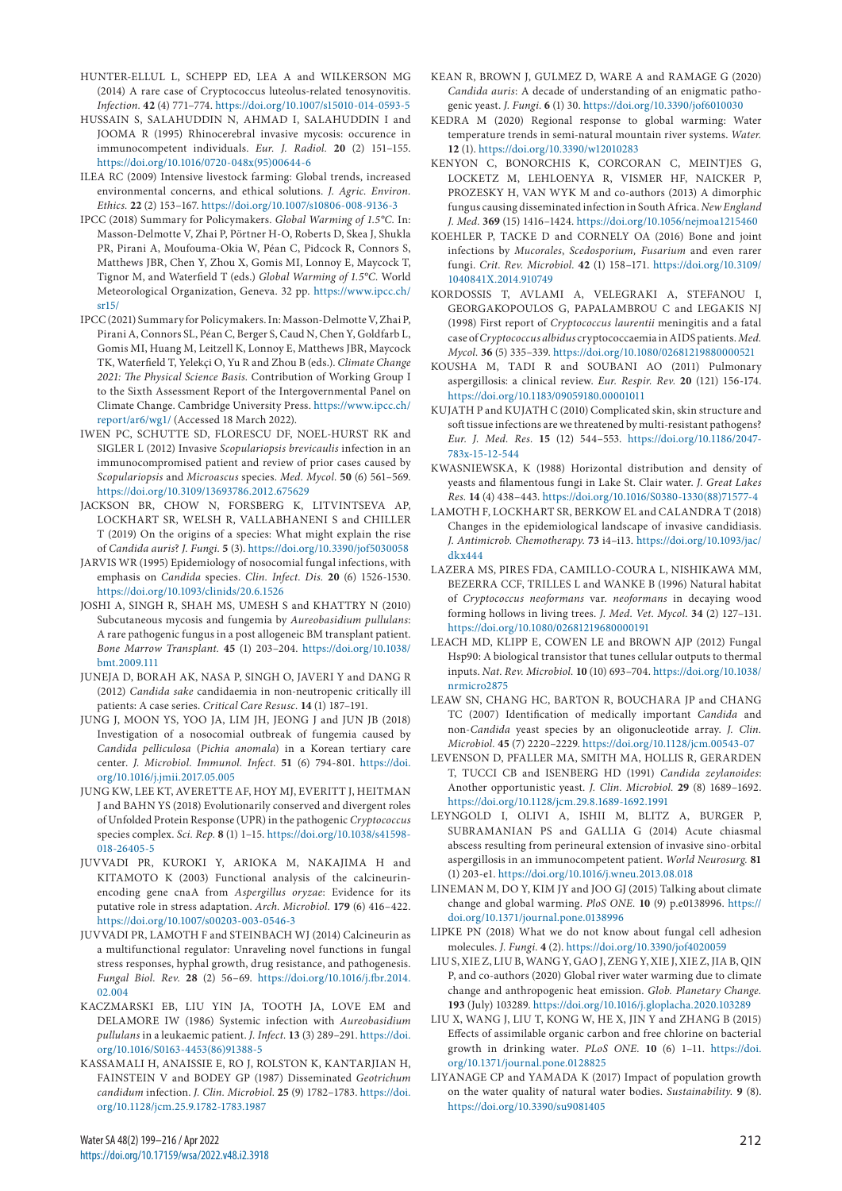- HUNTER-ELLUL L, SCHEPP ED, LEA A and WILKERSON MG (2014) A rare case of Cryptococcus luteolus-related tenosynovitis. *Infection.* **42** (4) 771–774.<https://doi.org/10.1007/s15010-014-0593-5>
- HUSSAIN S, SALAHUDDIN N, AHMAD I, SALAHUDDIN I and JOOMA R (1995) Rhinocerebral invasive mycosis: occurence in immunocompetent individuals. *Eur. J. Radiol.* **20** (2) 151–155. [https://doi.org/10.1016/0720-048x\(95\)00644-6](https://doi.org/10.1016/0720-048x(95)00644-6)
- ILEA RC (2009) Intensive livestock farming: Global trends, increased environmental concerns, and ethical solutions. *J. Agric. Environ. Ethics.* **22** (2) 153–167.<https://doi.org/10.1007/s10806-008-9136-3>
- IPCC (2018) Summary for Policymakers. *Global Warming of 1.5°C.* In: Masson-Delmotte V, Zhai P, Pörtner H-O, Roberts D, Skea J, Shukla PR, Pirani A, Moufouma-Okia W, Péan C, Pidcock R, Connors S, Matthews JBR, Chen Y, Zhou X, Gomis MI, Lonnoy E, Maycock T, Tignor M, and Waterfield T (eds.) *Global Warming of 1.5°C.* World Meteorological Organization, Geneva. 32 pp. [https://www.ipcc.ch/](https://www.ipcc.ch/sr15/) [sr15/](https://www.ipcc.ch/sr15/)
- IPCC (2021) Summary for Policymakers. In: Masson-Delmotte V, Zhai P, Pirani A, Connors SL, Péan C, Berger S, Caud N, Chen Y, Goldfarb L, Gomis MI, Huang M, Leitzell K, Lonnoy E, Matthews JBR, Maycock TK, Waterfield T, Yelekçi O, Yu R and Zhou B (eds.). *Climate Change 2021: The Physical Science Basis.* Contribution of Working Group I to the Sixth Assessment Report of the Intergovernmental Panel on Climate Change. Cambridge University Press. [https://www.ipcc.ch/](https://www.ipcc.ch/report/ar6/wg1/) [report/ar6/wg1/](https://www.ipcc.ch/report/ar6/wg1/) (Accessed 18 March 2022).
- IWEN PC, SCHUTTE SD, FLORESCU DF, NOEL-HURST RK and SIGLER L (2012) Invasive *Scopulariopsis brevicaulis* infection in an immunocompromised patient and review of prior cases caused by *Scopulariopsis* and *Microascus* species. *Med. Mycol.* **50** (6) 561–569. <https://doi.org/10.3109/13693786.2012.675629>
- JACKSON BR, CHOW N, FORSBERG K, LITVINTSEVA AP, LOCKHART SR, WELSH R, VALLABHANENI S and CHILLER T (2019) On the origins of a species: What might explain the rise of *Candida auris*? *J. Fungi.* **5** (3).<https://doi.org/10.3390/jof5030058>
- JARVIS WR (1995) Epidemiology of nosocomial fungal infections, with emphasis on *Candida* species. *Clin. Infect. Dis.* **20** (6) 1526-1530. <https://doi.org/10.1093/clinids/20.6.1526>
- JOSHI A, SINGH R, SHAH MS, UMESH S and KHATTRY N (2010) Subcutaneous mycosis and fungemia by *Aureobasidium pullulans*: A rare pathogenic fungus in a post allogeneic BM transplant patient. *Bone Marrow Transplant.* **45** (1) 203–204. [https://doi.org/10.1038/](https://doi.org/10.1038/bmt.2009.111) [bmt.2009.111](https://doi.org/10.1038/bmt.2009.111)
- JUNEJA D, BORAH AK, NASA P, SINGH O, JAVERI Y and DANG R (2012) *Candida sake* candidaemia in non-neutropenic critically ill patients: A case series. *Critical Care Resusc.* **14** (1) 187–191.
- JUNG J, MOON YS, YOO JA, LIM JH, JEONG J and JUN JB (2018) Investigation of a nosocomial outbreak of fungemia caused by *Candida pelliculosa* (*Pichia anomala*) in a Korean tertiary care center. *J. Microbiol. Immunol. Infect.* **51** (6) 794-801. [https://doi.](https://doi.org/10.1016/j.jmii.2017.05.005) [org/10.1016/j.jmii.2017.05.005](https://doi.org/10.1016/j.jmii.2017.05.005)
- JUNG KW, LEE KT, AVERETTE AF, HOY MJ, EVERITT J, HEITMAN J and BAHN YS (2018) Evolutionarily conserved and divergent roles of Unfolded Protein Response (UPR) in the pathogenic *Cryptococcus* species complex. *Sci. Rep.* **8** (1) 1–15. [https://doi.org/10.1038/s41598-](https://doi.org/10.1038/s41598-018-26405-5) [018-26405-5](https://doi.org/10.1038/s41598-018-26405-5)
- JUVVADI PR, KUROKI Y, ARIOKA M, NAKAJIMA H and KITAMOTO K (2003) Functional analysis of the calcineurinencoding gene cnaA from *Aspergillus oryzae*: Evidence for its putative role in stress adaptation. *Arch. Microbiol.* **179** (6) 416–422. <https://doi.org/10.1007/s00203-003-0546-3>
- JUVVADI PR, LAMOTH F and STEINBACH WJ (2014) Calcineurin as a multifunctional regulator: Unraveling novel functions in fungal stress responses, hyphal growth, drug resistance, and pathogenesis. *Fungal Biol. Rev.* **28** (2) 56–69. [https://doi.org/10.1016/j.fbr.2014.](https://doi.org/10.1016/j.fbr.2014.02.004) [02.004](https://doi.org/10.1016/j.fbr.2014.02.004)
- KACZMARSKI EB, LIU YIN JA, TOOTH JA, LOVE EM and DELAMORE IW (1986) Systemic infection with *Aureobasidium pullulans* in a leukaemic patient. *J. Infect.* **13** (3) 289–291. [https://doi.](https://doi.org/10.1016/S0163-4453(86)91388-5) [org/10.1016/S0163-4453\(86\)91388-5](https://doi.org/10.1016/S0163-4453(86)91388-5)
- KASSAMALI H, ANAISSIE E, RO J, ROLSTON K, KANTARJIAN H, FAINSTEIN V and BODEY GP (1987) Disseminated *Geotrichum candidum* infection. *J. Clin. Microbiol.* **25** (9) 1782–1783. [https://doi.](https://doi.org/10.1128/jcm.25.9.1782-1783.1987) [org/10.1128/jcm.25.9.1782-1783.1987](https://doi.org/10.1128/jcm.25.9.1782-1783.1987)
- KEAN R, BROWN J, GULMEZ D, WARE A and RAMAGE G (2020) *Candida auris*: A decade of understanding of an enigmatic pathogenic yeast. *J. Fungi.* **6** (1) 30. <https://doi.org/10.3390/jof6010030>
- KEDRA M (2020) Regional response to global warming: Water temperature trends in semi-natural mountain river systems. *Water.* **12** (1). <https://doi.org/10.3390/w12010283>
- KENYON C, BONORCHIS K, CORCORAN C, MEINTJES G, LOCKETZ M, LEHLOENYA R, VISMER HF, NAICKER P, PROZESKY H, VAN WYK M and co-authors (2013) A dimorphic fungus causing disseminated infection in South Africa. *New England J. Med.* **369** (15) 1416–1424. <https://doi.org/10.1056/nejmoa1215460>
- KOEHLER P, TACKE D and CORNELY OA (2016) Bone and joint infections by *Mucorales*, *Scedosporium, Fusarium* and even rarer fungi. *Crit. Rev. Microbiol.* **42** (1) 158–171. [https://doi.org/10.3109/](https://doi.org/10.3109/1040841X.2014.910749) [1040841X.2014.910749](https://doi.org/10.3109/1040841X.2014.910749)
- KORDOSSIS T, AVLAMI A, VELEGRAKI A, STEFANOU I, GEORGAKOPOULOS G, PAPALAMBROU C and LEGAKIS NJ (1998) First report of *Cryptococcus laurentii* meningitis and a fatal case of *Cryptococcus albidus* cryptococcaemia in AIDS patients. *Med. Mycol.* **36** (5) 335–339.<https://doi.org/10.1080/02681219880000521>
- KOUSHA M, TADI R and SOUBANI AO (2011) Pulmonary aspergillosis: a clinical review. *Eur. Respir. Rev.* **20** (121) 156-174. <https://doi.org/10.1183/09059180.00001011>
- KUJATH P and KUJATH C (2010) Complicated skin, skin structure and soft tissue infections are we threatened by multi-resistant pathogens? *Eur. J. Med. Res.* **15** (12) 544–553. [https://doi.org/10.1186/2047-](https://doi.org/10.1186/2047-783x-15-12-544) [783x-15-12-544](https://doi.org/10.1186/2047-783x-15-12-544)
- KWASNIEWSKA, K (1988) Horizontal distribution and density of yeasts and filamentous fungi in Lake St. Clair water. *J. Great Lakes Res.* **14** (4) 438–443. [https://doi.org/10.1016/S0380-1330\(88\)71577-4](https://doi.org/10.1016/S0380-1330(88)71577-4)
- LAMOTH F, LOCKHART SR, BERKOW EL and CALANDRA T (2018) Changes in the epidemiological landscape of invasive candidiasis. *J. Antimicrob. Chemotherapy.* **73** i4–i13. [https://doi.org/10.1093/jac/](https://doi.org/10.1093/jac/dkx444) [dkx444](https://doi.org/10.1093/jac/dkx444)
- LAZERA MS, PIRES FDA, CAMILLO-COURA L, NISHIKAWA MM, BEZERRA CCF, TRILLES L and WANKE B (1996) Natural habitat of *Cryptococcus neoformans* var. *neoformans* in decaying wood forming hollows in living trees. *J. Med. Vet. Mycol.* **34** (2) 127–131. <https://doi.org/10.1080/02681219680000191>
- LEACH MD, KLIPP E, COWEN LE and BROWN AJP (2012) Fungal Hsp90: A biological transistor that tunes cellular outputs to thermal inputs. *Nat. Rev. Microbiol.* **10** (10) 693–704. [https://doi.org/10.1038/](https://doi.org/10.1038/nrmicro2875) [nrmicro2875](https://doi.org/10.1038/nrmicro2875)
- LEAW SN, CHANG HC, BARTON R, BOUCHARA JP and CHANG TC (2007) Identification of medically important *Candida* and non-*Candida* yeast species by an oligonucleotide array. *J. Clin. Microbiol.* **45** (7) 2220–2229.<https://doi.org/10.1128/jcm.00543-07>
- LEVENSON D, PFALLER MA, SMITH MA, HOLLIS R, GERARDEN T, TUCCI CB and ISENBERG HD (1991) *Candida zeylanoides*: Another opportunistic yeast. *J. Clin. Microbiol.* **29** (8) 1689–1692. <https://doi.org/10.1128/jcm.29.8.1689-1692.1991>
- LEYNGOLD I, OLIVI A, ISHII M, BLITZ A, BURGER P, SUBRAMANIAN PS and GALLIA G (2014) Acute chiasmal abscess resulting from perineural extension of invasive sino-orbital aspergillosis in an immunocompetent patient. *World Neurosurg.* **81** (1) 203-e1.<https://doi.org/10.1016/j.wneu.2013.08.018>
- LINEMAN M, DO Y, KIM JY and JOO GJ (2015) Talking about climate change and global warming. *PloS ONE.* **10** (9) p.e0138996. [https://](https://doi.org/10.1371/journal.pone.0138996) [doi.org/10.1371/journal.pone.0138996](https://doi.org/10.1371/journal.pone.0138996)
- LIPKE PN (2018) What we do not know about fungal cell adhesion molecules. *J. Fungi.* **4** (2). <https://doi.org/10.3390/jof4020059>
- LIU S, XIE Z, LIU B, WANG Y, GAO J, ZENG Y, XIE J, XIE Z, JIA B, QIN P, and co-authors (2020) Global river water warming due to climate change and anthropogenic heat emission. *Glob. Planetary Change.* **193** (July) 103289.<https://doi.org/10.1016/j.gloplacha.2020.103289>
- LIU X, WANG J, LIU T, KONG W, HE X, JIN Y and ZHANG B (2015) Effects of assimilable organic carbon and free chlorine on bacterial growth in drinking water. *PLoS ONE.* **10** (6) 1–11. [https://doi.](https://doi.org/10.1371/journal.pone.0128825) [org/10.1371/journal.pone.0128825](https://doi.org/10.1371/journal.pone.0128825)
- LIYANAGE CP and YAMADA K (2017) Impact of population growth on the water quality of natural water bodies. *Sustainability.* **9** (8). <https://doi.org/10.3390/su9081405>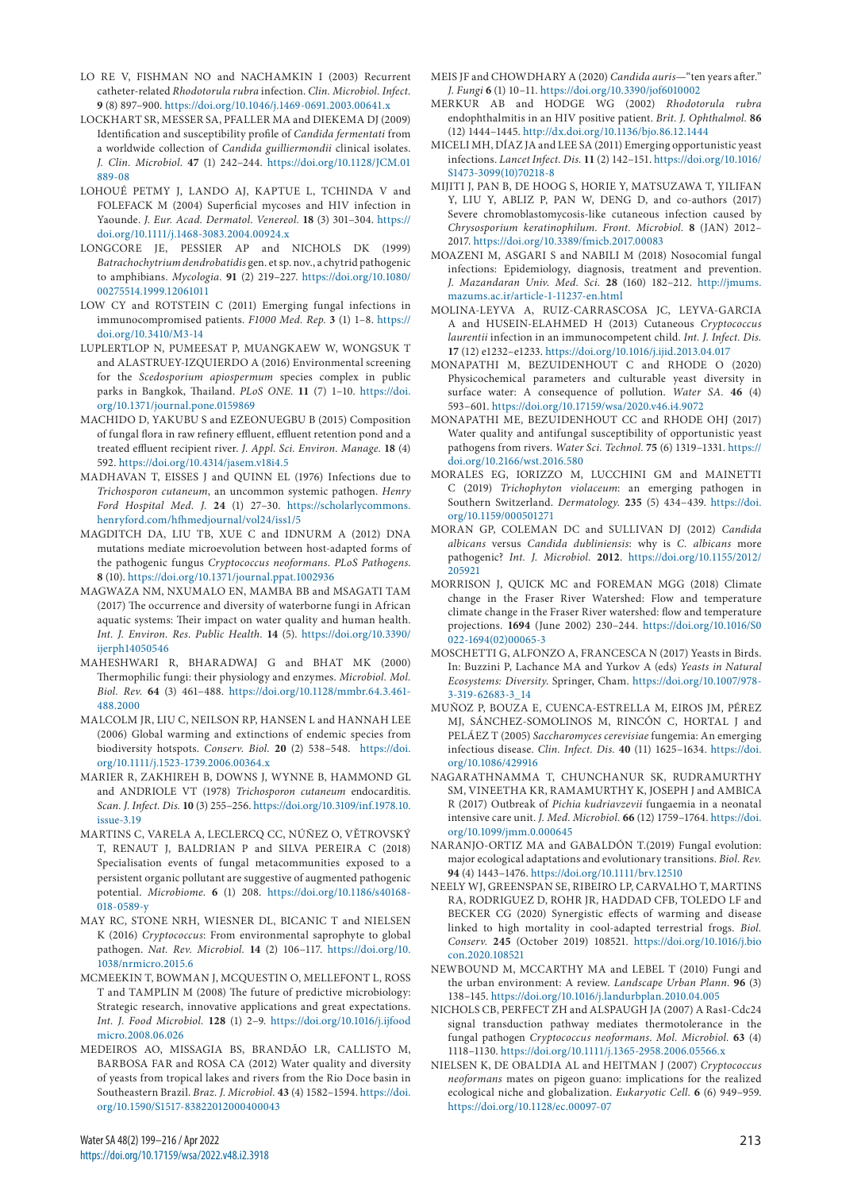- LO RE V, FISHMAN NO and NACHAMKIN I (2003) Recurrent catheter-related *Rhodotorula rubra* infection. *Clin. Microbiol. Infect.* **9** (8) 897–900. <https://doi.org/10.1046/j.1469-0691.2003.00641.x>
- LOCKHART SR, MESSER SA, PFALLER MA and DIEKEMA DJ (2009) Identification and susceptibility profile of *Candida fermentati* from a worldwide collection of *Candida guilliermondii* clinical isolates. *J. Clin. Microbiol.* **47** (1) 242–244. [https://doi.org/10.1128/JCM.01](https://doi.org/10.1128/JCM.01889-08) [889-08](https://doi.org/10.1128/JCM.01889-08)
- LOHOUÉ PETMY J, LANDO AJ, KAPTUE L, TCHINDA V and FOLEFACK M (2004) Superficial mycoses and HIV infection in Yaounde. *J. Eur. Acad. Dermatol. Venereol.* **18** (3) 301–304. [https://](https://doi.org/10.1111/j.1468-3083.2004.00924.x) [doi.org/10.1111/j.1468-3083.2004.00924.x](https://doi.org/10.1111/j.1468-3083.2004.00924.x)
- LONGCORE JE, PESSIER AP and NICHOLS DK (1999) *Batrachochytrium dendrobatidis* gen. et sp. nov., a chytrid pathogenic to amphibians. *Mycologia.* **91** (2) 219–227. [https://doi.org/10.1080/](https://doi.org/10.1080/00275514.1999.12061011) [00275514.1999.12061011](https://doi.org/10.1080/00275514.1999.12061011)
- LOW CY and ROTSTEIN C (2011) Emerging fungal infections in immunocompromised patients. *F1000 Med. Rep.* **3** (1) 1–8. [https://](https://doi.org/10.3410/M3-14) [doi.org/10.3410/M3-14](https://doi.org/10.3410/M3-14)
- LUPLERTLOP N, PUMEESAT P, MUANGKAEW W, WONGSUK T and ALASTRUEY-IZQUIERDO A (2016) Environmental screening for the *Scedosporium apiospermum* species complex in public parks in Bangkok, Thailand. *PLoS ONE.* **11** (7) 1–10. [https://doi.](https://doi.org/10.1371/journal.pone.0159869) [org/10.1371/journal.pone.0159869](https://doi.org/10.1371/journal.pone.0159869)
- MACHIDO D, YAKUBU S and EZEONUEGBU B (2015) Composition of fungal flora in raw refinery effluent, effluent retention pond and a treated effluent recipient river. *J. Appl. Sci. Environ. Manage.* **18** (4) 592.<https://doi.org/10.4314/jasem.v18i4.5>
- MADHAVAN T, EISSES J and QUINN EL (1976) Infections due to *Trichosporon cutaneum*, an uncommon systemic pathogen. *Henry Ford Hospital Med. J.* **24** (1) 27–30. [https://scholarlycommons.](https://scholarlycommons.henryford.com/hfhmedjournal/vol24/iss1/5) [henryford.com/hfhmedjournal/vol24/iss1/5](https://scholarlycommons.henryford.com/hfhmedjournal/vol24/iss1/5)
- MAGDITCH DA, LIU TB, XUE C and IDNURM A (2012) DNA mutations mediate microevolution between host-adapted forms of the pathogenic fungus *Cryptococcus neoformans*. *PLoS Pathogens*. **8** (10).<https://doi.org/10.1371/journal.ppat.1002936>
- MAGWAZA NM, NXUMALO EN, MAMBA BB and MSAGATI TAM (2017) The occurrence and diversity of waterborne fungi in African aquatic systems: Their impact on water quality and human health. *Int. J. Environ. Res. Public Health.* **14** (5). [https://doi.org/10.3390/](https://doi.org/10.3390/ijerph14050546) [ijerph14050546](https://doi.org/10.3390/ijerph14050546)
- MAHESHWARI R, BHARADWAJ G and BHAT MK (2000) Thermophilic fungi: their physiology and enzymes. *Microbiol. Mol. Biol. Rev.* **64** (3) 461–488. [https://doi.org/10.1128/mmbr.64.3.461-](https://doi.org/10.1128/mmbr.64.3.461-488.2000) [488.2000](https://doi.org/10.1128/mmbr.64.3.461-488.2000)
- MALCOLM JR, LIU C, NEILSON RP, HANSEN L and HANNAH LEE (2006) Global warming and extinctions of endemic species from biodiversity hotspots. *Conserv. Biol.* **20** (2) 538–548. [https://doi.](https://doi.org/10.1111/j.1523-1739.2006.00364.x) [org/10.1111/j.1523-1739.2006.00364.x](https://doi.org/10.1111/j.1523-1739.2006.00364.x)
- MARIER R, ZAKHIREH B, DOWNS J, WYNNE B, HAMMOND GL and ANDRIOLE VT (1978) *Trichosporon cutaneum* endocarditis. *Scan. J. Infect. Dis.* **10** (3) 255–256. [https://doi.org/10.3109/inf.1978.10.](https://doi.org/10.3109/inf.1978.10.issue-3.19) [issue-3.19](https://doi.org/10.3109/inf.1978.10.issue-3.19)
- MARTINS C, VARELA A, LECLERCQ CC, NÚÑEZ O, VĚTROVSKÝ T, RENAUT J, BALDRIAN P and SILVA PEREIRA C (2018) Specialisation events of fungal metacommunities exposed to a persistent organic pollutant are suggestive of augmented pathogenic potential. *Microbiome.* **6** (1) 208. [https://doi.org/10.1186/s40168-](https://doi.org/10.1186/s40168-018-0589-y) [018-0589-y](https://doi.org/10.1186/s40168-018-0589-y)
- MAY RC, STONE NRH, WIESNER DL, BICANIC T and NIELSEN K (2016) *Cryptococcus*: From environmental saprophyte to global pathogen. *Nat. Rev. Microbiol.* **14** (2) 106–117. [https://doi.org/10.](https://doi.org/10.1038/nrmicro.2015.6) [1038/nrmicro.2015.6](https://doi.org/10.1038/nrmicro.2015.6)
- MCMEEKIN T, BOWMAN J, MCQUESTIN O, MELLEFONT L, ROSS T and TAMPLIN M (2008) The future of predictive microbiology: Strategic research, innovative applications and great expectations. *Int. J. Food Microbiol.* **128** (1) 2–9. [https://doi.org/10.1016/j.ijfood](https://doi.org/10.1016/j.ijfoodmicro.2008.06.026) [micro.2008.06.026](https://doi.org/10.1016/j.ijfoodmicro.2008.06.026)
- MEDEIROS AO, MISSAGIA BS, BRANDÃO LR, CALLISTO M, BARBOSA FAR and ROSA CA (2012) Water quality and diversity of yeasts from tropical lakes and rivers from the Rio Doce basin in Southeastern Brazil. *Braz. J. Microbiol.* **43** (4) 1582–1594. [https://doi.](https://doi.org/10.1590/S1517-83822012000400043) [org/10.1590/S1517-83822012000400043](https://doi.org/10.1590/S1517-83822012000400043)
- MEIS JF and CHOWDHARY A (2020) *Candida auris*—"ten years after." *J. Fungi* **6** (1) 10–11.<https://doi.org/10.3390/jof6010002>
	- MERKUR AB and HODGE WG (2002) *Rhodotorula rubra* endophthalmitis in an HIV positive patient. *Brit. J. Ophthalmol.* **86** (12) 1444–1445. <http://dx.doi.org/10.1136/bjo.86.12.1444>
	- MICELI MH, DÍAZ JA and LEE SA (2011) Emerging opportunistic yeast infections. *Lancet Infect. Dis.* **11** (2) 142–151. [https://doi.org/10.1016/](https://doi.org/10.1016/S1473-3099(10)70218-8) [S1473-3099\(10\)70218-8](https://doi.org/10.1016/S1473-3099(10)70218-8)
	- MIJITI J, PAN B, DE HOOG S, HORIE Y, MATSUZAWA T, YILIFAN Y, LIU Y, ABLIZ P, PAN W, DENG D, and co-authors (2017) Severe chromoblastomycosis-like cutaneous infection caused by *Chrysosporium keratinophilum*. *Front. Microbiol.* **8** (JAN) 2012– 2017. <https://doi.org/10.3389/fmicb.2017.00083>
	- MOAZENI M, ASGARI S and NABILI M (2018) Nosocomial fungal infections: Epidemiology, diagnosis, treatment and prevention. *J. Mazandaran Univ. Med. Sci.* **28** (160) 182–212. [http://jmums.](http://jmums.mazums.ac.ir/article-1-11237-en.html) [mazums.ac.ir/article-1-11237-en.html](http://jmums.mazums.ac.ir/article-1-11237-en.html)
	- MOLINA-LEYVA A, RUIZ-CARRASCOSA JC, LEYVA-GARCIA A and HUSEIN-ELAHMED H (2013) Cutaneous *Cryptococcus laurentii* infection in an immunocompetent child. *Int. J. Infect. Dis.* **17** (12) e1232–e1233. <https://doi.org/10.1016/j.ijid.2013.04.017>
	- MONAPATHI M, BEZUIDENHOUT C and RHODE O (2020) Physicochemical parameters and culturable yeast diversity in surface water: A consequence of pollution. *Water SA.* **46** (4) 593–601. <https://doi.org/10.17159/wsa/2020.v46.i4.9072>
	- MONAPATHI ME, BEZUIDENHOUT CC and RHODE OHJ (2017) Water quality and antifungal susceptibility of opportunistic yeast pathogens from rivers. *Water Sci. Technol.* **75** (6) 1319–1331. [https://](https://doi.org/10.2166/wst.2016.580) [doi.org/10.2166/wst.2016.580](https://doi.org/10.2166/wst.2016.580)
	- MORALES EG, IORIZZO M, LUCCHINI GM and MAINETTI C (2019) *Trichophyton violaceum*: an emerging pathogen in Southern Switzerland. *Dermatology.* **235** (5) 434–439. [https://doi.](https://doi.org/10.1159/000501271) [org/10.1159/000501271](https://doi.org/10.1159/000501271)
	- MORAN GP, COLEMAN DC and SULLIVAN DJ (2012) *Candida albicans* versus *Candida dubliniensis*: why is *C. albicans* more pathogenic? *Int. J. Microbiol.* **2012**. [https://doi.org/10.1155/2012/](https://doi.org/10.1155/2012/205921) [205921](https://doi.org/10.1155/2012/205921)
	- MORRISON J, QUICK MC and FOREMAN MGG (2018) Climate change in the Fraser River Watershed: Flow and temperature climate change in the Fraser River watershed: flow and temperature projections. **1694** (June 2002) 230–244. [https://doi.org/10.1016/S0](https://doi.org/10.1016/S0022-1694(02)00065-3) [022-1694\(02\)00065-3](https://doi.org/10.1016/S0022-1694(02)00065-3)
	- MOSCHETTI G, ALFONZO A, FRANCESCA N (2017) Yeasts in Birds. In: Buzzini P, Lachance MA and Yurkov A (eds) *Yeasts in Natural Ecosystems: Diversity*. Springer, Cham. [https://doi.org/10.1007/978-](https://doi.org/10.1007/978-3-319-62683-3_14) [3-319-62683-3\\_14](https://doi.org/10.1007/978-3-319-62683-3_14)
	- MUÑOZ P, BOUZA E, CUENCA-ESTRELLA M, EIROS JM, PÉREZ MJ, SÁNCHEZ-SOMOLINOS M, RINCÓN C, HORTAL J and PELÁEZ T (2005) *Saccharomyces cerevisiae* fungemia: An emerging infectious disease. *Clin. Infect. Dis.* **40** (11) 1625–1634. [https://doi.](https://doi.org/10.1086/429916) [org/10.1086/429916](https://doi.org/10.1086/429916)
	- NAGARATHNAMMA T, CHUNCHANUR SK, RUDRAMURTHY SM, VINEETHA KR, RAMAMURTHY K, JOSEPH J and AMBICA R (2017) Outbreak of *Pichia kudriavzevii* fungaemia in a neonatal intensive care unit. *J. Med. Microbiol.* **66** (12) 1759–1764. [https://doi.](https://doi.org/10.1099/jmm.0.000645) [org/10.1099/jmm.0.000645](https://doi.org/10.1099/jmm.0.000645)
	- NARANJO‐ORTIZ MA and GABALDÓN T.(2019) Fungal evolution: major ecological adaptations and evolutionary transitions. *Biol. Rev.* **94** (4) 1443–1476. <https://doi.org/10.1111/brv.12510>
	- NEELY WJ, GREENSPAN SE, RIBEIRO LP, CARVALHO T, MARTINS RA, RODRIGUEZ D, ROHR JR, HADDAD CFB, TOLEDO LF and BECKER CG (2020) Synergistic effects of warming and disease linked to high mortality in cool-adapted terrestrial frogs. *Biol. Conserv.* **245** (October 2019) 108521. [https://doi.org/10.1016/j.bio](https://doi.org/10.1016/j.biocon.2020.108521) [con.2020.108521](https://doi.org/10.1016/j.biocon.2020.108521)
	- NEWBOUND M, MCCARTHY MA and LEBEL T (2010) Fungi and the urban environment: A review. *Landscape Urban Plann.* **96** (3) 138–145.<https://doi.org/10.1016/j.landurbplan.2010.04.005>
	- NICHOLS CB, PERFECT ZH and ALSPAUGH JA (2007) A Ras1-Cdc24 signal transduction pathway mediates thermotolerance in the fungal pathogen *Cryptococcus neoformans*. *Mol. Microbiol.* **63** (4) 1118–1130.<https://doi.org/10.1111/j.1365-2958.2006.05566.x>
	- NIELSEN K, DE OBALDIA AL and HEITMAN J (2007) *Cryptococcus neoformans* mates on pigeon guano: implications for the realized ecological niche and globalization. *Eukaryotic Cell.* **6** (6) 949–959. <https://doi.org/10.1128/ec.00097-07>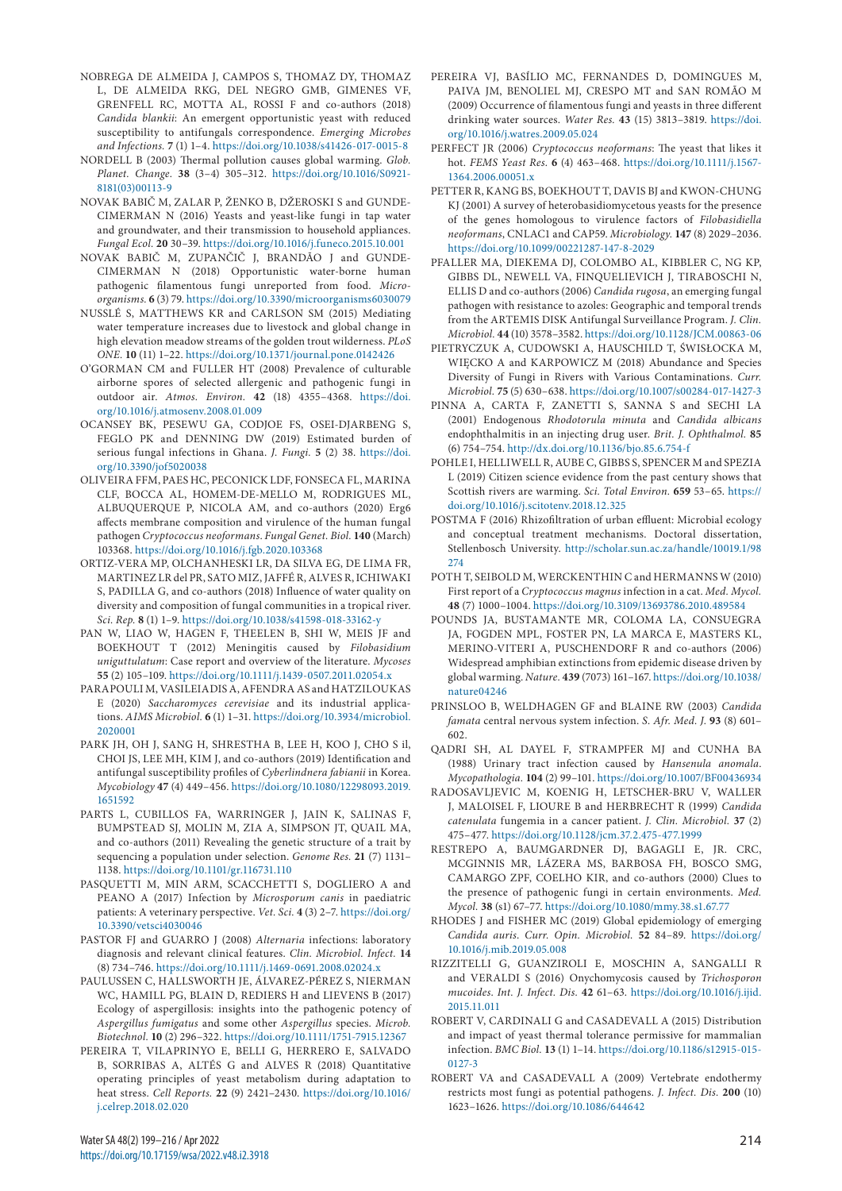- NOBREGA DE ALMEIDA J, CAMPOS S, THOMAZ DY, THOMAZ L, DE ALMEIDA RKG, DEL NEGRO GMB, GIMENES VF, GRENFELL RC, MOTTA AL, ROSSI F and co-authors (2018) *Candida blankii*: An emergent opportunistic yeast with reduced susceptibility to antifungals correspondence. *Emerging Microbes and Infections.* **7** (1) 1–4.<https://doi.org/10.1038/s41426-017-0015-8>
- NORDELL B (2003) Thermal pollution causes global warming. *Glob. Planet. Change.* **38** (3–4) 305–312. [https://doi.org/10.1016/S0921-](https://doi.org/10.1016/S0921-8181(03)00113-9) [8181\(03\)00113-9](https://doi.org/10.1016/S0921-8181(03)00113-9)
- NOVAK BABIČ M, ZALAR P, ŽENKO B, DŽEROSKI S and GUNDE-CIMERMAN N (2016) Yeasts and yeast-like fungi in tap water and groundwater, and their transmission to household appliances. *Fungal Ecol.* **20** 30–39. <https://doi.org/10.1016/j.funeco.2015.10.001>
- NOVAK BABIČ M, ZUPANČIČ J, BRANDÃO J and GUNDE-CIMERMAN N (2018) Opportunistic water-borne human pathogenic filamentous fungi unreported from food. *Microorganisms.* **6** (3) 79.<https://doi.org/10.3390/microorganisms6030079>
- NUSSLÉ S, MATTHEWS KR and CARLSON SM (2015) Mediating water temperature increases due to livestock and global change in high elevation meadow streams of the golden trout wilderness. *PLoS ONE.* **10** (11) 1–22.<https://doi.org/10.1371/journal.pone.0142426>
- O'GORMAN CM and FULLER HT (2008) Prevalence of culturable airborne spores of selected allergenic and pathogenic fungi in outdoor air. *Atmos. Environ.* **42** (18) 4355–4368. [https://doi.](https://doi.org/10.1016/j.atmosenv.2008.01.009) [org/10.1016/j.atmosenv.2008.01.009](https://doi.org/10.1016/j.atmosenv.2008.01.009)
- OCANSEY BK, PESEWU GA, CODJOE FS, OSEI-DJARBENG S, FEGLO PK and DENNING DW (2019) Estimated burden of serious fungal infections in Ghana. *J. Fungi.* **5** (2) 38. [https://doi.](https://doi.org/10.3390/jof5020038) [org/10.3390/jof5020038](https://doi.org/10.3390/jof5020038)
- OLIVEIRA FFM, PAES HC, PECONICK LDF, FONSECA FL, MARINA CLF, BOCCA AL, HOMEM-DE-MELLO M, RODRIGUES ML, ALBUQUERQUE P, NICOLA AM, and co-authors (2020) Erg6 affects membrane composition and virulence of the human fungal pathogen *Cryptococcus neoformans*. *Fungal Genet. Biol.* **140** (March) 103368.<https://doi.org/10.1016/j.fgb.2020.103368>
- ORTIZ-VERA MP, OLCHANHESKI LR, DA SILVA EG, DE LIMA FR, MARTINEZ LR del PR, SATO MIZ, JAFFÉ R, ALVES R, ICHIWAKI S, PADILLA G, and co-authors (2018) Influence of water quality on diversity and composition of fungal communities in a tropical river. *Sci. Rep.* **8** (1) 1–9. <https://doi.org/10.1038/s41598-018-33162-y>
- PAN W, LIAO W, HAGEN F, THEELEN B, SHI W, MEIS JF and BOEKHOUT T (2012) Meningitis caused by *Filobasidium uniguttulatum*: Case report and overview of the literature. *Mycoses* **55** (2) 105–109. <https://doi.org/10.1111/j.1439-0507.2011.02054.x>
- PARAPOULI M, VASILEIADIS A, AFENDRA AS and HATZILOUKAS E (2020) *Saccharomyces cerevisiae* and its industrial applications. *AIMS Microbiol.* **6** (1) 1–31. [https://doi.org/10.3934/microbiol.](https://doi.org/10.3934/microbiol.2020001) [2020001](https://doi.org/10.3934/microbiol.2020001)
- PARK JH, OH J, SANG H, SHRESTHA B, LEE H, KOO J, CHO S il, CHOI JS, LEE MH, KIM J, and co-authors (2019) Identification and antifungal susceptibility profiles of *Cyberlindnera fabianii* in Korea. *Mycobiology* **47** (4) 449–456. [https://doi.org/10.1080/12298093.2019.](https://doi.org/10.1080/12298093.2019.1651592) [1651592](https://doi.org/10.1080/12298093.2019.1651592)
- PARTS L, CUBILLOS FA, WARRINGER J, JAIN K, SALINAS F, BUMPSTEAD SJ, MOLIN M, ZIA A, SIMPSON JT, QUAIL MA, and co-authors (2011) Revealing the genetic structure of a trait by sequencing a population under selection. *Genome Res.* **21** (7) 1131– 1138. <https://doi.org/10.1101/gr.116731.110>
- PASQUETTI M, MIN ARM, SCACCHETTI S, DOGLIERO A and PEANO A (2017) Infection by *Microsporum canis* in paediatric patients: A veterinary perspective. *Vet. Sci.* **4** (3) 2–7. [https://doi.org/](https://doi.org/10.3390/vetsci4030046) [10.3390/vetsci4030046](https://doi.org/10.3390/vetsci4030046)
- PASTOR FJ and GUARRO J (2008) *Alternaria* infections: laboratory diagnosis and relevant clinical features. *Clin. Microbiol. Infect.* **14** (8) 734–746.<https://doi.org/10.1111/j.1469-0691.2008.02024.x>
- PAULUSSEN C, HALLSWORTH JE, ÁLVAREZ-PÉREZ S, NIERMAN WC, HAMILL PG, BLAIN D, REDIERS H and LIEVENS B (2017) Ecology of aspergillosis: insights into the pathogenic potency of *Aspergillus fumigatus* and some other *Aspergillus* species. *Microb. Biotechnol.* **10** (2) 296–322. <https://doi.org/10.1111/1751-7915.12367>
- PEREIRA T, VILAPRINYO E, BELLI G, HERRERO E, SALVADO B, SORRIBAS A, ALTÉS G and ALVES R (2018) Quantitative operating principles of yeast metabolism during adaptation to heat stress. *Cell Reports.* **22** (9) 2421–2430. [https://doi.org/10.1016/](https://doi.org/10.1016/j.celrep.2018.02.020) [j.celrep.2018.02.020](https://doi.org/10.1016/j.celrep.2018.02.020)
- PEREIRA VJ, BASÍLIO MC, FERNANDES D, DOMINGUES M, PAIVA JM, BENOLIEL MJ, CRESPO MT and SAN ROMÃO M (2009) Occurrence of filamentous fungi and yeasts in three different drinking water sources. *Water Res.* **43** (15) 3813–3819. [https://doi.](https://doi.org/10.1016/j.watres.2009.05.024) [org/10.1016/j.watres.2009.05.024](https://doi.org/10.1016/j.watres.2009.05.024)
- PERFECT JR (2006) *Cryptococcus neoformans*: The yeast that likes it hot. *FEMS Yeast Res.* **6** (4) 463–468. [https://doi.org/10.1111/j.1567-](https://doi.org/10.1111/j.1567-1364.2006.00051.x) [1364.2006.00051.x](https://doi.org/10.1111/j.1567-1364.2006.00051.x)
- PETTER R, KANG BS, BOEKHOUT T, DAVIS BJ and KWON-CHUNG KJ (2001) A survey of heterobasidiomycetous yeasts for the presence of the genes homologous to virulence factors of *Filobasidiella neoformans*, CNLAC1 and CAP59. *Microbiology.* **147** (8) 2029–2036. <https://doi.org/10.1099/00221287-147-8-2029>
- PFALLER MA, DIEKEMA DJ, COLOMBO AL, KIBBLER C, NG KP, GIBBS DL, NEWELL VA, FINQUELIEVICH J, TIRABOSCHI N, ELLIS D and co-authors (2006) *Candida rugosa*, an emerging fungal pathogen with resistance to azoles: Geographic and temporal trends from the ARTEMIS DISK Antifungal Surveillance Program. *J. Clin. Microbiol.* **44** (10) 3578–3582. <https://doi.org/10.1128/JCM.00863-06>
- PIETRYCZUK A, CUDOWSKI A, HAUSCHILD T, ŚWISŁOCKA M, WIĘCKO A and KARPOWICZ M (2018) Abundance and Species Diversity of Fungi in Rivers with Various Contaminations. *Curr. Microbiol.* **75** (5) 630–638. <https://doi.org/10.1007/s00284-017-1427-3>
- PINNA A, CARTA F, ZANETTI S, SANNA S and SECHI LA (2001) Endogenous *Rhodotorula minuta* and *Candida albicans* endophthalmitis in an injecting drug user. *Brit. J. Ophthalmol.* **85** (6) 754–754. <http://dx.doi.org/10.1136/bjo.85.6.754-f>
- POHLE I, HELLIWELL R, AUBE C, GIBBS S, SPENCER M and SPEZIA L (2019) Citizen science evidence from the past century shows that Scottish rivers are warming. *Sci. Total Environ.* **659** 53–65. [https://](https://doi.org/10.1016/j.scitotenv.2018.12.325) [doi.org/10.1016/j.scitotenv.2018.12.325](https://doi.org/10.1016/j.scitotenv.2018.12.325)
- POSTMA F (2016) Rhizofiltration of urban effluent: Microbial ecology and conceptual treatment mechanisms. Doctoral dissertation, Stellenbosch University. [http://scholar.sun.ac.za/handle/10019.1/98](http://scholar.sun.ac.za/handle/10019.1/98274) [274](http://scholar.sun.ac.za/handle/10019.1/98274)
- POTH T, SEIBOLD M, WERCKENTHIN C and HERMANNS W (2010) First report of a *Cryptococcus magnus* infection in a cat. *Med. Mycol.* **48** (7) 1000–1004.<https://doi.org/10.3109/13693786.2010.489584>
- POUNDS JA, BUSTAMANTE MR, COLOMA LA, CONSUEGRA JA, FOGDEN MPL, FOSTER PN, LA MARCA E, MASTERS KL, MERINO-VITERI A, PUSCHENDORF R and co-authors (2006) Widespread amphibian extinctions from epidemic disease driven by global warming. *Nature.* **439** (7073) 161–167. [https://doi.org/10.1038/](https://doi.org/10.1038/nature04246) [nature04246](https://doi.org/10.1038/nature04246)
- PRINSLOO B, WELDHAGEN GF and BLAINE RW (2003) *Candida famata* central nervous system infection. *S. Afr. Med. J.* **93** (8) 601– 602.
- QADRI SH, AL DAYEL F, STRAMPFER MJ and CUNHA BA (1988) Urinary tract infection caused by *Hansenula anomala*. *Mycopathologia.* **104** (2) 99–101.<https://doi.org/10.1007/BF00436934>
- RADOSAVLJEVIC M, KOENIG H, LETSCHER-BRU V, WALLER J, MALOISEL F, LIOURE B and HERBRECHT R (1999) *Candida catenulata* fungemia in a cancer patient. *J. Clin. Microbiol.* **37** (2) 475–477. <https://doi.org/10.1128/jcm.37.2.475-477.1999>
- RESTREPO A, BAUMGARDNER DJ, BAGAGLI E, JR. CRC, MCGINNIS MR, LÁZERA MS, BARBOSA FH, BOSCO SMG, CAMARGO ZPF, COELHO KIR, and co-authors (2000) Clues to the presence of pathogenic fungi in certain environments. *Med. Mycol.* **38** (s1) 67–77. <https://doi.org/10.1080/mmy.38.s1.67.77>
- RHODES J and FISHER MC (2019) Global epidemiology of emerging *Candida auris*. *Curr. Opin. Microbiol.* **52** 84–89. [https://doi.org/](https://doi.org/10.1016/j.mib.2019.05.008) [10.1016/j.mib.2019.05.008](https://doi.org/10.1016/j.mib.2019.05.008)
- RIZZITELLI G, GUANZIROLI E, MOSCHIN A, SANGALLI R and VERALDI S (2016) Onychomycosis caused by *Trichosporon mucoides*. *Int. J. Infect. Dis.* **42** 61–63. [https://doi.org/10.1016/j.ijid.](https://doi.org/10.1016/j.ijid.2015.11.011) [2015.11.011](https://doi.org/10.1016/j.ijid.2015.11.011)
- ROBERT V, CARDINALI G and CASADEVALL A (2015) Distribution and impact of yeast thermal tolerance permissive for mammalian infection. *BMC Biol.* **13** (1) 1–14. [https://doi.org/10.1186/s12915-015-](https://doi.org/10.1186/s12915-015-0127-3) [0127-3](https://doi.org/10.1186/s12915-015-0127-3)
- ROBERT VA and CASADEVALL A (2009) Vertebrate endothermy restricts most fungi as potential pathogens. *J. Infect. Dis.* **200** (10) 1623–1626. <https://doi.org/10.1086/644642>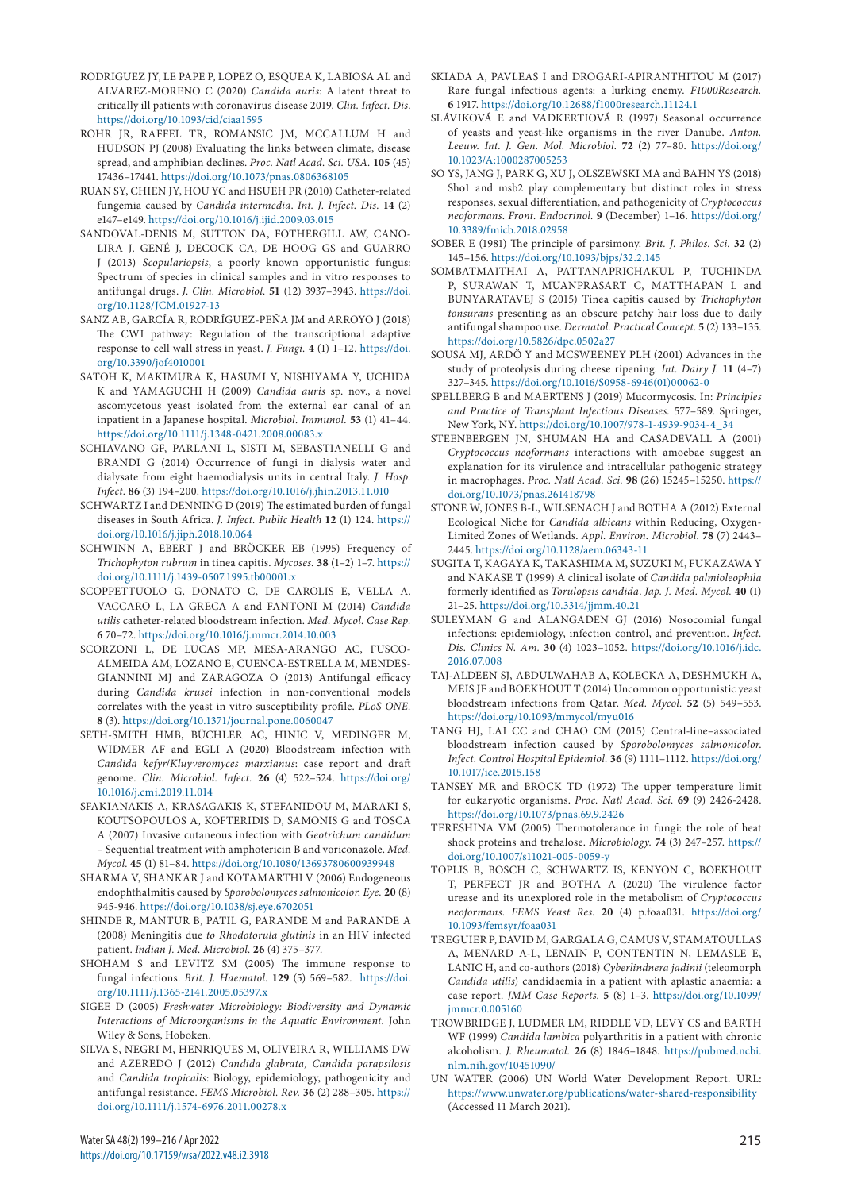- RODRIGUEZ JY, LE PAPE P, LOPEZ O, ESQUEA K, LABIOSA AL and ALVAREZ-MORENO C (2020) *Candida auris*: A latent threat to critically ill patients with coronavirus disease 2019. *Clin. Infect. Dis*. <https://doi.org/10.1093/cid/ciaa1595>
- ROHR JR, RAFFEL TR, ROMANSIC JM, MCCALLUM H and HUDSON PJ (2008) Evaluating the links between climate, disease spread, and amphibian declines. *Proc. Natl Acad. Sci. USA.* **105** (45) 17436–17441.<https://doi.org/10.1073/pnas.0806368105>
- RUAN SY, CHIEN JY, HOU YC and HSUEH PR (2010) Catheter-related fungemia caused by *Candida intermedia*. *Int. J. Infect. Dis.* **14** (2) e147–e149.<https://doi.org/10.1016/j.ijid.2009.03.015>
- SANDOVAL-DENIS M, SUTTON DA, FOTHERGILL AW, CANO-LIRA J, GENÉ J, DECOCK CA, DE HOOG GS and GUARRO J (2013) *Scopulariopsis*, a poorly known opportunistic fungus: Spectrum of species in clinical samples and in vitro responses to antifungal drugs. *J. Clin. Microbiol.* **51** (12) 3937–3943. [https://doi.](https://doi.org/10.1128/JCM.01927-13) [org/10.1128/JCM.01927-13](https://doi.org/10.1128/JCM.01927-13)
- SANZ AB, GARCÍA R, RODRÍGUEZ-PEÑA JM and ARROYO J (2018) The CWI pathway: Regulation of the transcriptional adaptive response to cell wall stress in yeast. *J. Fungi.* **4** (1) 1–12. [https://doi.](https://doi.org/10.3390/jof4010001) [org/10.3390/jof4010001](https://doi.org/10.3390/jof4010001)
- SATOH K, MAKIMURA K, HASUMI Y, NISHIYAMA Y, UCHIDA K and YAMAGUCHI H (2009) *Candida auris* sp. nov., a novel ascomycetous yeast isolated from the external ear canal of an inpatient in a Japanese hospital. *Microbiol. Immunol.* **53** (1) 41–44. <https://doi.org/10.1111/j.1348-0421.2008.00083.x>
- SCHIAVANO GF, PARLANI L, SISTI M, SEBASTIANELLI G and BRANDI G (2014) Occurrence of fungi in dialysis water and dialysate from eight haemodialysis units in central Italy. *J. Hosp. Infect.* **86** (3) 194–200. <https://doi.org/10.1016/j.jhin.2013.11.010>
- SCHWARTZ I and DENNING D (2019) The estimated burden of fungal diseases in South Africa. *J. Infect. Public Health* **12** (1) 124. [https://](https://doi.org/10.1016/j.jiph.2018.10.064) [doi.org/10.1016/j.jiph.2018.10.064](https://doi.org/10.1016/j.jiph.2018.10.064)
- SCHWINN A, EBERT J and BRÖCKER EB (1995) Frequency of *Trichophyton rubrum* in tinea capitis. *Mycoses.* **38** (1–2) 1–7. [https://](https://doi.org/10.1111/j.1439-0507.1995.tb00001.x) [doi.org/10.1111/j.1439-0507.1995.tb00001.x](https://doi.org/10.1111/j.1439-0507.1995.tb00001.x)
- SCOPPETTUOLO G, DONATO C, DE CAROLIS E, VELLA A, VACCARO L, LA GRECA A and FANTONI M (2014) *Candida utilis* catheter-related bloodstream infection. *Med. Mycol. Case Rep.* **6** 70–72. <https://doi.org/10.1016/j.mmcr.2014.10.003>
- SCORZONI L, DE LUCAS MP, MESA-ARANGO AC, FUSCO-ALMEIDA AM, LOZANO E, CUENCA-ESTRELLA M, MENDES-GIANNINI MJ and ZARAGOZA O (2013) Antifungal efficacy during *Candida krusei* infection in non-conventional models correlates with the yeast in vitro susceptibility profile. *PLoS ONE.* **8** (3). <https://doi.org/10.1371/journal.pone.0060047>
- SETH-SMITH HMB, BÜCHLER AC, HINIC V, MEDINGER M, WIDMER AF and EGLI A (2020) Bloodstream infection with *Candida kefyr*/*Kluyveromyces marxianus*: case report and draft genome. *Clin. Microbiol. Infect.* **26** (4) 522–524. [https://doi.org/](https://doi.org/10.1016/j.cmi.2019.11.014) [10.1016/j.cmi.2019.11.014](https://doi.org/10.1016/j.cmi.2019.11.014)
- SFAKIANAKIS A, KRASAGAKIS K, STEFANIDOU M, MARAKI S, KOUTSOPOULOS A, KOFTERIDIS D, SAMONIS G and TOSCA A (2007) Invasive cutaneous infection with *Geotrichum candidum* – Sequential treatment with amphotericin B and voriconazole. *Med. Mycol.* **45** (1) 81–84. <https://doi.org/10.1080/13693780600939948>
- SHARMA V, SHANKAR J and KOTAMARTHI V (2006) Endogeneous endophthalmitis caused by *Sporobolomyces salmonicolor*. *Eye.* **20** (8) 945-946.<https://doi.org/10.1038/sj.eye.6702051>
- SHINDE R, MANTUR B, PATIL G, PARANDE M and PARANDE A (2008) Meningitis due *to Rhodotorula glutinis* in an HIV infected patient. *Indian J. Med. Microbiol.* **26** (4) 375–377.
- SHOHAM S and LEVITZ SM (2005) The immune response to fungal infections. *Brit. J. Haematol.* **129** (5) 569–582. [https://doi.](https://doi.org/10.1111/j.1365-2141.2005.05397.x) [org/10.1111/j.1365-2141.2005.05397.x](https://doi.org/10.1111/j.1365-2141.2005.05397.x)
- SIGEE D (2005) *Freshwater Microbiology: Biodiversity and Dynamic Interactions of Microorganisms in the Aquatic Environment.* John Wiley & Sons, Hoboken.
- SILVA S, NEGRI M, HENRIQUES M, OLIVEIRA R, WILLIAMS DW and AZEREDO J (2012) *Candida glabrata, Candida parapsilosis* and *Candida tropicalis*: Biology, epidemiology, pathogenicity and antifungal resistance. *FEMS Microbiol. Rev.* **36** (2) 288–305. [https://](https://doi.org/10.1111/j.1574-6976.2011.00278.x) [doi.org/10.1111/j.1574-6976.2011.00278.x](https://doi.org/10.1111/j.1574-6976.2011.00278.x)
- SKIADA A, PAVLEAS I and DROGARI-APIRANTHITOU M (2017) Rare fungal infectious agents: a lurking enemy. *F1000Research.* **6** 1917.<https://doi.org/10.12688/f1000research.11124.1>
- SLÁVIKOVÁ E and VADKERTIOVÁ R (1997) Seasonal occurrence of yeasts and yeast-like organisms in the river Danube. *Anton. Leeuw. Int. J. Gen. Mol. Microbiol.* **72** (2) 77–80. [https://doi.org/](https://doi.org/10.1023/A:1000287005253) [10.1023/A:1000287005253](https://doi.org/10.1023/A:1000287005253)
- SO YS, JANG J, PARK G, XU J, OLSZEWSKI MA and BAHN YS (2018) Sho1 and msb2 play complementary but distinct roles in stress responses, sexual differentiation, and pathogenicity of *Cryptococcus neoformans*. *Front. Endocrinol.* **9** (December) 1–16. [https://doi.org/](https://doi.org/10.3389/fmicb.2018.02958) [10.3389/fmicb.2018.02958](https://doi.org/10.3389/fmicb.2018.02958)
- SOBER E (1981) The principle of parsimony. *Brit. J. Philos. Sci.* **32** (2) 145–156. <https://doi.org/10.1093/bjps/32.2.145>
- SOMBATMAITHAI A, PATTANAPRICHAKUL P, TUCHINDA P, SURAWAN T, MUANPRASART C, MATTHAPAN L and BUNYARATAVEJ S (2015) Tinea capitis caused by *Trichophyton tonsurans* presenting as an obscure patchy hair loss due to daily antifungal shampoo use. *Dermatol. Practical Concept.* **5** (2) 133–135. <https://doi.org/10.5826/dpc.0502a27>
- SOUSA MJ, ARDÖ Y and MCSWEENEY PLH (2001) Advances in the study of proteolysis during cheese ripening. *Int. Dairy J.* **11** (4–7) 327–345. [https://doi.org/10.1016/S0958-6946\(01\)00062-0](https://doi.org/10.1016/S0958-6946(01)00062-0)
- SPELLBERG B and MAERTENS J (2019) Mucormycosis. In: *Principles and Practice of Transplant Infectious Diseases.* 577–589. Springer, New York, NY. [https://doi.org/10.1007/978-1-4939-9034-4\\_34](https://doi.org/10.1007/978-1-4939-9034-4_34)
- STEENBERGEN JN, SHUMAN HA and CASADEVALL A (2001) *Cryptococcus neoformans* interactions with amoebae suggest an explanation for its virulence and intracellular pathogenic strategy in macrophages. *Proc. Natl Acad. Sci.* **98** (26) 15245–15250. [https://](https://doi.org/10.1073/pnas.261418798) [doi.org/10.1073/pnas.261418798](https://doi.org/10.1073/pnas.261418798)
- STONE W, JONES B-L, WILSENACH J and BOTHA A (2012) External Ecological Niche for *Candida albicans* within Reducing, Oxygen-Limited Zones of Wetlands. *Appl. Environ. Microbiol.* **78** (7) 2443– 2445.<https://doi.org/10.1128/aem.06343-11>
- SUGITA T, KAGAYA K, TAKASHIMA M, SUZUKI M, FUKAZAWA Y and NAKASE T (1999) A clinical isolate of *Candida palmioleophila* formerly identified as *Torulopsis candida*. *Jap. J. Med. Mycol.* **40** (1) 21–25.<https://doi.org/10.3314/jjmm.40.21>
- SULEYMAN G and ALANGADEN GJ (2016) Nosocomial fungal infections: epidemiology, infection control, and prevention. *Infect. Dis. Clinics N. Am.* **30** (4) 1023–1052. [https://doi.org/10.1016/j.idc.](https://doi.org/10.1016/j.idc.2016.07.008) [2016.07.008](https://doi.org/10.1016/j.idc.2016.07.008)
- TAJ-ALDEEN SJ, ABDULWAHAB A, KOLECKA A, DESHMUKH A, MEIS JF and BOEKHOUT T (2014) Uncommon opportunistic yeast bloodstream infections from Qatar. *Med. Mycol.* **52** (5) 549–553. <https://doi.org/10.1093/mmycol/myu016>
- TANG HJ, LAI CC and CHAO CM (2015) Central-line–associated bloodstream infection caused by *Sporobolomyces salmonicolor*. *Infect. Control Hospital Epidemiol.* **36** (9) 1111–1112. [https://doi.org/](https://doi.org/10.1017/ice.2015.158) [10.1017/ice.2015.158](https://doi.org/10.1017/ice.2015.158)
- TANSEY MR and BROCK TD (1972) The upper temperature limit for eukaryotic organisms. *Proc. Natl Acad. Sci.* **69** (9) 2426-2428. <https://doi.org/10.1073/pnas.69.9.2426>
- TERESHINA VM (2005) Thermotolerance in fungi: the role of heat shock proteins and trehalose. *Microbiology.* **74** (3) 247–257. [https://](https://doi.org/10.1007/s11021-005-0059-y) [doi.org/10.1007/s11021-005-0059-y](https://doi.org/10.1007/s11021-005-0059-y)
- TOPLIS B, BOSCH C, SCHWARTZ IS, KENYON C, BOEKHOUT T, PERFECT JR and BOTHA A (2020) The virulence factor urease and its unexplored role in the metabolism of *Cryptococcus neoformans*. *FEMS Yeast Res.* **20** (4) p.foaa031. [https://doi.org/](https://doi.org/10.1093/femsyr/foaa031) [10.1093/femsyr/foaa031](https://doi.org/10.1093/femsyr/foaa031)
- TREGUIER P, DAVID M, GARGALA G, CAMUS V, STAMATOULLAS A, MENARD A-L, LENAIN P, CONTENTIN N, LEMASLE E, LANIC H, and co-authors (2018) *Cyberlindnera jadinii* (teleomorph *Candida utilis*) candidaemia in a patient with aplastic anaemia: a case report. *JMM Case Reports.* **5** (8) 1–3. [https://doi.org/10.1099/](https://doi.org/10.1099/jmmcr.0.005160) [jmmcr.0.005160](https://doi.org/10.1099/jmmcr.0.005160)
- TROWBRIDGE J, LUDMER LM, RIDDLE VD, LEVY CS and BARTH WF (1999) *Candida lambica* polyarthritis in a patient with chronic alcoholism. *J. Rheumatol.* **26** (8) 1846–1848. [https://pubmed.ncbi.](https://pubmed.ncbi.nlm.nih.gov/10451090/) [nlm.nih.gov/10451090/](https://pubmed.ncbi.nlm.nih.gov/10451090/)
- UN WATER (2006) UN World Water Development Report. URL: <https://www.unwater.org/publications/water-shared-responsibility> (Accessed 11 March 2021).